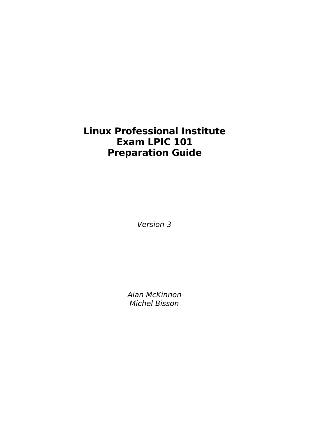# **Linux Professional Institute Exam LPIC 101 Preparation Guide**

Version 3

Alan McKinnon Michel Bisson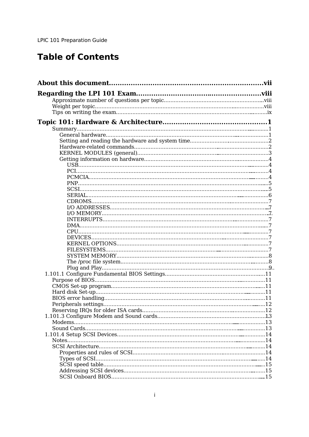# **Table of Contents**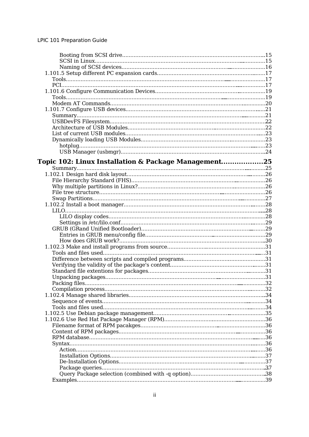| Summary                                              |
|------------------------------------------------------|
| Topic 102: Linux Installation & Package Management25 |
|                                                      |
|                                                      |
|                                                      |
|                                                      |
|                                                      |
|                                                      |
|                                                      |
|                                                      |
|                                                      |
|                                                      |
|                                                      |
|                                                      |
|                                                      |
|                                                      |
|                                                      |
|                                                      |
|                                                      |
|                                                      |
|                                                      |
|                                                      |
|                                                      |
|                                                      |
|                                                      |
|                                                      |
|                                                      |
|                                                      |
|                                                      |
|                                                      |
|                                                      |
|                                                      |
|                                                      |
|                                                      |
|                                                      |
|                                                      |
|                                                      |
|                                                      |
|                                                      |
|                                                      |
|                                                      |
|                                                      |
|                                                      |
|                                                      |
|                                                      |
|                                                      |
|                                                      |
|                                                      |
|                                                      |
|                                                      |
|                                                      |
|                                                      |
|                                                      |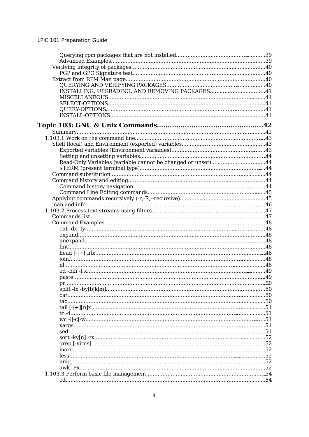| INSTALLING, UPGRADING, AND REMOVING PACKAGES41              |  |
|-------------------------------------------------------------|--|
|                                                             |  |
|                                                             |  |
|                                                             |  |
|                                                             |  |
|                                                             |  |
|                                                             |  |
|                                                             |  |
|                                                             |  |
|                                                             |  |
|                                                             |  |
|                                                             |  |
| Read-Only Variables (variable cannot be changed or unset)44 |  |
|                                                             |  |
|                                                             |  |
|                                                             |  |
|                                                             |  |
|                                                             |  |
|                                                             |  |
|                                                             |  |
|                                                             |  |
|                                                             |  |
|                                                             |  |
|                                                             |  |
|                                                             |  |
|                                                             |  |
|                                                             |  |
|                                                             |  |
|                                                             |  |
|                                                             |  |
|                                                             |  |
|                                                             |  |
|                                                             |  |
|                                                             |  |
|                                                             |  |
|                                                             |  |
|                                                             |  |
|                                                             |  |
|                                                             |  |
|                                                             |  |
|                                                             |  |
|                                                             |  |
|                                                             |  |
|                                                             |  |
|                                                             |  |
|                                                             |  |
|                                                             |  |
|                                                             |  |
|                                                             |  |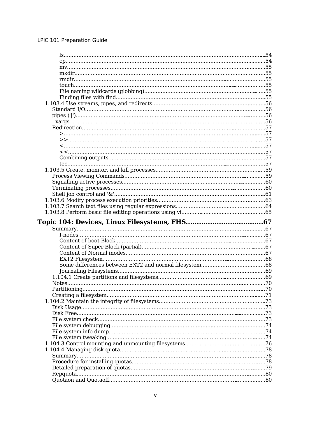| Notes. |  |
|--------|--|
|        |  |
|        |  |
|        |  |
|        |  |
|        |  |
|        |  |
|        |  |
|        |  |
|        |  |
|        |  |
|        |  |
|        |  |
|        |  |
|        |  |
|        |  |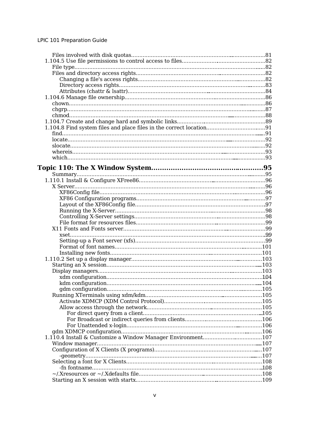| 1.104.8 Find system files and place files in the correct location91                                                                                                                                                            |  |
|--------------------------------------------------------------------------------------------------------------------------------------------------------------------------------------------------------------------------------|--|
|                                                                                                                                                                                                                                |  |
|                                                                                                                                                                                                                                |  |
|                                                                                                                                                                                                                                |  |
|                                                                                                                                                                                                                                |  |
|                                                                                                                                                                                                                                |  |
|                                                                                                                                                                                                                                |  |
|                                                                                                                                                                                                                                |  |
|                                                                                                                                                                                                                                |  |
|                                                                                                                                                                                                                                |  |
|                                                                                                                                                                                                                                |  |
|                                                                                                                                                                                                                                |  |
|                                                                                                                                                                                                                                |  |
|                                                                                                                                                                                                                                |  |
|                                                                                                                                                                                                                                |  |
|                                                                                                                                                                                                                                |  |
|                                                                                                                                                                                                                                |  |
|                                                                                                                                                                                                                                |  |
|                                                                                                                                                                                                                                |  |
|                                                                                                                                                                                                                                |  |
|                                                                                                                                                                                                                                |  |
|                                                                                                                                                                                                                                |  |
|                                                                                                                                                                                                                                |  |
|                                                                                                                                                                                                                                |  |
|                                                                                                                                                                                                                                |  |
|                                                                                                                                                                                                                                |  |
|                                                                                                                                                                                                                                |  |
|                                                                                                                                                                                                                                |  |
|                                                                                                                                                                                                                                |  |
|                                                                                                                                                                                                                                |  |
|                                                                                                                                                                                                                                |  |
|                                                                                                                                                                                                                                |  |
|                                                                                                                                                                                                                                |  |
|                                                                                                                                                                                                                                |  |
|                                                                                                                                                                                                                                |  |
|                                                                                                                                                                                                                                |  |
|                                                                                                                                                                                                                                |  |
|                                                                                                                                                                                                                                |  |
|                                                                                                                                                                                                                                |  |
|                                                                                                                                                                                                                                |  |
|                                                                                                                                                                                                                                |  |
|                                                                                                                                                                                                                                |  |
| formation-the-contract enterprise of the contract of the contract of the contract of the contract of the contract of the contract of the contract of the contract of the contract of the contract of the contract of the contr |  |
|                                                                                                                                                                                                                                |  |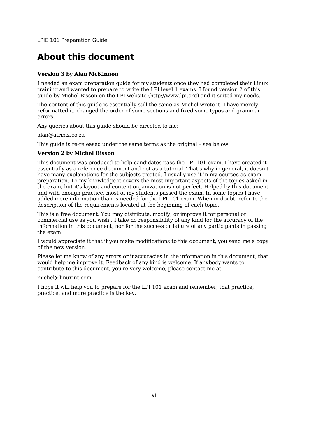## **About this document**

#### **Version 3 by Alan McKinnon**

I needed an exam preparation guide for my students once they had completed their Linux training and wanted to prepare to write the LPI level 1 exams. I found version 2 of this guide by Michel Bisson on the LPI website (http://www.lpi.org) and it suited my needs.

The content of this guide is essentially still the same as Michel wrote it. I have merely reformatted it, changed the order of some sections and fixed some typos and grammar errors.

Any queries about this guide should be directed to me:

alan@afribiz.co.za

This guide is re-released under the same terms as the original – see below.

#### **Version 2 by Michel Bisson**

This document was produced to help candidates pass the LPI 101 exam. I have created it essentially as a reference document and not as a tutorial. That's why in general, it doesn't have many explanations for the subjects treated. I usually use it in my courses as exam preparation. To my knowledge it covers the most important aspects of the topics asked in the exam, but it's layout and content organization is not perfect. Helped by this document and with enough practice, most of my students passed the exam. In some topics I have added more information than is needed for the LPI 101 exam. When in doubt, refer to the description of the requirements located at the beginning of each topic.

This is a free document. You may distribute, modify, or improve it for personal or commercial use as you wish.. I take no responsibility of any kind for the accuracy of the information in this document, nor for the success or failure of any participants in passing the exam.

I would appreciate it that if you make modifications to this document, you send me a copy of the new version.

Please let me know of any errors or inaccuracies in the information in this document, that would help me improve it. Feedback of any kind is welcome. If anybody wants to contribute to this document, you're very welcome, please contact me at

#### michel@linuxint.com

I hope it will help you to prepare for the LPI 101 exam and remember, that practice, practice, and more practice is the key.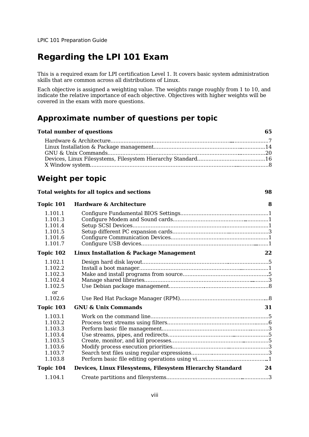## **Regarding the LPI 101 Exam**

This is a required exam for LPI certification Level 1. It covers basic system administration skills that are common across all distributions of Linux.

Each objective is assigned a weighting value. The weights range roughly from 1 to 10, and indicate the relative importance of each objective. Objectives with higher weights will be covered in the exam with more questions.

## **Approximate number of questions per topic**

| Total number of questions |  |
|---------------------------|--|
|                           |  |
|                           |  |
|                           |  |
|                           |  |
|                           |  |
|                           |  |

**Total weights for all topics and sections 98**

## **Weight per topic**

| Topic 101                                                                 | Hardware & Architecture                                   | 8  |
|---------------------------------------------------------------------------|-----------------------------------------------------------|----|
| 1.101.1<br>1.101.3                                                        |                                                           |    |
| 1.101.4<br>1.101.5                                                        |                                                           |    |
| 1.101.6<br>1.101.7                                                        |                                                           |    |
| Topic 102                                                                 | <b>Linux Installation &amp; Package Management</b>        | 22 |
| 1.102.1<br>1.102.2<br>1.102.3<br>1.102.4<br>1.102.5                       |                                                           |    |
| or<br>1.102.6                                                             |                                                           |    |
| Topic 103                                                                 | <b>GNU &amp; Unix Commands</b>                            | 31 |
| 1.103.1<br>1.103.2<br>1.103.3<br>1.103.4<br>1.103.5<br>1.103.6<br>1.103.7 |                                                           |    |
| 1.103.8                                                                   |                                                           |    |
| Topic 104                                                                 | Devices, Linux Filesystems, Filesystem Hierarchy Standard | 24 |
| 1.104.1                                                                   |                                                           |    |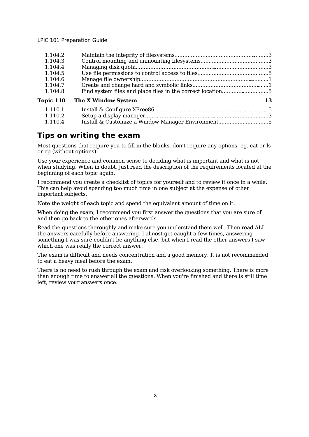| 1.104.2                                                      |    |
|--------------------------------------------------------------|----|
| 1.104.3                                                      |    |
| 1.104.4                                                      |    |
| 1.104.5                                                      |    |
| 1.104.6                                                      |    |
| 1.104.7                                                      |    |
| 1.104.8                                                      |    |
| Topic 110<br><b>The X Window System</b>                      | 13 |
| 1.110.1                                                      |    |
| 1.110.2                                                      |    |
| Install & Customize a Window Manager Environment5<br>1.110.4 |    |

## **Tips on writing the exam**

Most questions that require you to fill-in the blanks, don't require any options. eg. cat or ls or cp (without options)

Use your experience and common sense to deciding what is important and what is not when studying. When in doubt, just read the description of the requirements located at the beginning of each topic again.

I recommend you create a checklist of topics for yourself and to review it once in a while. This can help avoid spending too much time in one subject at the expense of other important subjects.

Note the weight of each topic and spend the equivalent amount of time on it.

When doing the exam, I recommend you first answer the questions that you are sure of and then go back to the other ones afterwards.

Read the questions thoroughly and make sure you understand them well. Then read ALL the answers carefully before answering. I almost got caught a few times, answering something I was sure couldn't be anything else, but when I read the other answers I saw which one was really the correct answer.

The exam is difficult and needs concentration and a good memory. It is not recommended to eat a heavy meal before the exam.

There is no need to rush through the exam and risk overlooking something. There is more than enough time to answer all the questions. When you're finished and there is still time left, review your answers once.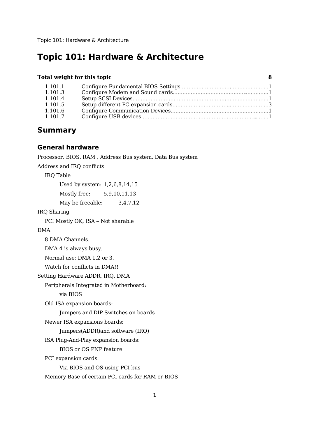#### **Total weight for this topic 8**

| 1.101.1 |  |
|---------|--|
| 1.101.3 |  |
| 1.101.4 |  |
| 1.101.5 |  |
| 1.101.6 |  |
| 1.101.7 |  |

## **Summary**

#### **General hardware**

Processor, BIOS, RAM , Address Bus system, Data Bus system

Address and IRQ conflicts

IRQ Table

Used by system: 1,2,6,8,14,15

Mostly free: 5,9,10,11,13

May be freeable:  $3,4,7,12$ 

IRQ Sharing

PCI Mostly OK, ISA – Not sharable

DMA

8 DMA Channels.

DMA 4 is always busy.

Normal use: DMA 1,2 or 3.

Watch for conflicts in DMA!!

Setting Hardware ADDR, IRQ, DMA

Peripherals Integrated in Motherboard:

via BIOS

Old ISA expansion boards:

Jumpers and DIP Switches on boards

Newer ISA expansions boards:

Jumpers(ADDR)and software (IRQ)

ISA Plug-And-Play expansion boards:

BIOS or OS PNP feature

PCI expansion cards:

Via BIOS and OS using PCI bus

Memory Base of certain PCI cards for RAM or BIOS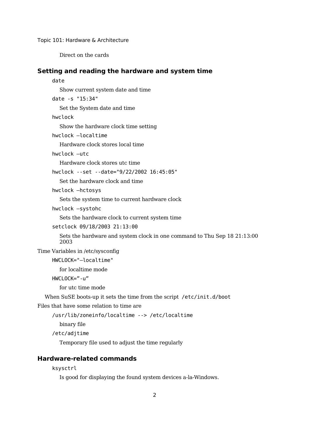Direct on the cards

#### **Setting and reading the hardware and system time**

#### date

Show current system date and time

date -s "15:34"

Set the System date and time

hwclock

Show the hardware clock time setting

hwclock –localtime

Hardware clock stores local time

hwclock –utc

Hardware clock stores utc time

hwclock --set --date="9/22/2002 16:45:05"

Set the hardware clock and time

hwclock –hctosys

Sets the system time to current hardware clock

hwclock –systohc

Sets the hardware clock to current system time

```
setclock 09/18/2003 21:13:00
```
Sets the hardware and system clock in one command to Thu Sep 18 21:13:00 2003

Time Variables in /etc/sysconfig

HWCLOCK="—localtime"

for localtime mode

```
HWCLOCK="-u"
```
for utc time mode

When SuSE boots-up it sets the time from the script /etc/init.d/boot

Files that have some relation to time are

/usr/lib/zoneinfo/localtime --> /etc/localtime

binary file

/etc/adjtime

Temporary file used to adjust the time regularly

#### **Hardware-related commands**

```
ksysctrl
```
Is good for displaying the found system devices a-la-Windows.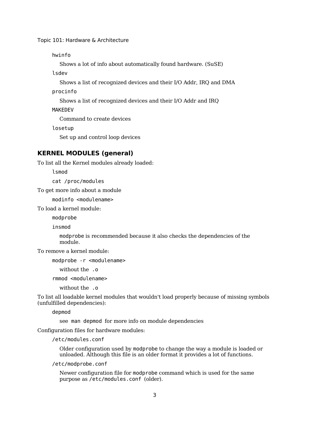hwinfo

Shows a lot of info about automatically found hardware. (SuSE)

lsdev

Shows a list of recognized devices and their I/O Addr, IRQ and DMA

procinfo

Shows a list of recognized devices and their I/O Addr and IRQ

MAKEDEV

Command to create devices

losetup

Set up and control loop devices

#### **KERNEL MODULES (general)**

To list all the Kernel modules already loaded:

lsmod

cat /proc/modules

To get more info about a module

modinfo <modulename>

To load a kernel module:

modprobe

insmod

modprobe is recommended because it also checks the dependencies of the module.

To remove a kernel module:

modprobe -r <modulename>

without the .o

rmmod <modulename>

without the .o

To list all loadable kernel modules that wouldn't load properly because of missing symbols (unfulfilled dependencies):

depmod

see man depmod for more info on module dependencies

Configuration files for hardware modules:

/etc/modules.conf

Older configuration used by modprobe to change the way a module is loaded or unloaded. Although this file is an older format it provides a lot of functions.

/etc/modprobe.conf

Newer configuration file for modprobe command which is used for the same purpose as /etc/modules.conf (older).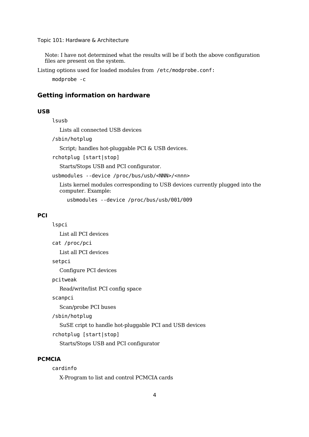Note: I have not determined what the results will be if both the above configuration files are present on the system.

Listing options used for loaded modules from /etc/modprobe.conf:

modprobe -c

#### **Getting information on hardware**

#### **USB**

lsusb

Lists all connected USB devices

/sbin/hotplug

Script; handles hot-pluggable PCI & USB devices.

rchotplug [start|stop]

Starts/Stops USB and PCI configurator.

usbmodules --device /proc/bus/usb/<NNN>/<nnn>

Lists kernel modules corresponding to USB devices currently plugged into the computer. Example:

usbmodules --device /proc/bus/usb/001/009

#### **PCI**

lspci

List all PCI devices

cat /proc/pci

List all PCI devices

setpci

Configure PCI devices

pcitweak

Read/write/list PCI config space

scanpci

Scan/probe PCI buses

/sbin/hotplug

SuSE cript to handle hot-pluggable PCI and USB devices

rchotplug [start|stop]

Starts/Stops USB and PCI configurator

#### **PCMCIA**

cardinfo

X-Program to list and control PCMCIA cards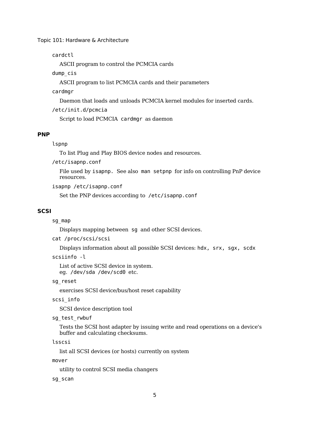cardctl

ASCII program to control the PCMCIA cards

dump\_cis

ASCII program to list PCMCIA cards and their parameters

cardmgr

Daemon that loads and unloads PCMCIA kernel modules for inserted cards.

/etc/init.d/pcmcia

Script to load PCMCIA cardmgr as daemon

#### **PNP**

#### lspnp

To list Plug and Play BIOS device nodes and resources.

/etc/isapnp.conf

File used by isapnp. See also man setpnp for info on controlling PnP device resources.

isapnp /etc/isapnp.conf

Set the PNP devices according to /etc/isapnp.conf

#### **SCSI**

sg\_map

Displays mapping between sg and other SCSI devices.

```
cat /proc/scsi/scsi
```
Displays information about all possible SCSI devices: hdx, srx, sgx, scdx

scsiinfo -l

List of active SCSI device in system. eg. /dev/sda /dev/scd0 etc.

#### sg\_reset

exercises SCSI device/bus/host reset capability

scsi\_info

SCSI device description tool

sg test rwbuf

Tests the SCSI host adapter by issuing write and read operations on a device's buffer and calculating checksums.

```
lsscsi
```
list all SCSI devices (or hosts) currently on system

mover

utility to control SCSI media changers

sg\_scan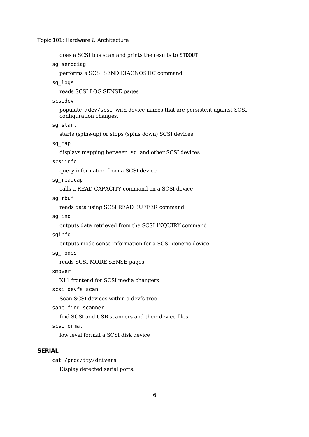does a SCSI bus scan and prints the results to STDOUT

sg\_senddiag

performs a SCSI SEND DIAGNOSTIC command

#### sg\_logs

reads SCSI LOG SENSE pages

scsidev

populate /dev/scsi with device names that are persistent against SCSI configuration changes.

sg\_start

starts (spins-up) or stops (spins down) SCSI devices

sg\_map

displays mapping between sg and other SCSI devices

scsiinfo

query information from a SCSI device

sg readcap

calls a READ CAPACITY command on a SCSI device

sg\_rbuf

reads data using SCSI READ BUFFER command

sg\_inq

outputs data retrieved from the SCSI INQUIRY command

#### sginfo

outputs mode sense information for a SCSI generic device

sg\_modes

reads SCSI MODE SENSE pages

xmover

X11 frontend for SCSI media changers

scsi devfs scan

Scan SCSI devices within a devfs tree

sane-find-scanner

find SCSI and USB scanners and their device files

scsiformat

low level format a SCSI disk device

#### **SERIAL**

cat /proc/tty/drivers

Display detected serial ports.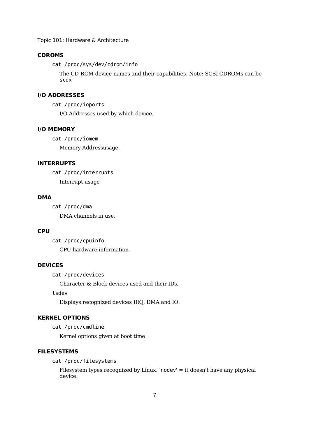#### **CDROMS**

cat /proc/sys/dev/cdrom/info

The CD-ROM device names and their capabilities. Note: SCSI CDROMs can be scdx

#### **I/O ADDRESSES**

cat /proc/ioports

I/O Addresses used by which device.

#### **I/O MEMORY**

cat /proc/iomem

Memory Addressusage.

#### **INTERRUPTS**

cat /proc/interrupts Interrupt usage

#### **DMA**

cat /proc/dma DMA channels in use.

#### **CPU**

cat /proc/cpuinfo CPU hardware information

#### **DEVICES**

cat /proc/devices

Character & Block devices used and their IDs.

lsdev

Displays recognized devices IRQ, DMA and IO.

#### **KERNEL OPTIONS**

cat /proc/cmdline

Kernel options given at boot time

#### **FILESYSTEMS**

cat /proc/filesystems

Filesystem types recognized by Linux. 'nodev' = it doesn't have any physical device.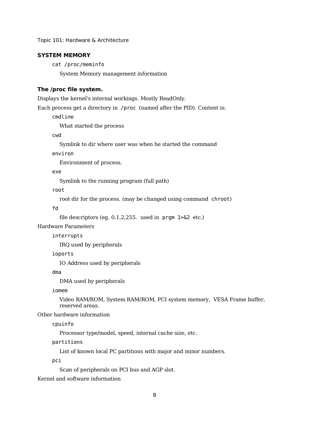#### **SYSTEM MEMORY**

cat /proc/meminfo System Memory management information

#### **The /proc file system.**

Displays the kernel's internal workings. Mostly ReadOnly.

#### Each process get a directory in /proc (named after the PID). Content is:

cmdline

What started the process

cwd

Symlink to dir where user was when he started the command

environ

Environment of process.

exe

Symlink to the running program (full path)

root

root dir for the process. (may be changed using command chroot)

fd

file descriptors (eg. 0,1,2,255. used in prgm 1>&2 etc.)

Hardware Parameters

interrupts

IRQ used by peripherals

#### ioports

IO Address used by peripherals

dma

DMA used by peripherals

iomem

Video RAM/ROM, System RAM/ROM, PCI system memory, VESA Frame buffer, reserved areas.

Other hardware information

cpuinfo

Processor type/model, speed, internal cache size, etc.

partitions

List of known local PC partitions with major and minor numbers.

pci

Scan of peripherals on PCI bus and AGP slot.

Kernel and software information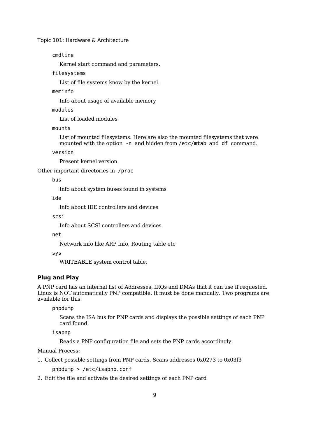cmdline

Kernel start command and parameters.

filesystems

List of file systems know by the kernel.

meminfo

Info about usage of available memory

modules

List of loaded modules

mounts

List of mounted filesystems. Here are also the mounted filesystems that were mounted with the option -n and hidden from /etc/mtab and df command.

version

Present kernel version.

Other important directories in /proc

bus

Info about system buses found in systems

ide

Info about IDE controllers and devices

scsi

Info about SCSI controllers and devices

net

Network info like ARP Info, Routing table etc

sys

WRITEABLE system control table.

#### **Plug and Play**

A PNP card has an internal list of Addresses, IRQs and DMAs that it can use if requested. Linux is NOT automatically PNP compatible. It must be done manually. Two programs are available for this:

pnpdump

Scans the ISA bus for PNP cards and displays the possible settings of each PNP card found.

isapnp

Reads a PNP configuration file and sets the PNP cards accordingly.

Manual Process:

1. Collect possible settings from PNP cards. Scans addresses 0x0273 to 0x03f3

pnpdump > /etc/isapnp.conf

2. Edit the file and activate the desired settings of each PNP card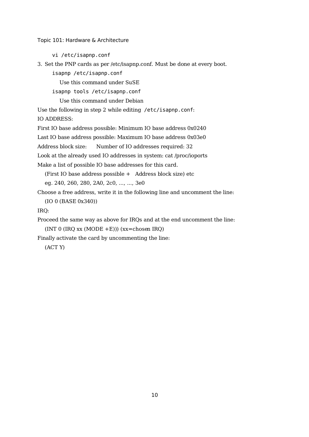vi /etc/isapnp.conf

```
3. Set the PNP cards as per /etc/isapnp.conf. Must be done at every boot.
```
isapnp /etc/isapnp.conf

Use this command under SuSE

isapnp tools /etc/isapnp.conf

Use this command under Debian

Use the following in step 2 while editing /etc/isapnp.conf:

IO ADDRESS:

First IO base address possible: Minimum IO base address 0x0240

Last IO base address possible: Maximum IO base address 0x03e0

Address block size: Number of IO addresses required: 32

Look at the already used IO addresses in system: cat /proc/ioports

Make a list of possible IO base addresses for this card.

(First IO base address possible + Address block size) etc

eg. 240, 260, 280, 2A0, 2c0, ..., ..., 3e0

Choose a free address, write it in the following line and uncomment the line:

(IO 0 (BASE 0x340))

IRQ:

Proceed the same way as above for IRQs and at the end uncomment the line:

(INT 0 (IRQ  $xx$  (MODE +E)))  $(xx=chosen$  IRQ)

Finally activate the card by uncommenting the line:

(ACT Y)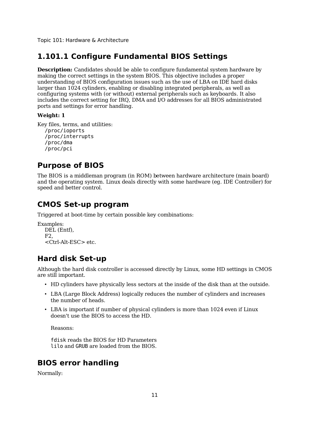## **1.101.1 Configure Fundamental BIOS Settings**

**Description:** Candidates should be able to configure fundamental system hardware by making the correct settings in the system BIOS. This objective includes a proper understanding of BIOS configuration issues such as the use of LBA on IDE hard disks larger than 1024 cylinders, enabling or disabling integrated peripherals, as well as configuring systems with (or without) external peripherals such as keyboards. It also includes the correct setting for IRQ, DMA and I/O addresses for all BIOS administrated ports and settings for error handling.

#### **Weight: 1**

```
Key files, terms, and utilities:
/proc/ioports
/proc/interrupts
/proc/dma
/proc/pci
```
## **Purpose of BIOS**

The BIOS is a middleman program (in ROM) between hardware architecture (main board) and the operating system. Linux deals directly with some hardware (eg. IDE Controller) for speed and better control.

## **CMOS Set-up program**

Triggered at boot-time by certain possible key combinations:

```
Examples:
DEL (Entf),
F2,
 <Ctrl-Alt-ESC> etc.
```
## **Hard disk Set-up**

Although the hard disk controller is accessed directly by Linux, some HD settings in CMOS are still important.

- HD cylinders have physically less sectors at the inside of the disk than at the outside.
- LBA (Large Block Address) logically reduces the number of cylinders and increases the number of heads.
- LBA is important if number of physical cylinders is more than 1024 even if Linux doesn't use the BIOS to access the HD.

Reasons:

fdisk reads the BIOS for HD Parameters lilo and GRUB are loaded from the BIOS.

## **BIOS error handling**

Normally: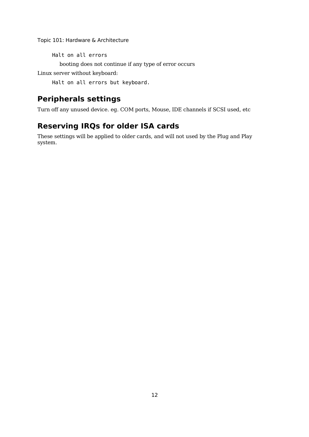Halt on all errors

booting does not continue if any type of error occurs

Linux server without keyboard:

Halt on all errors but keyboard.

## **Peripherals settings**

Turn off any unused device. eg. COM ports, Mouse, IDE channels if SCSI used, etc

## **Reserving IRQs for older ISA cards**

These settings will be applied to older cards, and will not used by the Plug and Play system.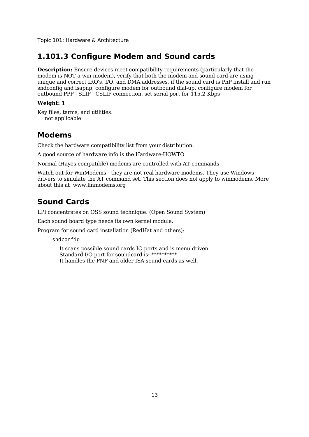## **1.101.3 Configure Modem and Sound cards**

**Description:** Ensure devices meet compatibility requirements (particularly that the modem is NOT a win-modem), verify that both the modem and sound card are using unique and correct IRQ's, I/O, and DMA addresses, if the sound card is PnP install and run sndconfig and isapnp, configure modem for outbound dial-up, configure modem for outbound PPP | SLIP | CSLIP connection, set serial port for 115.2 Kbps

#### **Weight: 1**

Key files, terms, and utilities: not applicable

### **Modems**

Check the hardware compatibility list from your distribution.

A good source of hardware info is the Hardware-HOWTO

Normal (Hayes compatible) modems are controlled with AT commands

Watch out for WinModems - they are not real hardware modems. They use Windows drivers to simulate the AT command set. This section does not apply to winmodems. More about this at www.linmodems.org

## **Sound Cards**

LPI concentrates on OSS sound technique. (Open Sound System)

Each sound board type needs its own kernel module.

Program for sound card installation (RedHat and others):

sndconfig

It scans possible sound cards IO ports and is menu driven. Standard I/O port for soundcard is: \*\*\*\*\*\*\*\*\*\* It handles the PNP and older ISA sound cards as well.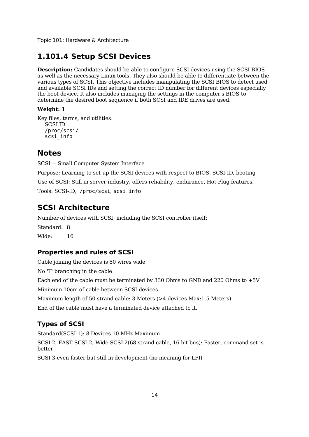## **1.101.4 Setup SCSI Devices**

**Description:** Candidates should be able to configure SCSI devices using the SCSI BIOS as well as the necessary Linux tools. They also should be able to differentiate between the various types of SCSI. This objective includes manipulating the SCSI BIOS to detect used and available SCSI IDs and setting the correct ID number for different devices especially the boot device. It also includes managing the settings in the computer's BIOS to determine the desired boot sequence if both SCSI and IDE drives are used.

#### **Weight: 1**

Key files, terms, and utilities: SCSI ID /proc/scsi/ scsi\_info

## **Notes**

SCSI = Small Computer System Interface

Purpose: Learning to set-up the SCSI devices with respect to BIOS, SCSI-ID, booting Use of SCSI: Still in server industry, offers reliability, endurance, Hot-Plug features. Tools: SCSI-ID, /proc/scsi, scsi\_info

## **SCSI Architecture**

Number of devices with SCSI, including the SCSI controller itself: Standard: 8 Wide: 16

### **Properties and rules of SCSI**

Cable joining the devices is 50 wires wide No 'T' branching in the cable Each end of the cable must be terminated by 330 Ohms to GND and 220 Ohms to +5V Minimum 10cm of cable between SCSI devices Maximum length of 50 strand cable: 3 Meters (>4 devices Max:1.5 Meters) End of the cable must have a terminated device attached to it.

### **Types of SCSI**

Standard(SCSI-1): 8 Devices 10 MHz Maximum SCSI-2, FAST-SCSI-2, Wide-SCSI-2(68 strand cable, 16 bit bus): Faster, command set is better

SCSI-3 even faster but still in development (no meaning for LPI)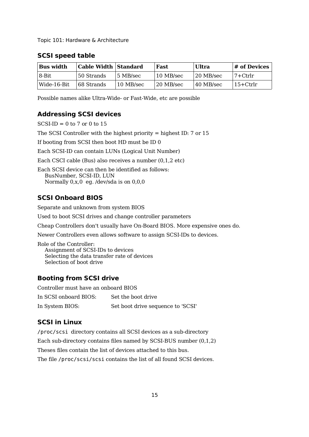| <b>Bus width</b> | <b>Cable Width Standard</b> |           | Fast      | Ultra     | # of Devices |
|------------------|-----------------------------|-----------|-----------|-----------|--------------|
| 8-Bit            | 50 Strands                  | 5 MB/sec  | 10 MB/sec | 20 MB/sec | 7+Ctrlr      |
| Wide-16-Bit      | 68 Strands                  | 10 MB/sec | 20 MB/sec | 40 MB/sec | $15+Ctrlr$   |

#### **SCSI speed table**

Possible names alike Ultra-Wide- or Fast-Wide, etc are possible

#### **Addressing SCSI devices**

 $SCSI-ID = 0 to 7 or 0 to 15$ 

The SCSI Controller with the highest priority = highest ID: 7 or 15

If booting from SCSI then boot HD must be ID 0

Each SCSI-ID can contain LUNs (Logical Unit Number)

Each CSCI cable (Bus) also receives a number (0,1,2 etc)

Each SCSI device can then be identified as follows: BusNumber, SCSI-ID, LUN Normally 0,x,0 eg. /dev/sda is on 0,0,0

#### **SCSI Onboard BIOS**

Separate and unknown from system BIOS

Used to boot SCSI drives and change controller parameters

Cheap Controllers don't usually have On-Board BIOS. More expensive ones do.

Newer Controllers even allows software to assign SCSI-IDs to devices.

Role of the Controller: Assignment of SCSI-IDs to devices Selecting the data transfer rate of devices Selection of boot drive

#### **Booting from SCSI drive**

Controller must have an onboard BIOS In SCSI onboard BIOS: Set the boot drive In System BIOS: Set boot drive sequence to 'SCSI'

#### **SCSI in Linux**

/proc/scsi directory contains all SCSI devices as a sub-directory Each sub-directory contains files named by SCSI-BUS number (0,1,2) Theses files contain the list of devices attached to this bus. The file /proc/scsi/scsi contains the list of all found SCSI devices.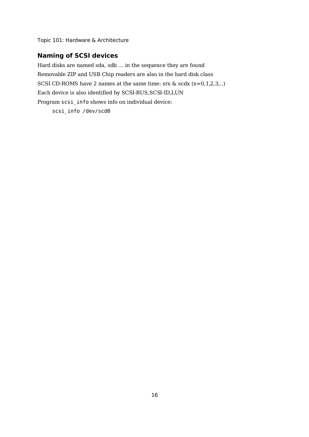### **Naming of SCSI devices**

Hard disks are named sda, sdb ... in the sequence they are found Removable ZIP and USB Chip readers are also in the hard disk class SCSI CD-ROMS have 2 names at the same time: srx & scdx (x=0,1,2,3,..) Each device is also identified by SCSI-BUS,SCSI-ID,LUN Program scsi\_info shows info on individual device: scsi\_info /dev/scd0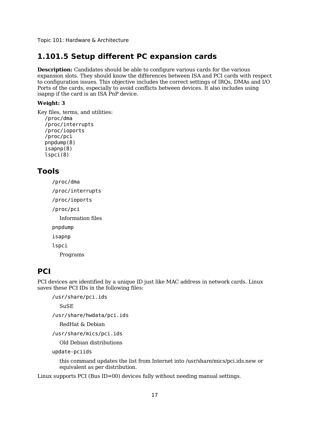## **1.101.5 Setup different PC expansion cards**

**Description:** Candidates should be able to configure various cards for the various expansion slots. They should know the differences between ISA and PCI cards with respect to configuration issues. This objective includes the correct settings of IRQs, DMAs and I/O Ports of the cards, especially to avoid conflicts between devices. It also includes using isapnp if the card is an ISA PnP device.

#### **Weight: 3**

Key files, terms, and utilities: /proc/dma /proc/interrupts /proc/ioports /proc/pci pnpdump(8) isapnp(8) lspci(8)

### **Tools**

/proc/dma /proc/interrupts /proc/ioports /proc/pci Information files pnpdump isapnp lspci

Programs

## **PCI**

PCI devices are identified by a unique ID just like MAC address in network cards. Linux saves these PCI IDs in the following files:

```
/usr/share/pci.ids
```
SuSE

/usr/share/hwdata/pci.ids

RedHat & Debian

/usr/share/mics/pci.ids

Old Debian distributions

```
update-pciids
```
this command updates the list from Internet into /usr/share/mics/pci.ids.new or equivalent as per distribution.

Linux supports PCI (Bus ID=00) devices fully without needing manual settings.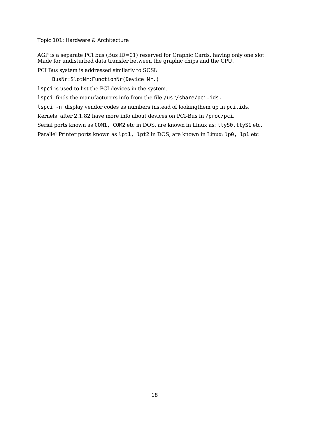AGP is a separate PCI bus (Bus ID=01) reserved for Graphic Cards, having only one slot. Made for undisturbed data transfer between the graphic chips and the CPU.

PCI Bus system is addressed similarly to SCSI:

BusNr:SlotNr:FunctionNr(Device Nr.)

lspci is used to list the PCI devices in the system.

lspci finds the manufacturers info from the file /usr/share/pci.ids.

lspci -n display vendor codes as numbers instead of lookingthem up in pci.ids.

Kernels after 2.1.82 have more info about devices on PCI-Bus in /proc/pci.

Serial ports known as COM1, COM2 etc in DOS, are known in Linux as: ttyS0, ttyS1 etc.

Parallel Printer ports known as lpt1, lpt2 in DOS, are known in Linux: lp0, lp1 etc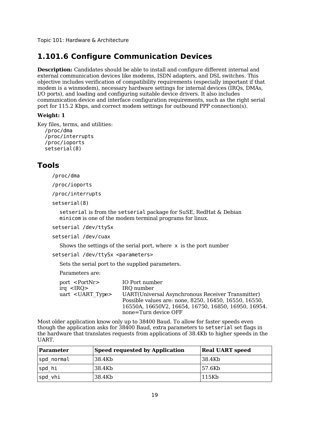## **1.101.6 Configure Communication Devices**

**Description:** Candidates should be able to install and configure different internal and external communication devices like modems, ISDN adapters, and DSL switches. This objective includes verification of compatibility requirements (especially important if that modem is a winmodem), necessary hardware settings for internal devices (IRQs, DMAs, I/O ports), and loading and configuring suitable device drivers. It also includes communication device and interface configuration requirements, such as the right serial port for 115.2 Kbps, and correct modem settings for outbound PPP connection(s).

#### **Weight: 1**

```
Key files, terms, and utilities:
/proc/dma
/proc/interrupts
/proc/ioports
setserial(8)
```
### **Tools**

/proc/dma

/proc/ioports

/proc/interrupts

setserial(8)

setserial is from the setserial package for SuSE, RedHat & Debian minicom is one of the modem terminal programs for linux.

setserial /dev/ttySx

setserial /dev/cuax

Shows the settings of the serial port, where  $x$  is the port number

setserial /dev/ttySx <parameters>

Sets the serial port to the supplied parameters.

Parameters are:

| port <portnr></portnr>     | IO Port number                                        |
|----------------------------|-------------------------------------------------------|
| $\text{irq}$ <irq></irq>   | IRO number                                            |
| uart <uart type=""></uart> | UART(Universal Asynchronous Receiver Transmitter)     |
|                            | Possible values are: none, 8250, 16450, 16550, 16550, |
|                            | 16550A, 16650V2, 16654, 16750, 16850, 16950, 16954.   |
|                            | none=Turn device OFF                                  |

Most older application know only up to 38400 Baud. To allow for faster speeds even though the application asks for 38400 Baud, extra parameters to setserial set flags in the hardware that translates requests from applications of 38.4Kb to higher speeds in the UART.

| Parameter  | <b>Speed requested by Application</b> | <b>Real UART speed</b> |
|------------|---------------------------------------|------------------------|
| spd normal | 38.4Kb                                | 38.4Kb                 |
| spd hi     | 38.4Kb                                | 57.6Kb                 |
| spd vhi    | 38.4Kb                                | 115Kb                  |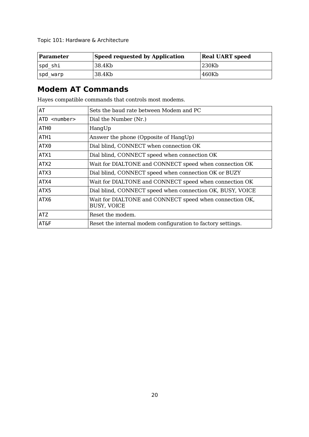| Parameter | <b>Speed requested by Application</b> | <b>Real UART speed</b> |
|-----------|---------------------------------------|------------------------|
| Ispd shi  | 38.4Kb                                | 230Kb                  |
| spd_warp  | 38.4Kb                                | 460Kb                  |

## **Modem AT Commands**

Hayes compatible commands that controls most modems.

| AT                    | Sets the baud rate between Modem and PC                                       |
|-----------------------|-------------------------------------------------------------------------------|
| ATD <number></number> | Dial the Number (Nr.)                                                         |
| ATH0                  | HangUp                                                                        |
| ATH1                  | Answer the phone (Opposite of HangUp)                                         |
| ATX0                  | Dial blind, CONNECT when connection OK                                        |
| ATX1                  | Dial blind, CONNECT speed when connection OK                                  |
| ATX2                  | Wait for DIALTONE and CONNECT speed when connection OK                        |
| ATX3                  | Dial blind, CONNECT speed when connection OK or BUZY                          |
| ATX4                  | Wait for DIALTONE and CONNECT speed when connection OK                        |
| ATX5                  | Dial blind, CONNECT speed when connection OK, BUSY, VOICE                     |
| ATX6                  | Wait for DIALTONE and CONNECT speed when connection OK,<br><b>BUSY, VOICE</b> |
| ATZ                   | Reset the modem.                                                              |
| AT&F                  | Reset the internal modem configuration to factory settings.                   |
|                       |                                                                               |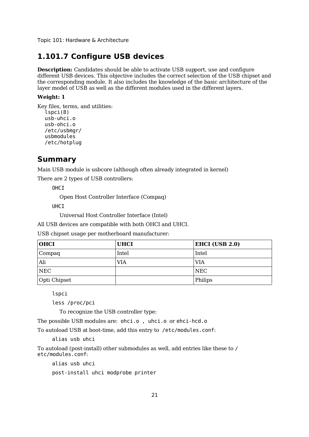## **1.101.7 Configure USB devices**

**Description:** Candidates should be able to activate USB support, use and configure different USB devices. This objective includes the correct selection of the USB chipset and the corresponding module. It also includes the knowledge of the basic architecture of the layer model of USB as well as the different modules used in the different layers.

#### **Weight: 1**

```
Key files, terms, and utilities:
lspci(8)
usb-uhci.o
usb-ohci.o
/etc/usbmgr/
usbmodules
/etc/hotplug
```
### **Summary**

Main USB module is usbcore (although often already integrated in kernel)

There are 2 types of USB controllers:

OHCI

Open Host Controller Interface (Compaq)

UHCI

Universal Host Controller Interface (Intel)

All USB devices are compatible with both OHCI and UHCI.

USB chipset usage per motherboard manufacturer:

| <b>OHCI</b>  | <b>UHCI</b> | EHCI (USB 2.0) |
|--------------|-------------|----------------|
| Compaq       | Intel       | Intel          |
| Ali          | VIA         | VIA            |
| <b>NEC</b>   |             | <b>NEC</b>     |
| Opti Chipset |             | Philips        |

lspci

less /proc/pci

To recognize the USB controller type:

The possible USB modules are: ohci.o , uhci.o or ehci-hcd.o

To autoload USB at boot-time, add this entry to /etc/modules.conf:

alias usb uhci

To autoload (post-install) other submodules as well, add entries like these to / etc/modules.conf:

alias usb uhci

post-install uhci modprobe printer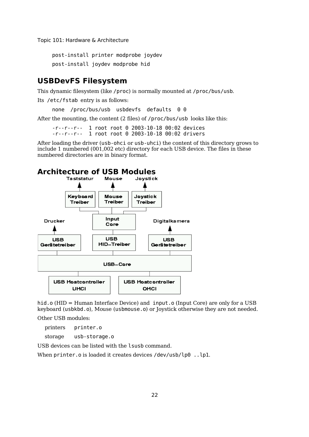post-install printer modprobe joydev post-install joydev modprobe hid

### **USBDevFS Filesystem**

This dynamic filesystem (like /proc) is normally mounted at /proc/bus/usb.

Its /etc/fstab entry is as follows:

none /proc/bus/usb usbdevfs defaults 0 0

After the mounting, the content (2 files) of /proc/bus/usb looks like this:

-r--r--r-- 1 root root 0 2003-10-18 00:02 devices -r--r--r-- 1 root root 0 2003-10-18 00:02 drivers

After loading the driver (usb-ohci or usb-uhci) the content of this directory grows to include 1 numbered (001,002 etc) directory for each USB device. The files in these numbered directories are in binary format.

# **Architecture of USB Modules**



hid.o (HID = Human Interface Device) and input.o (Input Core) are only for a USB keyboard (usbkbd.o), Mouse (usbmouse.o) or Joystick otherwise they are not needed.

Other USB modules:

printers printer.o

storage usb-storage.o

USB devices can be listed with the lsusb command.

When printer.o is loaded it creates devices /dev/usb/lp0 ..lp1.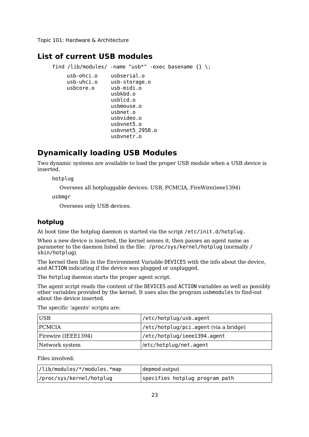### **List of current USB modules**

```
find /lib/modules/ -name "usb*" -exec basename \{\} \:
  usb-ohci.o usbserial.o
  usb-uhci.o usb-storage.o
  usbcore.o usb-midi.o
                usbkbd.o
                usblcd.o
                usbmouse.o
                usbnet.o
                usbvideo.o
                usbvnet5.o
                usbvnet5_2958.o
                usbvnetr.o
```
## **Dynamically loading USB Modules**

Two dynamic systems are available to load the proper USB module when a USB device is inserted.

hotplug

Oversees all hotpluggable devices: USB, PCMCIA, FireWire(ieee1394)

usbmgr

Oversees only USB devices.

#### **hotplug**

At boot time the hotplug daemon is started via the script /etc/init.d/hotplug.

When a new device is inserted, the kernel senses it, then passes an agent name as parameter to the daemon listed in the file: /proc/sys/kernel/hotplug (normally / sbin/hotplug).

The kernel then fills in the Environment Variable DEVICES with the info about the device, and ACTION indicating if the device was plugged or unplugged.

The hotplug daemon starts the proper agent script.

The agent script reads the content of the DEVICES and ACTION variables as well as possibly other variables provided by the kernel. It uses also the program usbmodules to find-out about the device inserted.

The specific 'agents' scripts are:

| <b>USB</b>          | /etc/hotplug/usb.agent                |
|---------------------|---------------------------------------|
| <b>PCMCIA</b>       | /etc/hotplug/pci.agent (via a bridge) |
| Firewire (IEEE1394) | /etc/hotplug/ieee1394.agent           |
| Network system      | /etc/hotplug/net.agent                |

Files involved:

| //lib/modules/*/modules.*map | depmod output                  |
|------------------------------|--------------------------------|
| /proc/sys/kernel/hotplug     | specifies hotplug program path |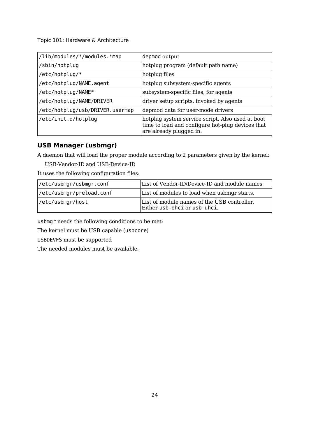| /lib/modules/*/modules.*map     | depmod output                                                                                                                   |
|---------------------------------|---------------------------------------------------------------------------------------------------------------------------------|
| /sbin/hotplug                   | hotplug program (default path name)                                                                                             |
| /etc/hotplug/*                  | hotplug files                                                                                                                   |
| /etc/hotplug/NAME.agent         | hotplug subsystem-specific agents                                                                                               |
| /etc/hotplug/NAME*              | subsystem-specific files, for agents                                                                                            |
| /etc/hotplug/NAME/DRIVER        | driver setup scripts, invoked by agents                                                                                         |
| /etc/hotplug/usb/DRIVER.usermap | depmod data for user-mode drivers                                                                                               |
| /etc/init.d/hotplug             | hotplug system service script. Also used at boot<br>time to load and configure hot-plug devices that<br>are already plugged in. |

### **USB Manager (usbmgr)**

A daemon that will load the proper module according to 2 parameters given by the kernel:

USB-Vendor-ID and USB-Device-ID

It uses the following configuration files:

| /etc/usbmgr/usbmgr.conf  | List of Vendor-ID/Device-ID and module names                                |
|--------------------------|-----------------------------------------------------------------------------|
| /etc/usbmgr/preload.conf | List of modules to load when usbmgr starts.                                 |
| /etc/usbmgr/host         | List of module names of the USB controller.<br>Either usb-ohci or usb-uhci. |

usbmgr needs the following conditions to be met:

The kernel must be USB capable (usbcore)

USBDEVFS must be supported

The needed modules must be available.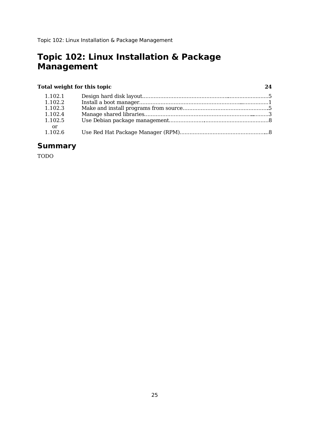# **Topic 102: Linux Installation & Package Management**

## **Total weight for this topic 24**

| 1.102.1 |  |
|---------|--|
| 1.102.2 |  |
| 1.102.3 |  |
| 1.102.4 |  |
| 1.102.5 |  |
| — or    |  |
| 1.102.6 |  |

# **Summary**

TODO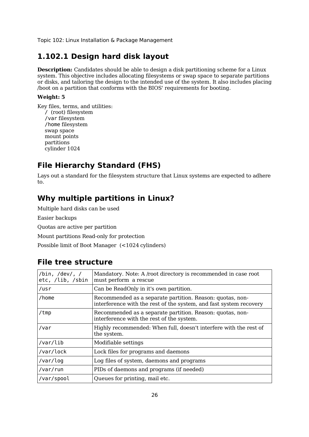# **1.102.1 Design hard disk layout**

**Description:** Candidates should be able to design a disk partitioning scheme for a Linux system. This objective includes allocating filesystems or swap space to separate partitions or disks, and tailoring the design to the intended use of the system. It also includes placing /boot on a partition that conforms with the BIOS' requirements for booting.

### **Weight: 5**

Key files, terms, and utilities: / (root) filesystem /var filesystem /home filesystem swap space mount points partitions cylinder 1024

# **File Hierarchy Standard (FHS)**

Lays out a standard for the filesystem structure that Linux systems are expected to adhere to.

# **Why multiple partitions in Linux?**

Multiple hard disks can be used

Easier backups

Quotas are active per partition

Mount partitions Read-only for protection

Possible limit of Boot Manager (<1024 cylinders)

## **File tree structure**

| /bin, /dev/, /<br>etc, /lib, /sbin | Mandatory. Note: A /root directory is recommended in case root<br>must perform a rescue                                         |
|------------------------------------|---------------------------------------------------------------------------------------------------------------------------------|
| /usr                               | Can be ReadOnly in it's own partition.                                                                                          |
| /home                              | Recommended as a separate partition. Reason: quotas, non-<br>interference with the rest of the system, and fast system recovery |
| /tmp                               | Recommended as a separate partition. Reason: quotas, non-<br>interference with the rest of the system.                          |
| /var                               | Highly recommended: When full, doesn't interfere with the rest of<br>the system.                                                |
| /var/lib                           | Modifiable settings                                                                                                             |
| /var/lock                          | Lock files for programs and daemons                                                                                             |
| /var/log                           | Log files of system, daemons and programs                                                                                       |
| /var/run                           | PIDs of daemons and programs (if needed)                                                                                        |
| /var/spool                         | Queues for printing, mail etc.                                                                                                  |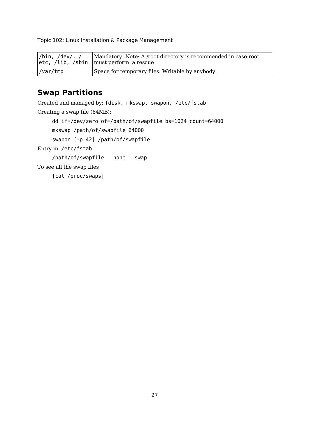| /bin, /dev/, / | Mandatory. Note: A /root directory is recommended in case root<br>$ etc, /lib, /sbin   must perform a rescue$ |
|----------------|---------------------------------------------------------------------------------------------------------------|
| /var/tmp       | Space for temporary files. Writable by anybody.                                                               |

# **Swap Partitions**

Created and managed by: fdisk, mkswap, swapon, /etc/fstab Creating a swap file (64MB): dd if=/dev/zero of=/path/of/swapfile bs=1024 count=64000 mkswap /path/of/swapfile 64000 swapon [-p 42] /path/of/swapfile Entry in /etc/fstab /path/of/swapfile none swap To see all the swap files [cat /proc/swaps]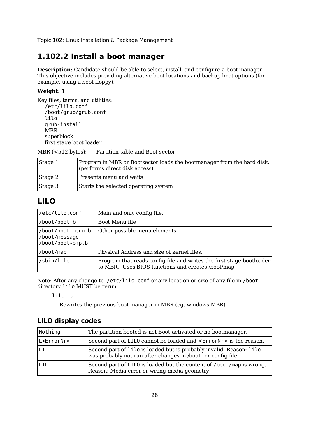# **1.102.2 Install a boot manager**

**Description:** Candidate should be able to select, install, and configure a boot manager. This objective includes providing alternative boot locations and backup boot options (for example, using a boot floppy).

### **Weight: 1**

Key files, terms, and utilities: /etc/lilo.conf /boot/grub/grub.conf lilo grub-install MBR superblock first stage boot loader

MBR (<512 bytes): Partition table and Boot sector

| Stage 1 | Program in MBR or Bootsector loads the bootmanager from the hard disk.<br>(performs direct disk access) |
|---------|---------------------------------------------------------------------------------------------------------|
| Stage 2 | Presents menu and waits                                                                                 |
| Stage 3 | Starts the selected operating system                                                                    |

## **LILO**

| /etc/lilo.conf                                         | Main and only config file.                                                                                                |
|--------------------------------------------------------|---------------------------------------------------------------------------------------------------------------------------|
| /boot/boot.b                                           | Boot Menu file                                                                                                            |
| /boot/boot-menu.b<br>/boot/message<br>/boot/boot-bmp.b | Other possible menu elements                                                                                              |
| /boot/map                                              | Physical Address and size of kernel files.                                                                                |
| /sbin/lilo                                             | Program that reads config file and writes the first stage bootloader<br>to MBR. Uses BIOS functions and creates /boot/map |

Note: After any change to /etc/lilo.conf or any location or size of any file in /boot directory lilo MUST be rerun.

lilo -u

Rewrites the previous boot manager in MBR (eg. windows MBR)

## **LILO display codes**

| Nothing               | The partition booted is not Boot-activated or no bootmanager.                                                                      |
|-----------------------|------------------------------------------------------------------------------------------------------------------------------------|
| L <errornr></errornr> | Second part of LILO cannot be loaded and <errornr> is the reason.</errornr>                                                        |
|                       | Second part of lilo is loaded but is probably invalid. Reason: lilo<br>was probably not run after changes in /boot or config file. |
| I TI                  | Second part of LILO is loaded but the content of /boot/map is wrong.<br>Reason: Media error or wrong media geometry.               |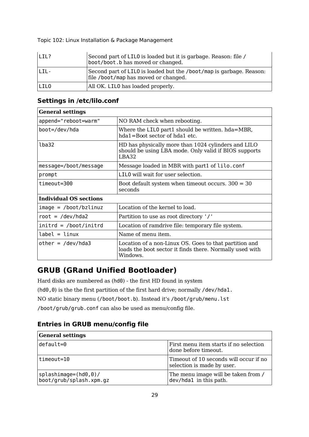| $ LTI $ ?                        | Second part of LILO is loaded but it is garbage. Reason: file /<br>boot/boot.b has moved or changed.        |
|----------------------------------|-------------------------------------------------------------------------------------------------------------|
| $\overline{1}$ TI $\overline{2}$ | Second part of LILO is loaded but the /boot/map is garbage. Reason:<br>file /boot/map has moved or changed. |
| LIL0                             | All OK. LILO has loaded properly.                                                                           |

# **Settings in /etc/lilo.conf**

| <b>General settings</b>   |                                                                                                                                |  |
|---------------------------|--------------------------------------------------------------------------------------------------------------------------------|--|
| append="reboot=warm"      | NO RAM check when rebooting.                                                                                                   |  |
| boot=/dev/hda             | Where the LILO part1 should be written. hda=MBR,<br>hda1=Boot sector of hda1 etc.                                              |  |
| lba32                     | HD has physically more than 1024 cylinders and LILO<br>should be using LBA mode. Only valid if BIOS supports<br>LBA32          |  |
| message=/boot/message     | Message loaded in MBR with part1 of lilo.conf                                                                                  |  |
| prompt                    | LILO will wait for user selection.                                                                                             |  |
| timeout=300               | Boot default system when timeout occurs. $300 = 30$<br>seconds                                                                 |  |
| Individual OS sections    |                                                                                                                                |  |
| image = /boot/bzlinuz     | Location of the kernel to load.                                                                                                |  |
| $root = /dev/hda2$        | Partition to use as root directory '/'                                                                                         |  |
| $initial = /boot/initial$ | Location of ramdrive file: temporary file system.                                                                              |  |
| label = linux             | Name of menu item.                                                                                                             |  |
| $other = /dev/hda3$       | Location of a non-Linux OS. Goes to that partition and<br>loads the boot sector it finds there. Normally used with<br>Windows. |  |

# **GRUB (GRand Unified Bootloader)**

Hard disks are numbered as (hd0) - the first HD found in system (hd0,0) is the the first partition of the first hard drive; normally /dev/hda1. NO static binary menu (/boot/boot.b). Instead it's /boot/grub/menu.lst /boot/grub/grub.conf can also be used as menu/config file.

## **Entries in GRUB menu/config file**

| <b>General settings</b>                           |                                                                      |
|---------------------------------------------------|----------------------------------------------------------------------|
| default=0                                         | First menu item starts if no selection<br>done before timeout.       |
| timeout=10                                        | Timeout of 10 seconds will occur if no<br>selection is made by user. |
| $splashimage=(hd0,0)/$<br>boot/grub/splash.xpm.gz | The menu image will be taken from /<br>dev/hda1 in this path.        |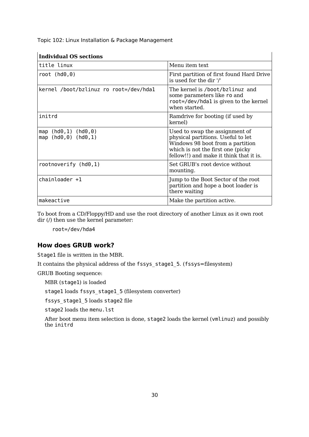| <b>Individual OS sections</b> |  |
|-------------------------------|--|
|                               |  |

| munuuai O3 settiviis                         |                                                                                                                                                                                           |
|----------------------------------------------|-------------------------------------------------------------------------------------------------------------------------------------------------------------------------------------------|
| title linux                                  | Menu item text                                                                                                                                                                            |
| root $(hd\theta, \theta)$                    | First partition of first found Hard Drive<br>is used for the dir '/'                                                                                                                      |
| kernel /boot/bzlinuz ro root=/dev/hda1       | The kernel is /boot/bzlinuz and<br>some parameters like ro and<br>root=/dev/hda1 is given to the kernel<br>when started.                                                                  |
| initrd                                       | Ramdrive for booting (if used by<br>kernel)                                                                                                                                               |
| map (hd0,1) (hd0,0)<br>map (hd0, 0) (hd0, 1) | Used to swap the assignment of<br>physical partitions. Useful to let<br>Windows 98 boot from a partition<br>which is not the first one (picky)<br>fellow!!) and make it think that it is. |
| rootnoverify $(hd0,1)$                       | Set GRUB's root device without<br>mounting.                                                                                                                                               |
| $chainloader +1$                             | Jump to the Boot Sector of the root<br>partition and hope a boot loader is<br>there waiting                                                                                               |
| makeactive                                   | Make the partition active.                                                                                                                                                                |

 $\mathbb{R}$ 

To boot from a CD/Floppy/HD and use the root directory of another Linux as it own root dir (/) then use the kernel parameter:

root=/dev/hda4

## **How does GRUB work?**

Stage1 file is written in the MBR.

It contains the physical address of the fssys stage1 5. (fssys=filesystem)

GRUB Booting sequence:

MBR (stage1) is loaded

stage1 loads fssys\_stage1\_5 (filesystem converter)

fssys\_stage1\_5 loads stage2 file

stage2 loads the menu.lst

After boot menu item selection is done, stage2 loads the kernel (vmlinuz) and possibly the initrd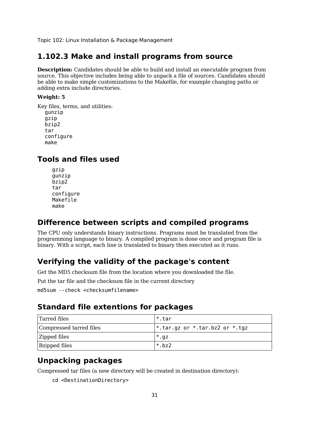## **1.102.3 Make and install programs from source**

**Description:** Candidates should be able to build and install an executable program from source. This objective includes being able to unpack a file of sources. Candidates should be able to make simple customizations to the Makefile, for example changing paths or adding extra include directories.

#### **Weight: 5**

Key files, terms, and utilities: gunzip gzip bzip2 tar configure make

# **Tools and files used**

gzip gunzip bzip2 tar configure Makefile make

## **Difference between scripts and compiled programs**

The CPU only understands binary instructions. Programs must be translated from the programming language to binary. A compiled program is done once and program file is binary. With a script, each line is translated to binary then executed as it runs.

# **Verifying the validity of the package's content**

Get the MD5 checksum file from the location where you downloaded the file.

Put the tar file and the checksum file in the current directory

md5sum --check <checksumfilename>

# **Standard file extentions for packages**

| Tarred files            | ı*.tar                                 |
|-------------------------|----------------------------------------|
| Compressed tarred files | $\vert$ *.tar.gz or *.tar.bz2 or *.tgz |
| <b>Zipped files</b>     | $*$ .gz                                |
| <b>Bzipped files</b>    | $*$ . bz2                              |

# **Unpacking packages**

Compressed tar files (a new directory will be created in destination directory):

cd <DestinationDirectory>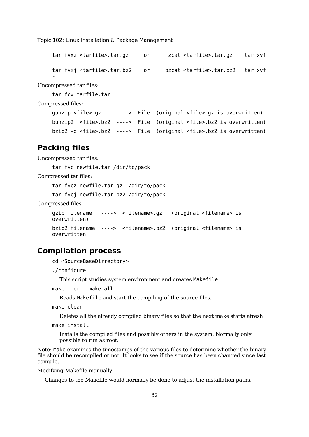```
tar fvxz <tarfile>.tar.gz or zcat <tarfile>.tar.gz | tar xvf
-
tar fvxj <tarfile>.tar.bz2 or bzcat <tarfile>.tar.bz2 | tar xvf
-
```
Uncompressed tar files:

tar fcx tarfile.tar

Compressed files:

```
gunzip <file>.gz ----> File (original <file>.gz is overwritten)
bunzip2 <file>.bz2 ----> File (original <file>.bz2 is overwritten)
bzip2 -d <file>.bz2 ----> File (original <file>.bz2 is overwritten)
```
## **Packing files**

Uncompressed tar files:

tar fvc newfile.tar /dir/to/pack

Compressed tar files:

tar fvcz newfile.tar.gz /dir/to/pack

tar fvcj newfile.tar.bz2 /dir/to/pack

Compressed files

```
gzip filename ----> <filename>.gz (original <filename> is
overwritten)
bzip2 filename ----> <filename>.bz2 (original <filename> is
overwritten
```
## **Compilation process**

cd <SourceBaseDirrectory>

./configure

This script studies system environment and creates Makefile

```
make or make all
```
Reads Makefile and start the compiling of the source files.

make clean

Deletes all the already compiled binary files so that the next make starts afresh.

make install

Installs the compiled files and possibly others in the system. Normally only possible to run as root.

Note: make examines the timestamps of the various files to determine whether the binary file should be recompiled or not. It looks to see if the source has been changed since last compile.

Modifying Makefile manually

Changes to the Makefile would normally be done to adjust the installation paths.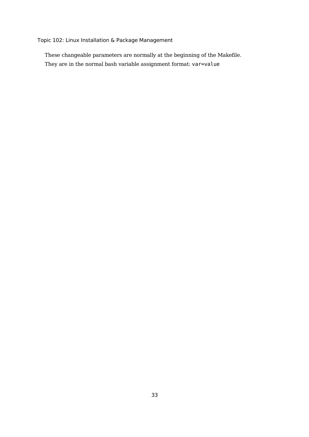These changeable parameters are normally at the beginning of the Makefile. They are in the normal bash variable assignment format: var=value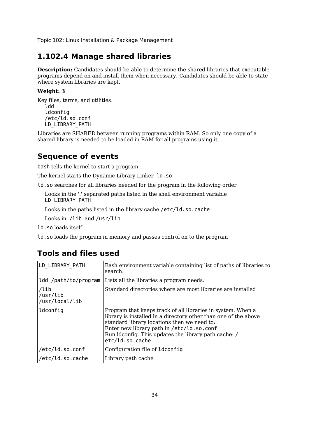# **1.102.4 Manage shared libraries**

**Description:** Candidates should be able to determine the shared libraries that executable programs depend on and install them when necessary. Candidates should be able to state where system libraries are kept.

### **Weight: 3**

Key files, terms, and utilities: ldd **ldconfig** /etc/ld.so.conf LD\_LIBRARY\_PATH

Libraries are SHARED between running programs within RAM. So only one copy of a shared library is needed to be loaded in RAM for all programs using it.

# **Sequence of events**

bash tells the kernel to start a program

The kernel starts the Dynamic Library Linker ld.so

ld.so searches for all libraries needed for the program in the following order

Looks in the ':' separated paths listed in the shell environment variable LD\_LIBRARY\_PATH

Looks in the paths listed in the library cache /etc/ld.so.cache

Looks in /lib and /usr/lib

ld.so loads itself

ld.so loads the program in memory and passes control on to the program

# **Tools and files used**

| LD LIBRARY PATH                             | Bash environment variable containing list of paths of libraries to<br>search.                                                                                                                                                                                                                         |
|---------------------------------------------|-------------------------------------------------------------------------------------------------------------------------------------------------------------------------------------------------------------------------------------------------------------------------------------------------------|
| ldd /path/to/program                        | Lists all the libraries a program needs.                                                                                                                                                                                                                                                              |
| $\lambda$ lib<br>/usr/lib<br>/usr/local/lib | Standard directories where are most libraries are installed                                                                                                                                                                                                                                           |
| ldconfig                                    | Program that keeps track of all libraries in system. When a<br>library is installed in a directory other than one of the above<br>standard library locations then we need to:<br>Enter new library path in /etc/ld.so.conf<br>Run Idconfig. This updates the library path cache: /<br>etc/ld.so.cache |
| /etc/ld.so.conf                             | Configuration file of Idconfig                                                                                                                                                                                                                                                                        |
| /etc/ld.so.cache                            | Library path cache                                                                                                                                                                                                                                                                                    |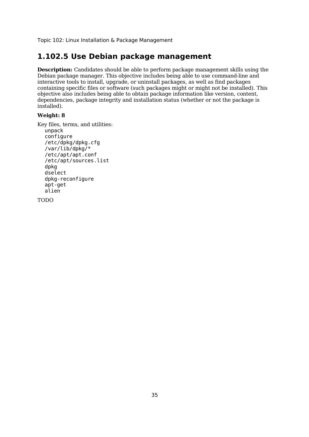# **1.102.5 Use Debian package management**

**Description:** Candidates should be able to perform package management skills using the Debian package manager. This objective includes being able to use command-line and interactive tools to install, upgrade, or uninstall packages, as well as find packages containing specific files or software (such packages might or might not be installed). This objective also includes being able to obtain package information like version, content, dependencies, package integrity and installation status (whether or not the package is installed).

### **Weight: 8**

Key files, terms, and utilities:

```
unpack
configure
/etc/dpkg/dpkg.cfg
/var/lib/dpkg/*
/etc/apt/apt.conf
/etc/apt/sources.list
dpkg
dselect
dpkg-reconfigure
apt-get
alien
```
TODO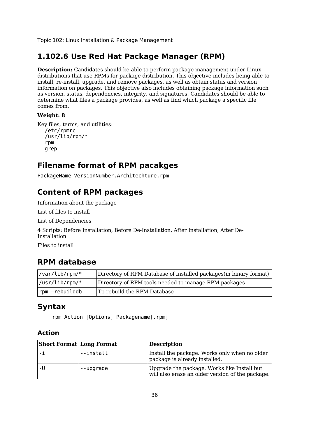# **1.102.6 Use Red Hat Package Manager (RPM)**

**Description:** Candidates should be able to perform package management under Linux distributions that use RPMs for package distribution. This objective includes being able to install, re-install, upgrade, and remove packages, as well as obtain status and version information on packages. This objective also includes obtaining package information such as version, status, dependencies, integrity, and signatures. Candidates should be able to determine what files a package provides, as well as find which package a specific file comes from.

### **Weight: 8**

```
Key files, terms, and utilities:
  /etc/rpmrc
  /usr/lib/rpm/*
  rpm
  grep
```
# **Filename format of RPM pacakges**

PackageName-VersionNumber.Architechture.rpm

# **Content of RPM packages**

Information about the package

List of files to install

List of Dependencies

4 Scripts: Before Installation, Before De-Installation, After Installation, After De-Installation

Files to install

## **RPM database**

| $\sqrt{var/lib/rpm/^*}$             | Directory of RPM Database of installed packages (in binary format) |
|-------------------------------------|--------------------------------------------------------------------|
| $\frac{1}{\sqrt{2}}$ /usr/lib/rpm/* | Directory of RPM tools needed to manage RPM packages               |
| rpm -rebuilddb                      | To rebuild the RPM Database                                        |

## **Syntax**

rpm Action [Options] Packagename[.rpm]

## **Action**

| <b>Short Format Long Format</b> |           | <b>Description</b>                                                                              |
|---------------------------------|-----------|-------------------------------------------------------------------------------------------------|
|                                 | --install | Install the package. Works only when no older<br>package is already installed.                  |
|                                 | --upgrade | Upgrade the package. Works like Install but<br>will also erase an older version of the package. |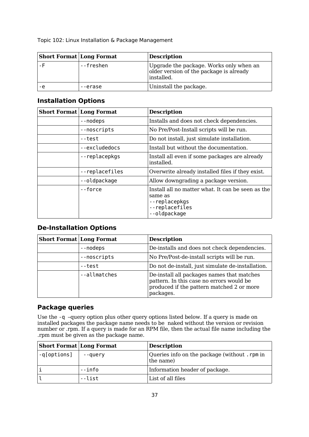| <b>Short Format Long Format</b> |           | <b>Description</b>                                                                               |  |  |  |  |  |  |  |
|---------------------------------|-----------|--------------------------------------------------------------------------------------------------|--|--|--|--|--|--|--|
|                                 | --freshen | Upgrade the package. Works only when an<br>older version of the package is already<br>installed. |  |  |  |  |  |  |  |
| -е                              | --erase   | Uninstall the package.                                                                           |  |  |  |  |  |  |  |

## **Installation Options**

| <b>Short Format Long Format</b> |                | <b>Description</b>                                                                                              |  |  |  |  |  |
|---------------------------------|----------------|-----------------------------------------------------------------------------------------------------------------|--|--|--|--|--|
|                                 | --nodeps       | Installs and does not check dependencies.                                                                       |  |  |  |  |  |
|                                 | --noscripts    | No Pre/Post-Install scripts will be run.                                                                        |  |  |  |  |  |
|                                 | --test         | Do not install, just simulate installation.                                                                     |  |  |  |  |  |
|                                 | --excludedocs  | Install but without the documentation.                                                                          |  |  |  |  |  |
|                                 | --replacepkgs  | Install all even if some packages are already<br>installed.                                                     |  |  |  |  |  |
|                                 | --replacefiles | Overwrite already installed files if they exist.                                                                |  |  |  |  |  |
|                                 | --oldpackage   | Allow downgrading a package version.                                                                            |  |  |  |  |  |
|                                 | --force        | Install all no matter what. It can be seen as the<br>same as<br>--replacepkgs<br>--replacefiles<br>--oldpackage |  |  |  |  |  |

## **De-Installation Options**

| <b>Short Format Long Format</b> |              | <b>Description</b>                                                                                                                               |  |  |  |  |  |
|---------------------------------|--------------|--------------------------------------------------------------------------------------------------------------------------------------------------|--|--|--|--|--|
|                                 | --nodeps     | De-installs and does not check dependencies.                                                                                                     |  |  |  |  |  |
|                                 | --noscripts  | No Pre/Post-de-install scripts will be run.                                                                                                      |  |  |  |  |  |
|                                 | --test       | Do not de-install, just simulate de-installation.                                                                                                |  |  |  |  |  |
|                                 | --allmatches | De-install all packages names that matches<br>pattern. In this case no errors would be<br>produced if the pattern matched 2 or more<br>packages. |  |  |  |  |  |

# **Package queries**

Use the -q –query option plus other query options listed below. If a query is made on installed packages the package name needs to be naked without the version or revision number or .rpm. If a query is made for an RPM file, then the actual file name including the .rpm must be given as the package name.

| <b>Short Format Long Format</b> |         | <b>Description</b>                                         |
|---------------------------------|---------|------------------------------------------------------------|
| -q[options]                     | --query | Queries info on the package (without . rpm in<br>the name) |
|                                 | --info  | Information header of package.                             |
|                                 | --list  | List of all files                                          |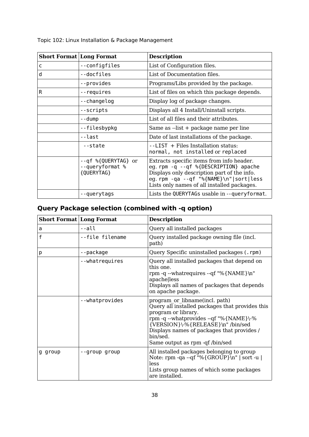| <b>Short Format Long Format</b> |                                                      | <b>Description</b>                                                                                                                                                                                                        |  |  |  |  |  |  |
|---------------------------------|------------------------------------------------------|---------------------------------------------------------------------------------------------------------------------------------------------------------------------------------------------------------------------------|--|--|--|--|--|--|
| c                               | --configfiles                                        | List of Configuration files.                                                                                                                                                                                              |  |  |  |  |  |  |
| d                               | --docfiles                                           | List of Documentation files.                                                                                                                                                                                              |  |  |  |  |  |  |
|                                 | --provides                                           | Programs/Libs provided by the package.                                                                                                                                                                                    |  |  |  |  |  |  |
| R                               | --requires                                           | List of files on which this package depends.                                                                                                                                                                              |  |  |  |  |  |  |
|                                 | --changelog                                          | Display log of package changes.                                                                                                                                                                                           |  |  |  |  |  |  |
|                                 | --scripts                                            | Displays all 4 Install/Uninstall scripts.                                                                                                                                                                                 |  |  |  |  |  |  |
|                                 | --dump                                               | List of all files and their attributes.                                                                                                                                                                                   |  |  |  |  |  |  |
|                                 | --filesbypkg                                         | Same as --list + package name per line                                                                                                                                                                                    |  |  |  |  |  |  |
|                                 | --last                                               | Date of last installations of the package.                                                                                                                                                                                |  |  |  |  |  |  |
|                                 | --state                                              | --LIST + Files Installation status:<br>normal, not installed or replaced                                                                                                                                                  |  |  |  |  |  |  |
|                                 | --qf %{QUERYTAG} or<br>--queryformat %<br>{QUERYTAG} | Extracts specific items from info header.<br>eg. rpm -q --qf %{DESCRIPTION} apache<br>Displays only description part of the info.<br>eg.rpm -qa --qf "%{NAME}\n" sort less<br>Lists only names of all installed packages. |  |  |  |  |  |  |
|                                 | --querytags                                          | Lists the QUERYTAGs usable in --queryformat.                                                                                                                                                                              |  |  |  |  |  |  |

# **Query Package selection (combined with -q option)**

| <b>Short Format Long Format</b> |                 | <b>Description</b>                                                                                                                                                                                                                                                                  |  |  |  |  |  |  |
|---------------------------------|-----------------|-------------------------------------------------------------------------------------------------------------------------------------------------------------------------------------------------------------------------------------------------------------------------------------|--|--|--|--|--|--|
| a                               | --all           | Query all installed packages                                                                                                                                                                                                                                                        |  |  |  |  |  |  |
| f                               | --file filename | Query installed package owning file (incl.<br>path)                                                                                                                                                                                                                                 |  |  |  |  |  |  |
| p                               | --package       | Query Specific uninstalled packages (.rpm)                                                                                                                                                                                                                                          |  |  |  |  |  |  |
|                                 | --whatrequires  | Query all installed packages that depend on<br>this one.<br>rpm -q --whatrequires --qf "%{NAME}\n"<br>apachelless<br>Displays all names of packages that depends<br>on apache package.                                                                                              |  |  |  |  |  |  |
|                                 | --whatprovides  | program or libname(incl. path)<br>Query all installed packages that provides this<br>program or library.<br>rpm -q --whatprovides --qf "%{NAME}\-%<br>{VERSION}\-%{RELEASE}\n"/bin/sed<br>Displays names of packages that provides /<br>bin/sed.<br>Same output as rpm -qf /bin/sed |  |  |  |  |  |  |
| g group                         | --group group   | All installed packages belonging to group<br>Note: rpm -qa --qf "%{GROUP}\n"   sort -u  <br>less<br>Lists group names of which some packages<br>are installed.                                                                                                                      |  |  |  |  |  |  |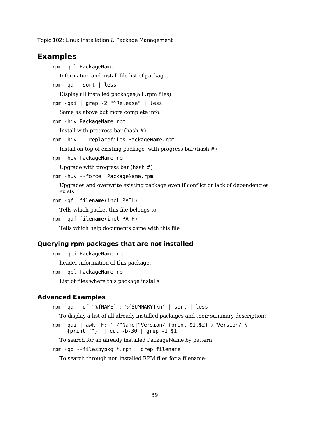## **Examples**

```
rpm -qil PackageName
  Information and install file list of package.
rpm -qa | sort | less
  Display all installed packages(all .rpm files)
rpm -qai | grep -2 "^Release" | less
  Same as above but more complete info.
rpm -hiv PackageName.rpm
  Install with progress bar (hash #)
rpm -hiv --replacefiles PackageName.rpm
  Install on top of existing package with progress bar (hash #)
rpm -hUv PackageName.rpm
  Upgrade with progress bar (hash #)
rpm -hUv --force PackageName.rpm
  Upgrades and overwrite existing package even if conflict or lack of dependencies
  exists.
rpm -qf filename(incl PATH)
  Tells which packet this file belongs to
rpm -qdf filename(incl PATH)
  Tells which help documents came with this file
```
### **Querying rpm packages that are not installed**

```
rpm -qpi PackageName.rpm
  header information of this package.
rpm -qpl PackageName.rpm
  List of files where this package installs
```
### **Advanced Examples**

```
rpm -qa --qf "%{NAME} : %{SUMMARY}\n" | sort | less
```
To display a list of all already installed packages and their summary description:

rpm -qai | awk -F: ' /^Name|^Version/ {print \$1,\$2} /^Version/ \ {print ""}' | cut -b-30 | grep -1 \$1

To search for an already installed PackageName by pattern:

rpm -qp --filesbypkg \*.rpm | grep filename

To search through non installed RPM files for a filename: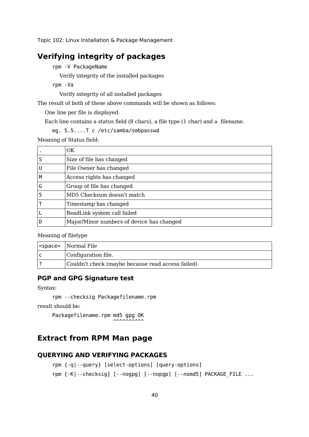# **Verifying integrity of packages**

rpm -V PackageName

Verify integrity of the installed packages

rpm -Va

Verify integrity of all installed packages

The result of both of these above commands will be shown as follows:

One line per file is displayed.

Each line contains a status field (8 chars), a file type (1 char) and a filename.

eg. S.5....T c /etc/samba/smbpasswd

Meaning of Status field:

|   | OK                                        |
|---|-------------------------------------------|
|   | Size of file has changed                  |
| U | File Owner has changed                    |
| М | Access rights has changed                 |
| G | Group of file has changed                 |
|   | MD5 Checksum doesn't match                |
|   | Timestamp has changed                     |
|   | ReadLink system call failed               |
|   | Major/Minor numbers of device has changed |

Meaning of filetype

| <space>   Normal File</space>                     |
|---------------------------------------------------|
| Configuration file.                               |
| Couldn't check (maybe because read access failed) |

## **PGP and GPG Signature test**

Syntax:

```
rpm --checksig Packagefilename.rpm
```
result should be:

Packagefilename.rpm md5 gpg OK  $\sim$ 

# **Extract from RPM Man page**

## **QUERYING AND VERIFYING PACKAGES**

```
rpm {-q|--query} [select-options] [query-options]
rpm {-K|--checksig} [--nogpg] [--nopgp] [--nomd5] PACKAGE FILE ...
```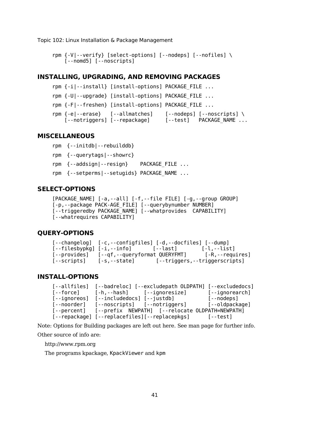```
rpm {-V|--verify} [select-options] [--nodeps] [--nofiles] \
    [--nomd5] [--noscripts]
```
## **INSTALLING, UPGRADING, AND REMOVING PACKAGES**

```
rpm {-i|--install} [install-options] PACKAGE_FILE ...
rpm {-U|--upgrade} [install-options] PACKAGE_FILE ...
rpm {-F|--freshen} [install-options] PACKAGE FILE ...
rpm \{-e\} -erase \} [--allmatches] [--nodeps] [--noscripts] \setminus[--notriggers] [--repackage] [--test] PACKAGE NAME ...
```
## **MISCELLANEOUS**

```
rpm {--initdb|--rebuilddb}
rpm {--querytags|--showrc}
rpm {--addsign|--resign} PACKAGE FILE ...
rpm {--setperms|--setugids} PACKAGE NAME ...
```
### **SELECT-OPTIONS**

```
[PACKAGE NAME] [-a,--all] [-f,--file FILE] [-g,--group GROUP]
[-p,--package PACK-AGE_FILE] [--querybynumber NUMBER]
[--triggeredby PACKAGE NAME] [--whatprovides CAPABILITY]
[--whatrequires CAPABILITY]
```
## **QUERY-OPTIONS**

```
[--changelog] [-c,--configfiles] [-d,--docfiles] [--dump]
[--filesbypkg] [-i, -info] [-]-last] [-],--list]
[--provides] [--qf,--queryformat QUERYFMT] [-R,--requires]
[--scripts] [-s,--state] [--triggers,--triggerscripts]
```
## **INSTALL-OPTIONS**

```
[--allfiles] [--badreloc] [--excludepath OLDPATH] [--excludedocs]
[--force] [-h,--hash] [--ignoresize] [--ignorearch]
[--ignoreos] [--includedocs] [--iustdb] [--inodeps]
[--noorder] [--noscripts] [--notriggers] [--oldpackage]
[--percent] [--prefix NEWPATH] [--relocate OLDPATH=NEWPATH]
[--repackage] [--replacefiles][--replacepkgs] [--test]
```
Note: Options for Building packages are left out here. See man page for further info. Other source of info are:

http://www.rpm.org

The programs kpackage, KpackViewer and kpm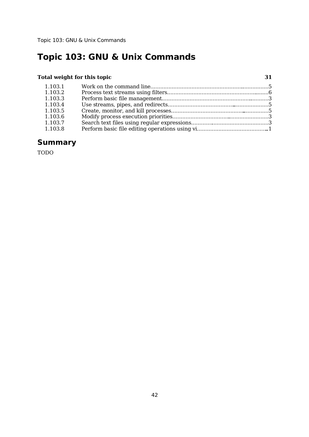## **Total weight for this topic 31**

|  |  |  |  |  |  |  | . |  |
|--|--|--|--|--|--|--|---|--|
|  |  |  |  |  |  |  |   |  |
|  |  |  |  |  |  |  |   |  |
|  |  |  |  |  |  |  |   |  |
|  |  |  |  |  |  |  |   |  |
|  |  |  |  |  |  |  |   |  |
|  |  |  |  |  |  |  |   |  |

| 1.103.1 |  |
|---------|--|
| 1.103.2 |  |
| 1.103.3 |  |
| 1.103.4 |  |
| 1.103.5 |  |
| 1.103.6 |  |
| 1.103.7 |  |
| 1.103.8 |  |
|         |  |

# **Summary**

TODO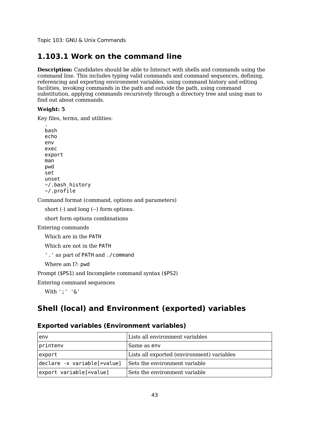# **1.103.1 Work on the command line**

**Description:** Candidates should be able to Interact with shells and commands using the command line. This includes typing valid commands and command sequences, defining, referencing and exporting environment variables, using command history and editing facilities, invoking commands in the path and outside the path, using command substitution, applying commands recursively through a directory tree and using man to find out about commands.

### **Weight: 5**

Key files, terms, and utilities:

. bash echo env exec export man pwd set unset  $\sim$ /.bash history  $\sim$ /.profile

Command format (command, options and parameters)

short (-) and long (--) form options.

short form options combinations

Entering commands

Which are in the PATH

Which are not in the PATH

```
'.' as part of PATH and ./command
```
Where am I?: pwd

Prompt (\$PS1) and Incomplete command syntax (\$PS2)

Entering command sequences

With ';' '&'

# **Shell (local) and Environment (exported) variables**

## **Exported variables (Environment variables)**

| env                         | Lists all environment variables            |
|-----------------------------|--------------------------------------------|
| printenv                    | Same as env                                |
| export                      | Lists all exported (environment) variables |
| declare -x variable[=value] | Sets the environment variable              |
| export variable[=value]     | Sets the environment variable              |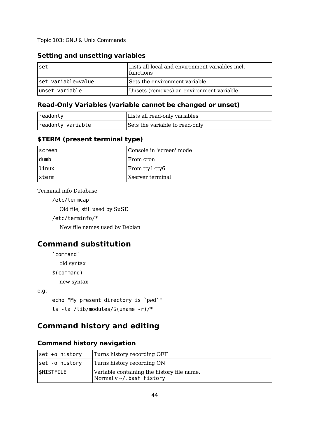## **Setting and unsetting variables**

| set                | Lists all local and environment variables incl.<br>functions |
|--------------------|--------------------------------------------------------------|
| set variable=value | Sets the environment variable                                |
| unset variable     | Unsets (removes) an environment variable                     |

## **Read-Only Variables (variable cannot be changed or unset)**

| readonly          | Lists all read-only variables  |
|-------------------|--------------------------------|
| readonly variable | Sets the variable to read-only |

## **\$TERM (present terminal type)**

| ∣screen | Console in 'screen' mode |
|---------|--------------------------|
| dumb    | ⊩From cron               |
| ∣linux  | From tty1-tty6           |
| xterm   | Xserver terminal         |

Terminal info Database

/etc/termcap

Old file, still used by SuSE

/etc/terminfo/\*

New file names used by Debian

# **Command substitution**

`command`

old syntax

\$(command)

new syntax

e.g.

echo "My present directory is `pwd`"

ls -la /lib/modules/\$(uname -r)/\*

# **Command history and editing**

### **Command history navigation**

| set +o history   | Turns history recording OFF                                                  |
|------------------|------------------------------------------------------------------------------|
| set -o history   | Turns history recording ON                                                   |
| <b>SHISTFILE</b> | Variable containing the history file name.<br>Normally $\sim$ /.bash history |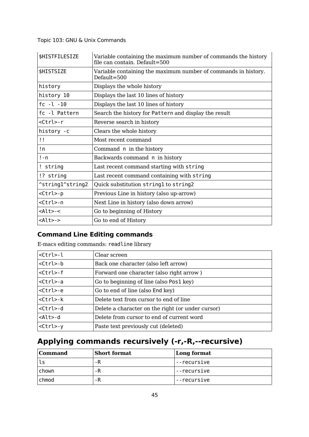| \$HISTFILESIZE    | Variable containing the maximum number of commands the history<br>file can contain. Default=500 |
|-------------------|-------------------------------------------------------------------------------------------------|
| \$HISTSIZE        | Variable containing the maximum number of commands in history.<br>$Default = 500$               |
| history           | Displays the whole history                                                                      |
| history 10        | Displays the last 10 lines of history                                                           |
| $fc - l - 10$     | Displays the last 10 lines of history                                                           |
| fc -l Pattern     | Search the history for Pattern and display the result                                           |
| <ctrl>-r</ctrl>   | Reverse search in history                                                                       |
| history -c        | Clears the whole history                                                                        |
| Ħ                 | Most recent command                                                                             |
| !n                | Command n in the history                                                                        |
| $! - n$           | Backwards command n in history                                                                  |
| ! string          | Last recent command starting with string                                                        |
| !? string         | Last recent command containing with string                                                      |
| ^string1^string2  | Quick substitution string1 to string2                                                           |
| <ctrl>-p</ctrl>   | Previous Line in history (also up-arrow)                                                        |
| <ctrl>-n</ctrl>   | Next Line in history (also down arrow)                                                          |
| <alt>-&lt;</alt>  | Go to beginning of History                                                                      |
| $<$ Alt $>$ - $>$ | Go to end of History                                                                            |

# **Command Line Editing commands**

E-macs editing commands: readline library

| <ctrl>-l</ctrl> | Clear screen                                      |
|-----------------|---------------------------------------------------|
| $<$ Ctrl>-b     | Back one character (also left arrow)              |
| <ctrl>-f</ctrl> | Forward one character (also right arrow)          |
| <ctrl>-a</ctrl> | Go to beginning of line (also Pos1 key)           |
| <ctrl>-e</ctrl> | Go to end of line (also End key)                  |
| <ctrl>-k</ctrl> | Delete text from cursor to end of line            |
| <ctrl>-d</ctrl> | Delete a character on the right (or under cursor) |
| $<$ Alt $>$ -d  | Delete from cursor to end of current word         |
| $<$ Ctrl>-y     | Paste text previously cut (deleted)               |

# **Applying commands recursively (-r,-R,--recursive)**

| <b>Command</b> | <b>Short format</b> | Long format |
|----------------|---------------------|-------------|
| ls             | -R                  | --recursive |
| chown          | -R                  | --recursive |
| chmod          | -R                  | --recursive |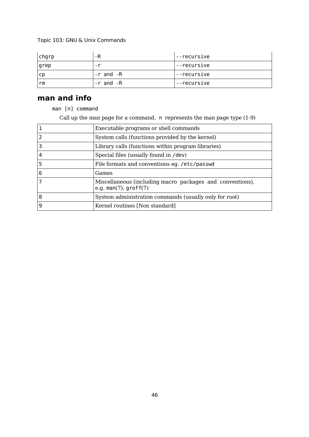| chgrp | -R        | --recursive |
|-------|-----------|-------------|
| grep  | $-r$      | --recursive |
| .cp   | -r and -R | --recursive |
| rm    | -r and -R | --recursive |

# **man and info**

man [n] command

Call up the man page for a command. n represents the man page type (1-9)

|   | Executable programs or shell commands                                                |
|---|--------------------------------------------------------------------------------------|
|   | System calls (functions provided by the kernel)                                      |
|   | Library calls (functions within program libraries)                                   |
| 4 | Special files (usually found in /dev)                                                |
| 5 | File formats and conventions eg. /etc/passwd                                         |
| 6 | Games                                                                                |
|   | Miscellaneous (including macro packages and conventions),<br>e.g. man(7), $groff(7)$ |
| 8 | System administration commands (usually only for root)                               |
| 9 | Kernel routines [Non standard]                                                       |
|   |                                                                                      |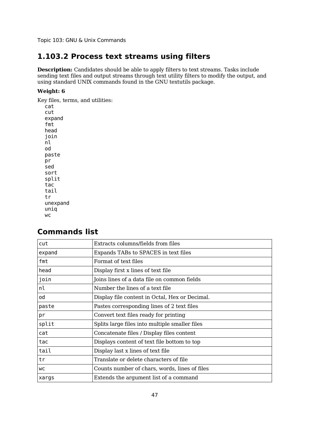# **1.103.2 Process text streams using filters**

**Description:** Candidates should be able to apply filters to text streams. Tasks include sending text files and output streams through text utility filters to modify the output, and using standard UNIX commands found in the GNU textutils package.

### **Weight: 6**

Key files, terms, and utilities:

cat cut expand fmt head join nl od paste pr sed sort split tac tail tr unexpand uniq wc

# **Commands list**

| cut    | Extracts columns/fields from files             |
|--------|------------------------------------------------|
| expand | Expands TABs to SPACES in text files           |
| fmt    | Format of text files                           |
| head   | Display first x lines of text file             |
| join   | Joins lines of a data file on common fields    |
| nl     | Number the lines of a text file                |
| od     | Display file content in Octal, Hex or Decimal. |
| paste  | Pastes corresponding lines of 2 text files     |
| pr     | Convert text files ready for printing          |
| split  | Splits large files into multiple smaller files |
| cat    | Concatenate files / Display files content      |
| tac    | Displays content of text file bottom to top    |
| tail   | Display last x lines of text file              |
| tr     | Translate or delete characters of file         |
| wс     | Counts number of chars, words, lines of files  |
| xargs  | Extends the argument list of a command         |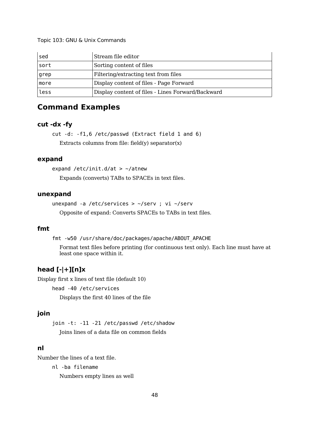| sed  | Stream file editor                                |
|------|---------------------------------------------------|
| sort | Sorting content of files                          |
| grep | Filtering/extracting text from files              |
| more | Display content of files - Page Forward           |
| less | Display content of files - Lines Forward/Backward |

# **Command Examples**

## **cut -dx -fy**

cut -d: -f1,6 /etc/passwd (Extract field 1 and 6) Extracts columns from file:  $field(y)$  separator $(x)$ 

### **expand**

expand /etc/init.d/at  $>$  ~/atnew

Expands (converts) TABs to SPACEs in text files.

### **unexpand**

unexpand -a /etc/services > ~/serv ; vi ~/serv Opposite of expand: Converts SPACEs to TABs in text files.

### **fmt**

fmt -w50 /usr/share/doc/packages/apache/ABOUT\_APACHE

Format text files before printing (for continuous text only). Each line must have at least one space within it.

## **head [-|+][n]x**

Display first x lines of text file (default 10)

head -40 /etc/services

Displays the first 40 lines of the file

### **join**

join -t: -11 -21 /etc/passwd /etc/shadow Joins lines of a data file on common fields

## **nl**

Number the lines of a text file.

nl -ba filename

Numbers empty lines as well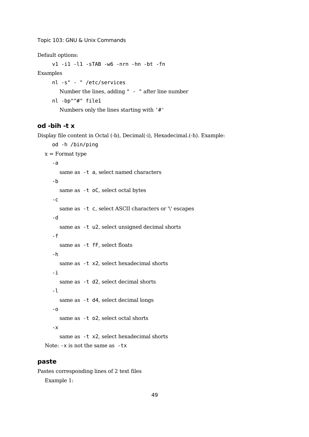Default options:

v1 -i1 -l1 -sTAB -w6 -nrn -hn -bt -fn

Examples

```
nl -s" - " /etc/services
  Number the lines, adding " - " after line number
nl -bp"^#" file1
  Numbers only the lines starting with '#'
```
### **od -bih -t x**

Display file content in Octal (-b), Decimal(-i), Hexadecimal.(-h). Example:

```
od -h /bin/ping
x = Format type
   -a
     same as -t a, select named characters
   -b
     same as -t oC, select octal bytes
   -c
     same as -t c, select ASCII characters or \forall escapes
   -d
     same as -t u2, select unsigned decimal shorts
   -f
     same as -t fF, select floats
   -h
     same as -t x2, select hexadecimal shorts
   -i
     same as -t d2, select decimal shorts
   -l
     same as -t d4, select decimal longs
   -o
     same as -t o2, select octal shorts
   -x
     same as -t x2, select hexadecimal shorts
Note: -x is not the same as -tx
```
## **paste**

Pastes corresponding lines of 2 text files Example 1: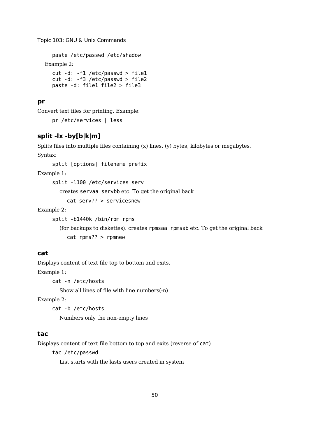```
paste /etc/passwd /etc/shadow
Example 2:
  cut -d: -f1 /etc/passwd > file1
  cut -d: -f3 /etc/passwd > file2
  paste -d: file1 file2 > file3
```
### **pr**

Convert text files for printing. Example:

pr /etc/services | less

## **split -lx -by[b|k|m]**

Splits files into multiple files containing (x) lines, (y) bytes, kilobytes or megabytes. Syntax:

split [options] filename prefix

Example 1:

split -l100 /etc/services serv

creates servaa servbb etc. To get the original back

cat serv?? > servicesnew

Example 2:

split -b1440k /bin/rpm rpms

(for backups to diskettes). creates rpmsaa rpmsab etc. To get the original back cat rpms?? > rpmnew

## **cat**

Displays content of text file top to bottom and exits. Example 1:

cat -n /etc/hosts

Show all lines of file with line numbers(-n)

Example 2:

cat -b /etc/hosts

Numbers only the non-empty lines

## **tac**

Displays content of text file bottom to top and exits (reverse of cat)

tac /etc/passwd

List starts with the lasts users created in system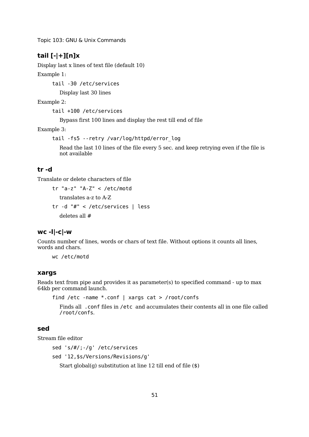## **tail [-|+][n]x**

Display last x lines of text file (default 10)

Example 1:

tail -30 /etc/services

Display last 30 lines

Example 2:

tail +100 /etc/services

Bypass first 100 lines and display the rest till end of file

Example 3:

```
tail -fs5 --retry /var/log/httpd/error_log
```
Read the last 10 lines of the file every 5 sec. and keep retrying even if the file is not available

## **tr -d**

Translate or delete characters of file

```
tr "a-z" "A-Z" < /etc/motd
  translates a-z to A-Z
tr -d "#" < /etc/services | less
  deletes all #
```
### **wc -l|-c|-w**

Counts number of lines, words or chars of text file. Without options it counts all lines, words and chars.

wc /etc/motd

### **xargs**

Reads text from pipe and provides it as parameter(s) to specified command - up to max 64kb per command launch.

```
find /etc -name *.conf | xargs cat > /root/confs
```
Finds all .conf files in /etc and accumulates their contents all in one file called /root/confs.

### **sed**

Stream file editor

```
sed 's/#/;-/g' /etc/services
sed '12,$s/Versions/Revisions/g'
  Start global(g) substitution at line 12 till end of file ($)
```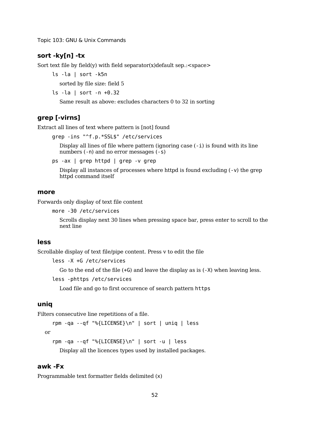### **sort -ky[n] -tx**

Sort text file by field(y) with field separator(x)default sep.: $\langle$ space>

ls -la | sort -k5n

sorted by file size: field 5

```
ls -la | sort -n +0.32
```
Same result as above: excludes characters 0 to 32 in sorting

### **grep [-virns]**

Extract all lines of text where pattern is [not] found

```
grep -ins "^f.p.*SSL$" /etc/services
```
Display all lines of file where pattern (ignoring case  $(-i)$ ) is found with its line numbers (-n) and no error messages (-s)

ps -ax | grep httpd | grep -v grep

Display all instances of processes where httpd is found excluding (-v) the grep httpd command itself

#### **more**

Forwards only display of text file content

```
more -30 /etc/services
```
Scrolls display next 30 lines when pressing space bar, press enter to scroll to the next line

### **less**

Scrollable display of text file/pipe content. Press v to edit the file

```
less -X +G /etc/services
```
Go to the end of the file  $(+G)$  and leave the display as is  $(-X)$  when leaving less.

```
less -phttps /etc/services
```
Load file and go to first occurence of search pattern https

## **uniq**

Filters consecutive line repetitions of a file.

rpm -qa --qf "%{LICENSE}\n" | sort | uniq | less

```
or
```

```
rpm -qa --qf "%{LICENSE}\n" | sort -u | less
```
Display all the licences types used by installed packages.

## **awk -Fx**

Programmable text formatter fields delimited (x)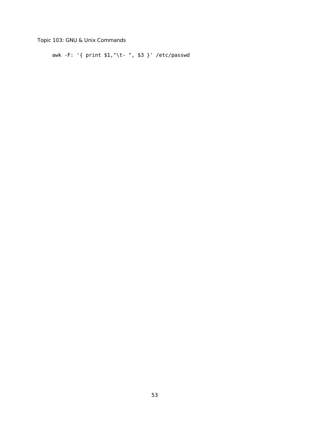awk -F: '{ print \$1,"\t- ", \$3 }' /etc/passwd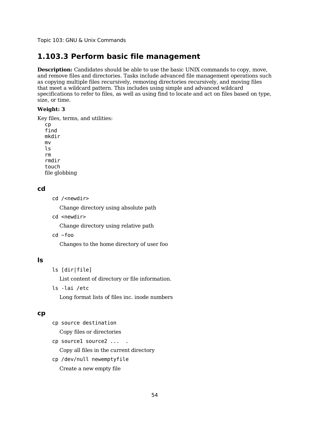# **1.103.3 Perform basic file management**

**Description:** Candidates should be able to use the basic UNIX commands to copy, move, and remove files and directories. Tasks include advanced file management operations such as copying multiple files recursively, removing directories recursively, and moving files that meet a wildcard pattern. This includes using simple and advanced wildcard specifications to refer to files, as well as using find to locate and act on files based on type, size, or time.

#### **Weight: 3**

Key files, terms, and utilities:

cp find mkdir mv ls rm rmdir touch file globbing

### **cd**

```
cd /<newdir>
```
Change directory using absolute path

cd <newdir>

Change directory using relative path

cd ~foo

Changes to the home directory of user foo

## **ls**

ls [dir|file]

List content of directory or file information.

ls -lai /etc

Long format lists of files inc. inode numbers

### **cp**

- cp source destination
	- Copy files or directories
- cp source1 source2 ... .

Copy all files in the current directory

cp /dev/null newemptyfile

Create a new empty file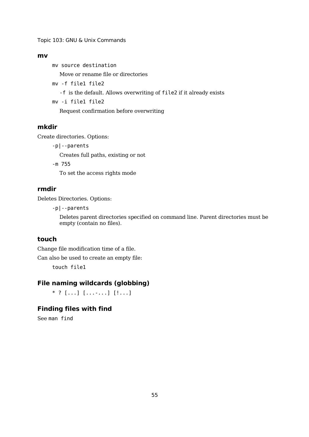### **mv**

mv source destination

Move or rename file or directories

- mv -f file1 file2
	- -f is the default. Allows overwriting of file2 if it already exists

mv -i file1 file2

Request confirmation before overwriting

### **mkdir**

Create directories. Options:

-p|--parents

Creates full paths, existing or not

-m 755

To set the access rights mode

## **rmdir**

Deletes Directories. Options:

-p|--parents

Deletes parent directories specified on command line. Parent directories must be empty (contain no files).

### **touch**

Change file modification time of a file.

Can also be used to create an empty file:

touch file1

### **File naming wildcards (globbing)**

 $*$  ? [...] [...-...] [!...]

## **Finding files with find**

See man find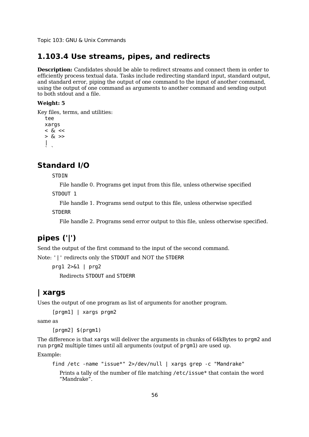## **1.103.4 Use streams, pipes, and redirects**

**Description:** Candidates should be able to redirect streams and connect them in order to efficiently process textual data. Tasks include redirecting standard input, standard output, and standard error, piping the output of one command to the input of another command, using the output of one command as arguments to another command and sending output to both stdout and a file.

#### **Weight: 5**

Key files, terms, and utilities:

```
tee
xargs
< \& \lt> 8x|
\ddot{\phantom{0}}
```
## **Standard I/O**

**STDIN** 

File handle 0. Programs get input from this file, unless otherwise specified

STDOUT 1

File handle 1. Programs send output to this file, unless otherwise specified

**STDERR** 

File handle 2. Programs send error output to this file, unless otherwise specified.

# **pipes ('|')**

Send the output of the first command to the input of the second command.

Note: '|' redirects only the STDOUT and NOT the STDERR

prg1 2>&1 | prg2 Redirects STDOUT and STDERR

## **| xargs**

Uses the output of one program as list of arguments for another program.

[prgm1] | xargs prgm2

same as

[prgm2] \$(prgm1)

The difference is that xargs will deliver the arguments in chunks of 64kBytes to prgm2 and run prgm2 multiple times until all arguments (output of prgm1) are used up.

Example:

```
find /etc -name "issue*" 2>/dev/null | xargs grep -c "Mandrake"
```
Prints a tally of the number of file matching /etc/issue\* that contain the word "Mandrake".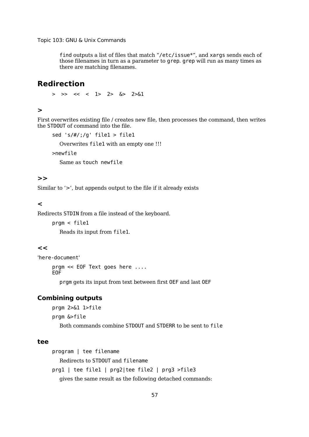find outputs a list of files that match "/etc/issue\*", and xargs sends each of those filenames in turn as a parameter to grep. grep will run as many times as there are matching filenames.

## **Redirection**

 $>$   $>>$   $<<$   $<$   $1>$   $2>$   $6>$   $2>61$ 

### **>**

First overwrites existing file / creates new file, then processes the command, then writes the STDOUT of command into the file.

```
sed 's/\#;/g' filel > filel
```
Overwrites file1 with an empty one !!!

>newfile

Same as touch newfile

### **>>**

Similar to '>', but appends output to the file if it already exists

## **<**

Redirects STDIN from a file instead of the keyboard.

prgm < file1

Reads its input from file1.

### **<<**

'here-document'

prgm << EOF Text goes here ....

EOF

prgm gets its input from text between first OEF and last OEF

## **Combining outputs**

prgm 2>&1 1>file prgm &>file Both commands combine STDOUT and STDERR to be sent to file

### **tee**

```
program | tee filename
  Redirects to STDOUT and filename
prg1 | tee file1 | prg2|tee file2 | prg3 >file3
  gives the same result as the following detached commands:
```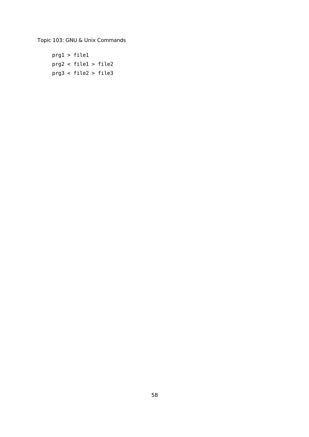prg1 > file1 prg2 < file1 > file2 prg3 < file2 > file3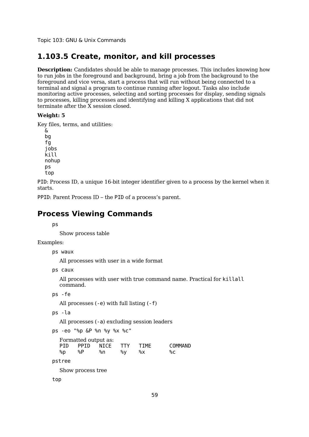## **1.103.5 Create, monitor, and kill processes**

**Description:** Candidates should be able to manage processes. This includes knowing how to run jobs in the foreground and background, bring a job from the background to the foreground and vice versa, start a process that will run without being connected to a terminal and signal a program to continue running after logout. Tasks also include monitoring active processes, selecting and sorting processes for display, sending signals to processes, killing processes and identifying and killing X applications that did not terminate after the X session closed.

#### **Weight: 5**

Key files, terms, and utilities:

& bg fg jobs kill nohup ps top

PID: Process ID, a unique 16-bit integer identifier given to a process by the kernel when it starts.

PPID: Parent Process ID – the PID of a process's parent.

## **Process Viewing Commands**

ps

Show process table

Examples:

ps waux

All processes with user in a wide format

ps caux

All processes with user with true command name. Practical for killall command.

```
ps -fe
```
All processes (-e) with full listing (-f)

```
ps -la
```
All processes (-a) excluding session leaders

ps -eo "%p &P %n %y %x %c" Formatted output as:

|    |    | PID PPID NICE TTY |    | <b>TTME</b> | COMMAND |
|----|----|-------------------|----|-------------|---------|
| %p | %P | %n                | %∨ | %X          | %€      |

pstree

Show process tree

top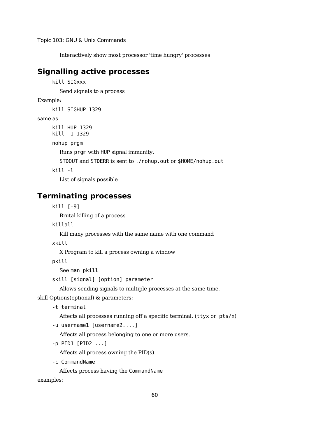Interactively show most processor 'time hungry' processes

# **Signalling active processes**

```
kill SIGxxx
```
Send signals to a process

Example:

kill SIGHUP 1329

same as

kill HUP 1329 kill -1 1329

nohup prgm

Runs prgm with HUP signal immunity.

STDOUT and STDERR is sent to ./nohup.out or \$HOME/nohup.out

kill -l

List of signals possible

# **Terminating processes**

kill [-9]

Brutal killing of a process

killall

Kill many processes with the same name with one command

xkill

X Program to kill a process owning a window

pkill

See man pkill

skill [signal] [option] parameter

Allows sending signals to multiple processes at the same time.

skill Options(optional) & parameters:

-t terminal

Affects all processes running off a specific terminal. (ttyx or pts/x)

-u username1 [username2....]

Affects all process belonging to one or more users.

-p PID1 [PID2 ...]

Affects all process owning the PID(s).

-c CommandName

Affects process having the CommandName

examples: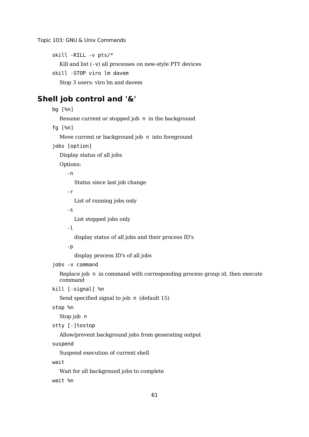```
skill -KILL -v pts/*
```
Kill and list (-v) all processes on new-style PTY devices

skill -STOP viro lm davem

Stop 3 users: viro lm and davem

## **Shell job control and '&'**

```
bg [%n]
  Resume current or stopped job n in the background
fg [%n]
  Move current or background job n into foreground
jobs [option]
  Display status of all jobs
  Options:
     -n
        Status since last job change
     -r
        List of running jobs only
     -s
        List stopped jobs only
     -l
        display status of all jobs and their process ID's
     -p
        display process ID's of all jobs
jobs -x command
  Replace job n in command with corresponding process group id, then execute
  command
kill [-signal] %n
  Send specified signal to job n (default 15)
stop %n
  Stop job n
stty [-]tostop
  Allow/prevent background jobs from generating output
suspend
  Suspend execution of current shell
wait
```
Wait for all background jobs to complete

wait %n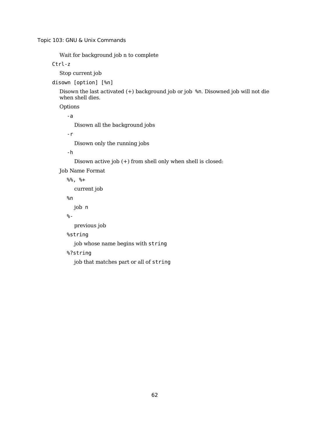Wait for background job n to complete

Ctrl-z

Stop current job

disown [option] [%n]

Disown the last activated (+) background job or job %n. Disowned job will not die when shell dies.

Options

-a

Disown all the background jobs

-r

Disown only the running jobs

-h

Disown active job (+) from shell only when shell is closed:

Job Name Format

%%, %+

current job

%n

job n

%-

previous job

%string

job whose name begins with string

%?string

job that matches part or all of string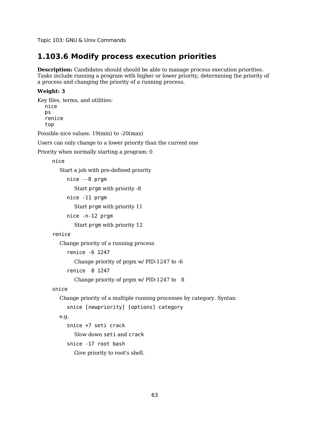### **1.103.6 Modify process execution priorities**

**Description:** Candidates should should be able to manage process execution priorities. Tasks include running a program with higher or lower priority, determining the priority of a process and changing the priority of a running process.

#### **Weight: 3**

Key files, terms, and utilities: nice ps renice top

Possible nice values: 19(min) to -20(max)

Users can only change to a lower priority than the current one

Priority when normally starting a program: 0

nice

Start a job with pre-defined priority

nice --8 prgm Start prgm with priority -8 nice -11 prgm Start prgm with priority 11

nice -n-12 prgm

Start prgm with priority 12

#### renice

Change priority of a running process

```
renice -6 1247
```
Change priority of prgm w/ PID-1247 to -6

renice 8 1247

Change priority of prgm w/ PID-1247 to 8

#### snice

Change priority of a multiple running processes by category. Syntax:

snice [newpriority] [options] category

#### e.g.

snice +7 seti crack Slow down seti and crack snice -17 root bash Give priority to root's shell.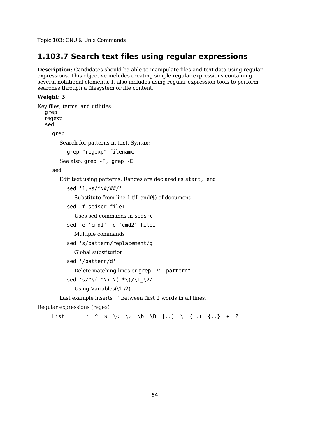### **1.103.7 Search text files using regular expressions**

**Description:** Candidates should be able to manipulate files and text data using regular expressions. This objective includes creating simple regular expressions containing several notational elements. It also includes using regular expression tools to perform searches through a filesystem or file content.

#### **Weight: 3**

```
Key files, terms, and utilities:
  grep
  regexp
  sed
     grep
        Search for patterns in text. Syntax:
          grep "regexp" filename
       See also: grep -F, grep -E
     sed
       Edit text using patterns. Ranges are declared as start, end
          sed '1,$s/^\#/##/'
             Substitute from line 1 till end($) of document
          sed -f sedscr file1
             Uses sed commands in sedsrc
          sed -e 'cmd1' -e 'cmd2' file1
             Multiple commands
          sed 's/pattern/replacement/g'
             Global substitution
          sed '/pattern/d'
             Delete matching lines or grep -v "pattern"
          sed 's/^\(.*\) \(.*\)/\1_\2/'
             Using Variables(\1 \2)Last example inserts ' ' between first 2 words in all lines.
Regular expressions (regex)
     List: . * ^ $ \< \> \b \B [..] \ (..) {..} + ? |
```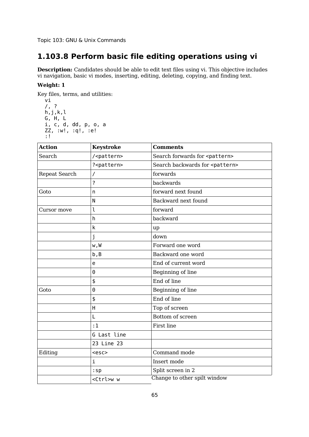# **1.103.8 Perform basic file editing operations using vi**

**Description:** Candidates should be able to edit text files using vi. This objective includes vi navigation, basic vi modes, inserting, editing, deleting, copying, and finding text.

#### **Weight: 1**

Key files, terms, and utilities:

```
vi
/, ?
h,j,k,lG, H, L
i, c, d, dd, p, o, a
ZZ, :w!, :q!, :e!
:!
```

| <b>Action</b> | <b>Keystroke</b>      | <b>Comments</b>                          |  |  |
|---------------|-----------------------|------------------------------------------|--|--|
| Search        | / <pattern></pattern> | Search forwards for <pattern></pattern>  |  |  |
|               | ? <pattern></pattern> | Search backwards for <pattern></pattern> |  |  |
| Repeat Search | Γ                     | forwards                                 |  |  |
|               | ?                     | backwards                                |  |  |
| Goto          | n                     | forward next found                       |  |  |
|               | N                     | Backward next found                      |  |  |
| Cursor move   | l                     | forward                                  |  |  |
|               | h                     | backward                                 |  |  |
|               | k                     | up                                       |  |  |
|               | j                     | down                                     |  |  |
|               | w,W                   | Forward one word                         |  |  |
|               | b, B                  | Backward one word                        |  |  |
| e             |                       | End of current word                      |  |  |
|               | 0                     | Beginning of line                        |  |  |
|               | \$                    | End of line                              |  |  |
| Goto          | 0                     | Beginning of line                        |  |  |
|               | \$                    | End of line                              |  |  |
|               | H                     | Top of screen                            |  |  |
|               | L                     | Bottom of screen                         |  |  |
|               | :1                    | First line                               |  |  |
|               | G Last line           |                                          |  |  |
|               | 23 Line 23            |                                          |  |  |
| Editing       | $<$ esc $>$           | Command mode                             |  |  |
|               | i                     | Insert mode                              |  |  |
|               | $:$ sp                | Split screen in 2                        |  |  |
|               | <ctrl>w w</ctrl>      | Change to other spilt window             |  |  |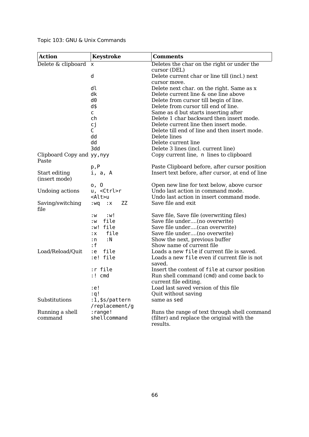| <b>Action</b>                  | <b>Keystroke</b>                 | <b>Comments</b>                                                 |
|--------------------------------|----------------------------------|-----------------------------------------------------------------|
| Delete & clipboard             | x                                | Deletes the char on the right or under the                      |
|                                |                                  | cursor (DEL)                                                    |
|                                | d                                | Delete current char or line till (incl.) next                   |
|                                | dl                               | cursor move.<br>Delete next char. on the right. Same as x       |
|                                | dk                               | Delete current line & one line above                            |
|                                | d0                               | Delete from cursor till begin of line.                          |
|                                | d\$                              | Delete from cursor till end of line.                            |
|                                | C                                | Same as d but starts inserting after                            |
|                                | ch                               | Delete 1 char backward then insert mode.                        |
|                                | сj                               | Delete current line then insert mode.                           |
|                                | C                                | Delete till end of line and then insert mode.                   |
|                                | dd                               | Delete lines                                                    |
|                                | dd<br>3dd                        | Delete current line<br>Delete 3 lines (incl. current line)      |
| Clipboard Copy and yy, nyy     |                                  | Copy current line, n lines to clipboard                         |
| Paste                          |                                  |                                                                 |
|                                | p, P                             | Paste Clipboard before, after cursor position                   |
| Start editing<br>(insert mode) | i, a, A                          | Insert text before, after cursor, at end of line                |
|                                | o, O                             | Open new line for text below, above cursor                      |
| Undoing actions                | u, <ctrl>r</ctrl>                | Undo last action in command mode.                               |
|                                | <alt>u</alt>                     | Undo last action in insert command mode.                        |
| Saving/switching<br>file       | ZΖ<br>: wq<br>$: \mathsf{X}$     | Save file and exit                                              |
|                                | :w!<br>: W                       | Save file, Save file (overwriting files)                        |
|                                | file<br>: W                      | Save file under(no overwrite)                                   |
|                                | :w! file                         | Save file under(can overwrite)                                  |
|                                | file<br>: X<br>: N<br>: n        | Save file under(no overwrite)<br>Show the next, previous buffer |
|                                | : f                              | Show name of current file                                       |
| Load/Reload/Quit               | file<br>:e                       | Loads a new file if current file is saved.                      |
|                                | e! file:                         | Loads a new file even if current file is not                    |
|                                |                                  | saved.                                                          |
|                                | r file:                          | Insert the content of file at cursor position                   |
|                                | :! cmd                           | Run shell command (cmd) and come back to                        |
|                                |                                  | current file editing.                                           |
|                                | :e!                              | Load last saved version of this file                            |
|                                | : q !                            | Quit without saving                                             |
| Substitutions                  | :1,\$s/pattern<br>/replacement/g | same as sed                                                     |
| Running a shell                | : range!                         | Runs the range of text through shell command                    |
| command                        | shellcommand                     | (filter) and replace the original with the                      |
|                                |                                  | results.                                                        |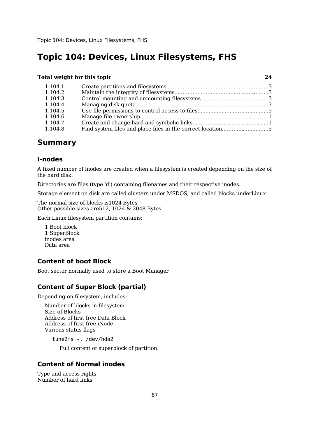#### **Total weight for this topic 24**

| 1.104.1 |                                                            |  |
|---------|------------------------------------------------------------|--|
| 1.104.2 |                                                            |  |
| 1.104.3 |                                                            |  |
| 1.104.4 |                                                            |  |
| 1.104.5 |                                                            |  |
| 1.104.6 |                                                            |  |
| 1.104.7 |                                                            |  |
| 1.104.8 | Find system files and place files in the correct location5 |  |

### **Summary**

#### **I-nodes**

A fixed number of inodes are created when a filesystem is created depending on the size of the hard disk.

Directories are files (type 'd') containing filenames and their respective inodes.

Storage element on disk are called clusters under MSDOS, and called blocks underLinux

The normal size of blocks is1024 Bytes Other possible sizes are512, 1024 & 2048 Bytes

Each Linux filesystem partition contains:

1 Boot block 1 SuperBlock inodes area Data area

#### **Content of boot Block**

Boot sector normally used to store a Boot Manager

#### **Content of Super Block (partial)**

Depending on filesystem, includes:

Number of blocks in filesystem Size of Blocks Address of first free Data Block Address of first free iNode Various status flags

tune2fs -l /dev/hda2

Full content of superblock of partition.

### **Content of Normal inodes**

Type and access rights Number of hard links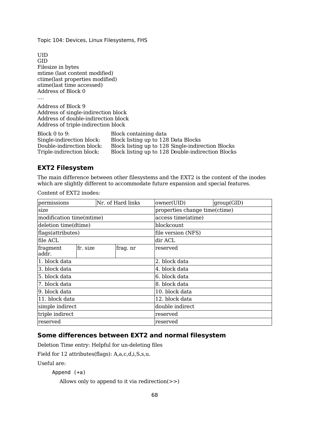UID GID Filesize in bytes mtime (last content modified) ctime(last properties modified) atime(last time accessed) Address of Block 0 .... Address of Block 9 Address of single-indirection block Address of double-indirection block Address of triple-indirection block Block 0 to 9:<br>
Block containing data<br>
Single-indirection block: Block listing up to 128 Single-indirection block: Block listing up to 128 Data Blocks<br>Double-indirection block: Block listing up to 128 Single-indire Double-indirection block: Block listing up to 128 Single-indirection Blocks Block listing up to 128 Double-indirection Blocks

#### **EXT2 Filesystem**

The main difference between other filesystems and the EXT2 is the content of the inodes which are slightly different to accommodate future expansion and special features.

Content of EXT2 inodes:

| permissions<br>Nr. of Hard links |          | owner(UID)<br>group(GID) |          |                               |  |  |  |
|----------------------------------|----------|--------------------------|----------|-------------------------------|--|--|--|
| size                             |          |                          |          | properties change time(ctime) |  |  |  |
| modification time(mtime)         |          |                          |          | access time(atime)            |  |  |  |
| deletion time(dtime)             |          |                          |          | blockcount                    |  |  |  |
| flags(attributes)                |          |                          |          | file version (NFS)            |  |  |  |
| file ACL                         |          |                          |          | dir ACL                       |  |  |  |
| fragment<br>addr.                | fr. size |                          | frag. nr | reserved                      |  |  |  |
| 1. block data                    |          |                          |          | 2. block data                 |  |  |  |
| 3. block data                    |          |                          |          | 4. block data                 |  |  |  |
| 5. block data                    |          |                          |          | 6. block data                 |  |  |  |
| 7. block data                    |          |                          |          | 8. block data                 |  |  |  |
| 9. block data                    |          |                          |          | 10. block data                |  |  |  |
| 11. block data                   |          |                          |          | 12. block data                |  |  |  |
| simple indirect                  |          |                          |          | double indirect               |  |  |  |
| triple indirect                  |          |                          |          | reserved                      |  |  |  |
| reserved                         |          |                          |          | reserved                      |  |  |  |

#### **Some differences between EXT2 and normal filesystem**

Deletion Time entry: Helpful for un-deleting files

Field for 12 attributes(flags): A,a,c,d,i,S,s,u.

Useful are:

```
Append (+a)
```

```
Allows only to append to it via redirection(>>)
```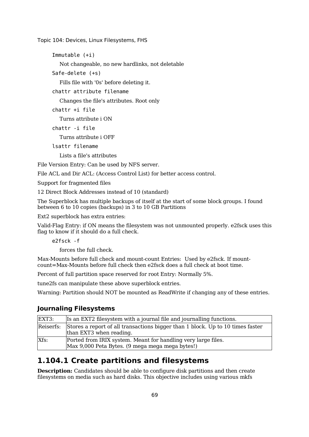Immutable (+i)

Not changeable, no new hardlinks, not deletable

Safe-delete (+s)

Fills file with '0s' before deleting it.

chattr attribute filename

Changes the file's attributes. Root only

chattr +i file

Turns attribute i ON

chattr -i file

Turns attribute i OFF

lsattr filename

Lists a file's attributes

File Version Entry: Can be used by NFS server.

File ACL and Dir ACL: (Access Control List) for better access control.

Support for fragmented files

12 Direct Block Addresses instead of 10 (standard)

The Superblock has multiple backups of itself at the start of some block groups. I found between 6 to 10 copies (backups) in 3 to 10 GB Partitions

Ext2 superblock has extra entries:

Valid-Flag Entry: if ON means the filesystem was not unmounted properly. e2fsck uses this flag to know if it should do a full check.

e2fsck -f

forces the full check.

Max-Mounts before full check and mount-count Entries: Used by e2fsck. If mountcount=Max-Mounts before full check then e2fsck does a full check at boot time.

Percent of full partition space reserved for root Entry: Normally 5%.

tune2fs can manipulate these above superblock entries.

Warning: Partition should NOT be mounted as ReadWrite if changing any of these entries.

#### **Journaling Filesystems**

| EXT3:     | Is an EXT2 filesystem with a journal file and journalling functions.                                             |
|-----------|------------------------------------------------------------------------------------------------------------------|
| Reiserfs: | Stores a report of all transactions bigger than 1 block. Up to 10 times faster<br>than EXT3 when reading.        |
| Xfs:      | Ported from IRIX system. Meant for handling very large files.<br>Max 9,000 Peta Bytes. (9 mega mega mega bytes!) |

# **1.104.1 Create partitions and filesystems**

**Description:** Candidates should be able to configure disk partitions and then create filesystems on media such as hard disks. This objective includes using various mkfs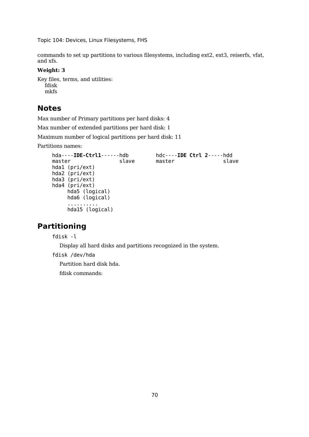commands to set up partitions to various filesystems, including ext2, ext3, reiserfs, vfat, and xfs.

#### **Weight: 3**

Key files, terms, and utilities: fdisk mkfs

### **Notes**

Max number of Primary partitions per hard disks: 4

Max number of extended partitions per hard disk: 1

Maximum number of logical partitions per hard disk: 11

Partitions names:

```
hda----IDE-Ctrl1------hdb hdc----IDE Ctrl 2-----hdd
master slave master slave slave
hda1 (pri/ext)
hda2 (pri/ext)
hda3 (pri/ext)
hda4 (pri/ext)
    hda5 (logical)
    hda6 (logical)
    ..........
    hda15 (logical)
```
## **Partitioning**

fdisk -l

Display all hard disks and partitions recognized in the system.

fdisk /dev/hda

Partition hard disk hda.

fdisk commands: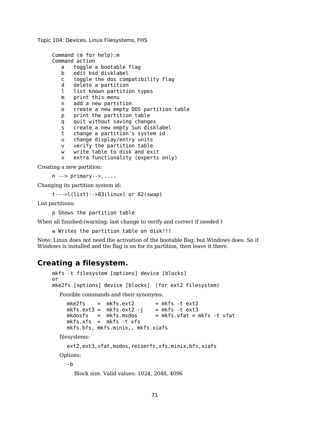```
Command (m for help):m
Command action
  a toggle a bootable flag
  b edit bsd disklabel
  c toggle the dos compatibility flag
  d delete a partition
  l list known partition types
  m print this menu
  n add a new partition
  o create a new empty DOS partition table
  p print the partition table
  q quit without saving changes
  s create a new empty Sun disklabel
  t change a partition's system id
  u change display/entry units
  v verify the partition table
  w write table to disk and exit
  x extra functionality (experts only)
```
Creating a new partition:

n --> primary-->.....

Changing its partition system id:

t--->l(list)-->83(linux) or 82(swap)

List partitions:

p Shows the partition table

When all finished:(warning: last change to verify and correct if needed )

w Writes the partition table on disk!!!

Note: Linux does not need the activation of the bootable flag, but Windows does. So if Windows is installed and the flag is on for its partition, then leave it there.

### **Creating a filesystem.**

```
mkfs -t filesystem [options] device [blocks]
or
mke2fs [options] device [blocks] (for ext2 filesystem)
  Possible commands and their synonyms:
    mke2fs = mkfs.ext2 = mkfs -t ext2mkfs.ext3 = mkfs.ext2 - j = mkfs - t ext3mkdosfs = mkfs.msdos = mkfs.vfat = mkfs -t vfatmkfs.xfs = mkfs - t xfsmkfs.bfs, mkfs.minix,, mkfs.xiafs
  filesystems:
    ext2,ext3,vfat,msdos,reiserfs,xfs,minix,bfs,xiafs
  Options:
    -b
```
Block size. Valid values: 1024, 2048, 4096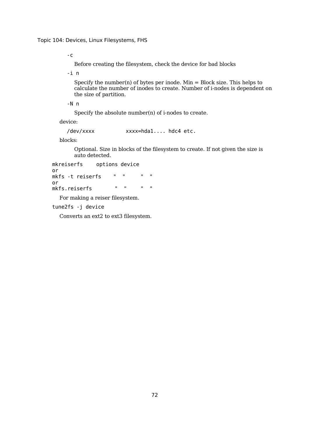-c

Before creating the filesystem, check the device for bad blocks

-i n

Specify the number(n) of bytes per inode. Min  $=$  Block size. This helps to calculate the number of inodes to create. Number of i-nodes is dependent on the size of partition.

-N n

Specify the absolute number(n) of i-nodes to create.

device:

/dev/xxxx xxxx=hda1.... hdc4 etc.

blocks:

Optional. Size in blocks of the filesystem to create. If not given the size is auto detected.

```
mkreiserfs options device
or
mkfs -t reiserfs " " " "
or
mkfs.reiserfs " " " "
```
For making a reiser filesystem.

```
tune2fs -j device
```
Converts an ext2 to ext3 filesystem.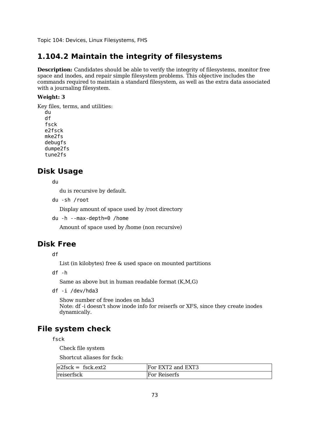### **1.104.2 Maintain the integrity of filesystems**

**Description:** Candidates should be able to verify the integrity of filesystems, monitor free space and inodes, and repair simple filesystem problems. This objective includes the commands required to maintain a standard filesystem, as well as the extra data associated with a journaling filesystem.

#### **Weight: 3**

Key files, terms, and utilities: du

df fsck e2fsck mke2fs debugfs dumpe2fs tune2fs

### **Disk Usage**

du

du is recursive by default.

du -sh /root

Display amount of space used by /root directory

du -h --max-depth=0 /home

Amount of space used by /home (non recursive)

### **Disk Free**

df

List (in kilobytes) free & used space on mounted partitions

df -h

Same as above but in human readable format (K,M,G)

df -i /dev/hda3

Show number of free inodes on hda3 Note: df -i doesn't show inode info for reiserfs or XFS, since they create inodes dynamically.

### **File system check**

fsck

Check file system

Shortcut aliases for fsck:

| $e2$ fsck = fsck.ext2 | For EXT2 and EXT3 |
|-----------------------|-------------------|
| reiserfsck            | For Reiserfs      |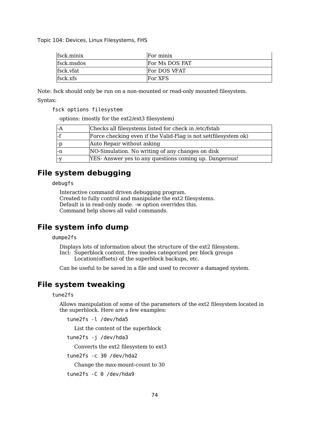| fsck.minix      | For minix      |
|-----------------|----------------|
| fsck.msdos      | For Ms DOS FAT |
| fsck.vfat       | For DOS VFAT   |
| <b>fsck.xfs</b> | For XFS        |

Note: fsck should only be run on a non-mounted or read-only mounted filesystem.

#### Syntax:

fsck options filesystem

options: (mostly for the ext2/ext3 filesystem)

| l-A  | Checks all filesystems listed for check in /etc/fstab           |
|------|-----------------------------------------------------------------|
| l-f  | Force checking even if the Valid-Flag is not set(filesystem ok) |
| -p   | Auto Repair without asking                                      |
| $-n$ | NO-Simulation. No writing of any changes on disk                |
| l-V  | YES- Answer yes to any questions coming up. Dangerous!          |

### **File system debugging**

debugfs

Interactive command driven debugging program. Created to fully control and manipulate the ext2 filesystems. Default is in read-only mode. -w option overrides this. Command help shows all valid commands.

# **File system info dump**

dumpe2fs

Displays lots of information about the structure of the ext2 filesystem. Incl: Superblock content, free inodes categorized per block groups Location(offsets) of the superblock backups, etc.

Can be useful to be saved in a file and used to recover a damaged system.

### **File system tweaking**

tune2fs

Allows manipulation of some of the parameters of the ext2 filesystem located in the superblock. Here are a few examples:

tune2fs -l /dev/hda5

List the content of the superblock

tune2fs -j /dev/hda3

Converts the ext2 filesystem to ext3

tune2fs -c 30 /dev/hda2

Change the max-mount-count to 30

tune2fs -C 0 /dev/hda9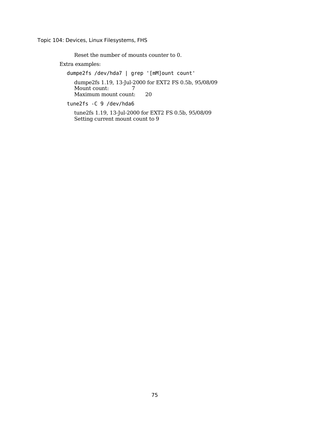Reset the number of mounts counter to 0.

Extra examples:

dumpe2fs /dev/hda7 | grep '[mM]ount count'

dumpe2fs 1.19, 13-Jul-2000 for EXT2 FS 0.5b, 95/08/09 Mount count: 7 Maximum mount count: 20

tune2fs -C 9 /dev/hda6

tune2fs 1.19, 13-Jul-2000 for EXT2 FS 0.5b, 95/08/09 Setting current mount count to 9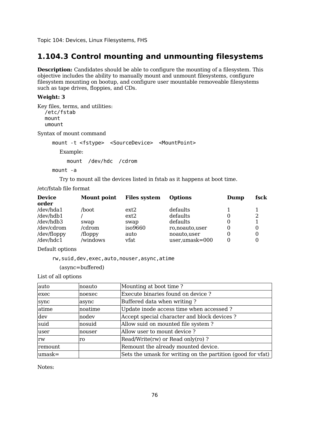### **1.104.3 Control mounting and unmounting filesystems**

**Description:** Candidates should be able to configure the mounting of a filesystem. This objective includes the ability to manually mount and unmount filesystems, configure filesystem mounting on bootup, and configure user mountable removeable filesystems such as tape drives, floppies, and CDs.

#### **Weight: 3**

Key files, terms, and utilities: /etc/fstab mount umount

Syntax of mount command

mount -t <fstype> <SourceDevice> <MountPoint> Example: mount /dev/hdc /cdrom

mount -a

Try to mount all the devices listed in fstab as it happens at boot time.

/etc/fstab file format

| <b>Device</b><br>Mount point |          | <b>Files system</b><br><b>Options</b> |                     | Dump | fsck |
|------------------------------|----------|---------------------------------------|---------------------|------|------|
| order                        |          |                                       |                     |      |      |
| /dev/hda1                    | /boot    | ext2                                  | defaults            |      |      |
| /dev/hdb1                    |          | ext2                                  | defaults            | 0    | 2    |
| /dev/hdb3                    | swap     | swap                                  | defaults            | 0    |      |
| /dev/cdrom                   | /cdrom   | iso9660                               | ro, no auto, user   | 0    |      |
| /dev/floppy                  | /floppy  | auto                                  | noauto, user        | 0    |      |
| /dev/hdc1                    | /windows | vfat                                  | $user, umask = 000$ | 0    |      |

Default options

rw,suid,dev,exec,auto,nouser,async,atime

(async=buffered)

List of all options

| auto    | noauto  | Mounting at boot time?                                      |
|---------|---------|-------------------------------------------------------------|
| exec    | noexec  | Execute binaries found on device?                           |
| sync    | async   | Buffered data when writing?                                 |
| atime   | noatime | Update inode access time when accessed?                     |
| dev     | nodev   | Accept special character and block devices?                 |
| suid    | nosuid  | Allow suid on mounted file system?                          |
| luser   | nouser  | Allow user to mount device?                                 |
| rw      | ro      | Read/Write(rw) or Read only(ro)?                            |
| remount |         | Remount the already mounted device.                         |
| lumask= |         | Sets the umask for writing on the partition (good for vfat) |

Notes: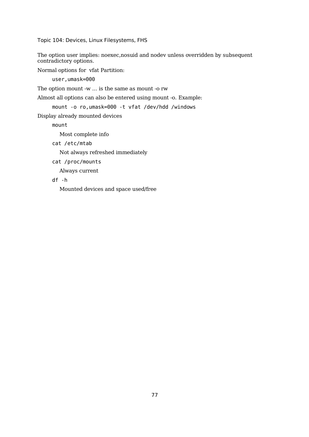The option user implies: noexec,nosuid and nodev unless overridden by subsequent contradictory options.

Normal options for vfat Partition:

user,umask=000

The option mount -w ... is the same as mount -o rw

Almost all options can also be entered using mount -o. Example:

mount -o ro,umask=000 -t vfat /dev/hdd /windows

Display already mounted devices

mount

Most complete info

cat /etc/mtab

Not always refreshed immediately

cat /proc/mounts

Always current

df -h

Mounted devices and space used/free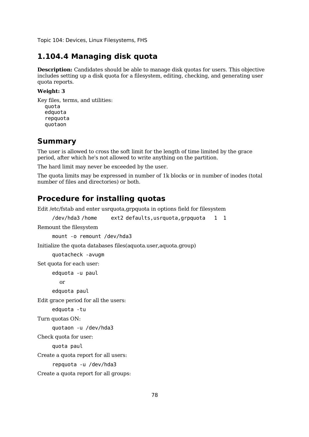## **1.104.4 Managing disk quota**

**Description:** Candidates should be able to manage disk quotas for users. This objective includes setting up a disk quota for a filesystem, editing, checking, and generating user quota reports.

#### **Weight: 3**

Key files, terms, and utilities: quota edquota repquota quotaon

### **Summary**

The user is allowed to cross the soft limit for the length of time limited by the grace period, after which he's not allowed to write anything on the partition.

The hard limit may never be exceeded by the user.

The quota limits may be expressed in number of 1k blocks or in number of inodes (total number of files and directories) or both.

### **Procedure for installing quotas**

Edit /etc/fstab and enter usrquota,grpquota in options field for filesystem

/dev/hda3 /home ext2 defaults,usrquota,grpquota 1 1

Remount the filesystem

mount -o remount /dev/hda3

Initialize the quota databases files(aquota.user,aquota.group)

quotacheck -avugm

Set quota for each user:

edquota -u paul

or

edquota paul

Edit grace period for all the users:

```
edquota -tu
```

```
Turn quotas ON:
```

```
quotaon -u /dev/hda3
```
Check quota for user:

quota paul

Create a quota report for all users:

repquota -u /dev/hda3

Create a quota report for all groups: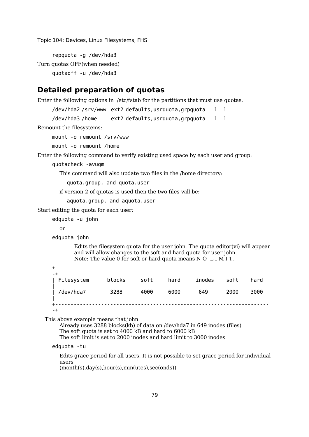repquota -g /dev/hda3 Turn quotas OFF(when needed) quotaoff -u /dev/hda3

### **Detailed preparation of quotas**

Enter the following options in /etc/fstab for the partitions that must use quotas.

/dev/hda2 /srv/www ext2 defaults,usrquota,grpquota 1 1

/dev/hda3 /home ext2 defaults,usrquota,grpquota 1 1

Remount the filesystems:

mount -o remount /srv/www

mount -o remount /home

Enter the following command to verify existing used space by each user and group:

quotacheck -avugm

This command will also update two files in the /home directory:

quota.group, and quota.user

if version 2 of quotas is used then the two files will be:

aquota.group, and aquota.user

Start editing the quota for each user:

edquota -u john

or

edquota john

Edits the filesystem quota for the user john. The quota editor(vi) will appear and will allow changes to the soft and hard quota for user john. Note: The value 0 for soft or hard quota means N O L I M I T.

| - +        |        |      |      |        |      |      |
|------------|--------|------|------|--------|------|------|
| Filesystem | blocks | soft | hard | inodes | soft | hard |
| /dev/hda7  | 3288   | 4000 | 6000 | 649    | 2000 | 3000 |
| -+         |        |      |      |        |      |      |

This above example means that john:

Already uses 3288 blocks(kb) of data on /dev/hda7 in 649 inodes (files) The soft quota is set to 4000 kB and hard to 6000 kB The soft limit is set to 2000 inodes and hard limit to 3000 inodes

#### edquota -tu

Edits grace period for all users. It is not possible to set grace period for individual users

(month(s),day(s),hour(s),min(utes),sec(onds))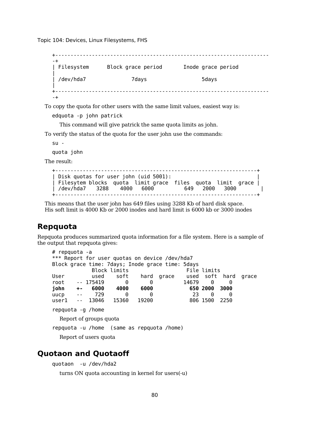+---------------------------------------------------------------------- -+ | Filesystem Block grace period Inode grace period | | /dev/hda7 7days 5days | +---------------------------------------------------------------------- -+

To copy the quota for other users with the same limit values, easiest way is:

```
edquota -p john patrick
```
This command will give patrick the same quota limits as john.

To verify the status of the quota for the user john use the commands:

 $su -$ 

quota john

The result:

```
+------------------------------------------------------------------+
| Disk quotas for user john (uid 5001): |
| Filesytem blocks quota limit grace files quota limit grace |
| /dev/hda7 3288 4000 6000 649 2000 3000 |
+------------------------------------------------------------------+
```
This means that the user john has 649 files using 3288 Kb of hard disk space. His soft limit is 4000 Kb or 2000 inodes and hard limit is 6000 kb or 3000 inodes

### **Repquota**

Repquota produces summarized quota information for a file system. Here is a sample of the output that repquota gives:

```
# repquota -a
*** Report for user quotas on device /dev/hda7
Block grace time: 7days; Inode grace time: 5days
          Block limits File limits
User used soft hard grace used soft hard grace
root -- 175419 0 0 14679 0 0
john +- 6000 4000 6000 650 2000 3000
uucp -- 729 0 0 23 0 0
user1 -- 13046 15360 19200 806 1500 2250
repquota -g /home
 Report of groups quota
repquota -u /home (same as repquota /home)
 Report of users quota
```
### **Quotaon and Quotaoff**

quotaon -u /dev/hda2

turns ON quota accounting in kernel for users(-u)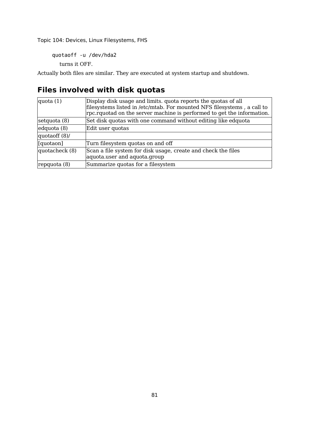quotaoff -u /dev/hda2

turns it OFF.

Actually both files are similar. They are executed at system startup and shutdown.

# **Files involved with disk quotas**

| quota $(1)$    | Display disk usage and limits. quota reports the quotas of all<br>filesystems listed in /etc/mtab. For mounted NFS filesystems, a call to<br>rpc.rquotad on the server machine is performed to get the information. |
|----------------|---------------------------------------------------------------------------------------------------------------------------------------------------------------------------------------------------------------------|
| setquota (8)   | Set disk quotas with one command without editing like edquota                                                                                                                                                       |
| edquota (8)    | Edit user quotas                                                                                                                                                                                                    |
| quotaoff (8)/  |                                                                                                                                                                                                                     |
| [quotaon]      | Turn filesystem quotas on and off                                                                                                                                                                                   |
| quotacheck (8) | Scan a file system for disk usage, create and check the files<br>aquota.user and aquota.group                                                                                                                       |
| repquota (8)   | Summarize quotas for a filesystem                                                                                                                                                                                   |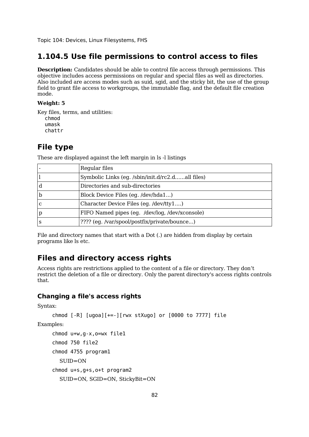### **1.104.5 Use file permissions to control access to files**

**Description:** Candidates should be able to control file access through permissions. This objective includes access permissions on regular and special files as well as directories. Also included are access modes such as suid, sgid, and the sticky bit, the use of the group field to grant file access to workgroups, the immutable flag, and the default file creation mode.

#### **Weight: 5**

Key files, terms, and utilities: chmod umask chattr

### **File type**

|              | Regular files                                    |
|--------------|--------------------------------------------------|
|              | Symbolic Links (eg. /sbin/init.d/rc2.dall files) |
| d            | Directories and sub-directories                  |
| $\mathbf b$  | Block Device Files (eg. /dev/hda1)               |
| $\mathbf C$  | Character Device Files (eg. /dev/tty1)           |
| $\mathbf{p}$ | FIFO Named pipes (eg. /dev/log, /dev/xconsole)   |
| S            | ???? (eg. /var/spool/postfix/private/bounce)     |

These are displayed against the left margin in ls -l listings

File and directory names that start with a Dot (.) are hidden from display by certain programs like ls etc.

### **Files and directory access rights**

Access rights are restrictions applied to the content of a file or directory. They don't restrict the deletion of a file or directory. Only the parent directory's access rights controls that.

#### **Changing a file's access rights**

Syntax:

```
chmod [-R] [uqoa][+-][wx stXuqo] or [0000 to 7777] file
```
Examples:

```
chmod u+w,g-x,o=wx file1
chmod 750 file2
chmod 4755 program1
  SUID=ON
chmod u+s,g+s,o+t program2
  SUID=ON, SGID=ON, StickyBit=ON
```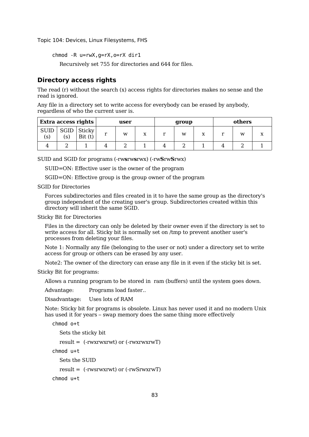chmod -R u=rwX,g=rX,o=rX dir1

Recursively set 755 for directories and 644 for files.

#### **Directory access rights**

The read (r) without the search (x) access rights for directories makes no sense and the read is ignored.

Any file in a directory set to write access for everybody can be erased by anybody, regardless of who the current user is.

| Extra access rights |             | user             |   | group |                   |  | others |    |  |   |  |
|---------------------|-------------|------------------|---|-------|-------------------|--|--------|----|--|---|--|
| <b>SUID</b><br>(S)  | SGID<br>(S) | Sticky<br>Bit(t) | r | w     | $\mathbf{v}$<br>▵ |  | w      | ٦z |  | w |  |
|                     |             |                  |   |       |                   |  |        |    |  |   |  |

SUID and SGID for programs (-rw**s**rw**s**rwx) (-rw**S**rw**S**rwx)

SUID=ON: Effective user is the owner of the program

SGID=ON: Effective group is the group owner of the program

SGID for Directories

Forces subdirectories and files created in it to have the same group as the directory's group independent of the creating user's group. Subdirectories created within this directory will inherit the same SGID.

Sticky Bit for Directories

Files in the directory can only be deleted by their owner even if the directory is set to write access for all. Sticky bit is normally set on /tmp to prevent another user's processes from deleting your files.

Note 1: Normally any file (belonging to the user or not) under a directory set to write access for group or others can be erased by any user.

Note2: The owner of the directory can erase any file in it even if the sticky bit is set.

Sticky Bit for programs:

Allows a running program to be stored in ram (buffers) until the system goes down.

Advantage: Programs load faster...

Disadvantage: Uses lots of RAM

Note: Sticky bit for programs is obsolete. Linux has never used it and no modern Unix has used it for years – swap memory does the same thing more effectively

```
chmod o+t
  Sets the sticky bit
```
result  $=$  (-rwxrwxrwt) or (-rwxrwxrwT)

chmod u+t

Sets the SUID

result = (-rwsrwxrwt) or (-rwSrwxrwT)

chmod u+t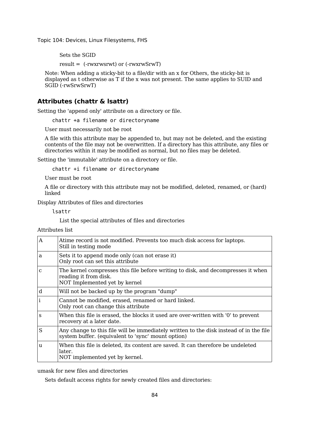Sets the SGID

result = (-rwxrwsrwt) or (-rwxrwSrwT)

Note: When adding a sticky-bit to a file/dir with an x for Others, the sticky-bit is displayed as t otherwise as T if the x was not present. The same applies to SUID and SGID (-rwSrwSrwT)

#### **Attributes (chattr & lsattr)**

Setting the 'append only' attribute on a directory or file.

chattr +a filename or directoryname

User must necessarily not be root

A file with this attribute may be appended to, but may not be deleted, and the existing contents of the file may not be overwritten. If a directory has this attribute, any files or directories within it may be modified as normal, but no files may be deleted.

Setting the 'immutable' attribute on a directory or file.

chattr +i filename or directoryname

User must be root

A file or directory with this attribute may not be modified, deleted, renamed, or (hard) linked

Display Attributes of files and directories

lsattr

List the special attributes of files and directories

Attributes list

| $\mathbf{A}$ | Atime record is not modified. Prevents too much disk access for laptops.<br>Still in testing mode                                            |
|--------------|----------------------------------------------------------------------------------------------------------------------------------------------|
| a            | Sets it to append mode only (can not erase it)<br>Only root can set this attribute                                                           |
| $\mathbf C$  | The kernel compresses this file before writing to disk, and decompresses it when<br>reading it from disk.<br>NOT Implemented yet by kernel   |
| d            | Will not be backed up by the program "dump"                                                                                                  |
| i            | Cannot be modified, erased, renamed or hard linked.<br>Only root can change this attribute                                                   |
| S            | When this file is erased, the blocks it used are over-written with '0' to prevent<br>recovery at a later date.                               |
| S            | Any change to this file will be immediately written to the disk instead of in the file<br>system buffer. (equivalent to 'sync' mount option) |
| u            | When this file is deleted, its content are saved. It can therefore be undeleted<br>later.<br>NOT implemented yet by kernel.                  |

umask for new files and directories

Sets default access rights for newly created files and directories: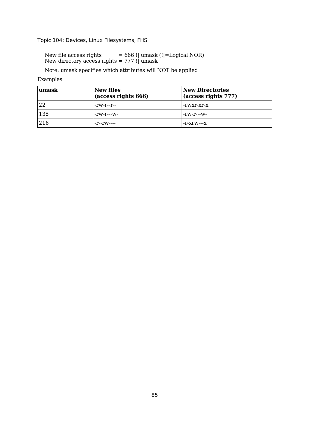New file access rights = 666 !| umask (!|=Logical NOR) New directory access rights = 777 !| umask

Note: umask specifies which attributes will NOT be applied

#### Examples:

| umask | <b>New files</b><br>(access rights 666) | <b>New Directories</b><br>(access rights 777) |
|-------|-----------------------------------------|-----------------------------------------------|
| 22    | -rw-r--r--                              | -rwxr-xr-x                                    |
| 135   | $-TW-T--W$ -                            | -rw-r---w-                                    |
| 216   | -r--rw----                              | -r-xrw---x                                    |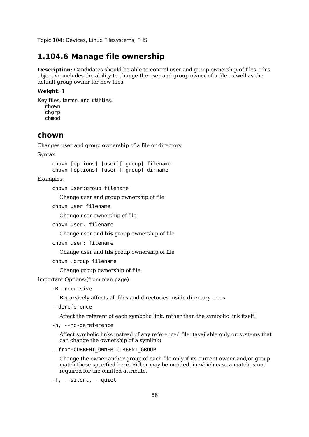### **1.104.6 Manage file ownership**

**Description:** Candidates should be able to control user and group ownership of files. This objective includes the ability to change the user and group owner of a file as well as the default group owner for new files.

#### **Weight: 1**

Key files, terms, and utilities: chown charp chmod

### **chown**

Changes user and group ownership of a file or directory

Syntax

chown [options] [user][:group] filename chown [options] [user][:group] dirname

Examples:

chown user:group filename

Change user and group ownership of file

chown user filename

Change user ownership of file

chown user. filename

Change user and **his** group ownership of file

chown user: filename

Change user and **his** group ownership of file

chown .group filename

Change group ownership of file

Important Options:(from man page)

-R –recursive

Recursively affects all files and directories inside directory trees

--dereference

Affect the referent of each symbolic link, rather than the symbolic link itself.

-h, --no-dereference

Affect symbolic links instead of any referenced file. (available only on systems that can change the ownership of a symlink)

--from=CURRENT\_OWNER:CURRENT\_GROUP

Change the owner and/or group of each file only if its current owner and/or group match those specified here. Either may be omitted, in which case a match is not required for the omitted attribute.

-f, --silent, --quiet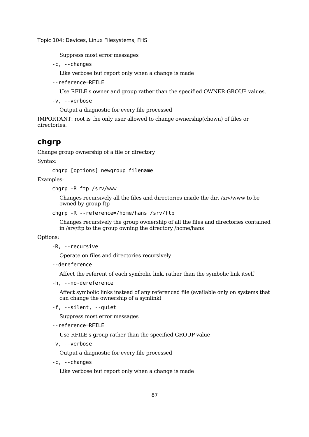Suppress most error messages

-c, --changes

Like verbose but report only when a change is made

--reference=RFILE

Use RFILE's owner and group rather than the specified OWNER:GROUP values.

-v, --verbose

Output a diagnostic for every file processed

IMPORTANT: root is the only user allowed to change ownership(chown) of files or directories.

### **chgrp**

Change group ownership of a file or directory

Syntax:

chgrp [options] newgroup filename

Examples:

chgrp -R ftp /srv/www

Changes recursively all the files and directories inside the dir. /srv/www to be owned by group ftp

```
chgrp -R --reference=/home/hans /srv/ftp
```
Changes recursively the group ownership of all the files and directories contained in /srv/ftp to the group owning the directory /home/hans

#### Options:

```
-R, --recursive
```
Operate on files and directories recursively

--dereference

Affect the referent of each symbolic link, rather than the symbolic link itself

-h, --no-dereference

Affect symbolic links instead of any referenced file (available only on systems that can change the ownership of a symlink)

```
-f, --silent, --quiet
```
Suppress most error messages

```
--reference=RFILE
```
Use RFILE's group rather than the specified GROUP value

```
-v, --verbose
```
Output a diagnostic for every file processed

```
-c, --changes
```
Like verbose but report only when a change is made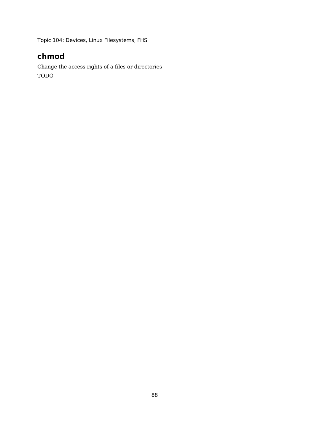# **chmod**

Change the access rights of a files or directories TODO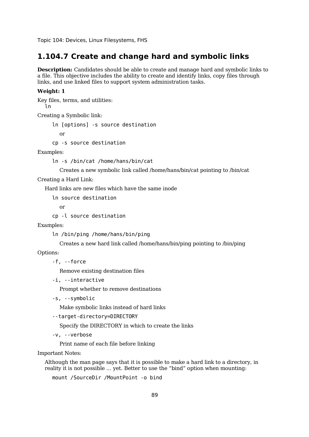### **1.104.7 Create and change hard and symbolic links**

**Description:** Candidates should be able to create and manage hard and symbolic links to a file. This objective includes the ability to create and identify links, copy files through links, and use linked files to support system administration tasks.

#### **Weight: 1**

Key files, terms, and utilities: ln

Creating a Symbolic link:

ln [options] -s source destination

or

cp -s source destination

Examples:

ln -s /bin/cat /home/hans/bin/cat

Creates a new symbolic link called /home/hans/bin/cat pointing to /bin/cat

Creating a Hard Link:

Hard links are new files which have the same inode

ln source destination

or

```
cp -l source destination
```
Examples:

ln /bin/ping /home/hans/bin/ping

Creates a new hard link called /home/hans/bin/ping pointing to /bin/ping

Options:

-f, --force

Remove existing destination files

-i, --interactive

Prompt whether to remove destinations

-s, --symbolic

Make symbolic links instead of hard links

```
--target-directory=DIRECTORY
```
Specify the DIRECTORY in which to create the links

-v, --verbose

Print name of each file before linking

Important Notes:

Although the man page says that it is possible to make a hard link to a directory, in reality it is not possible ... yet. Better to use the "bind" option when mounting:

mount /SourceDir /MountPoint -o bind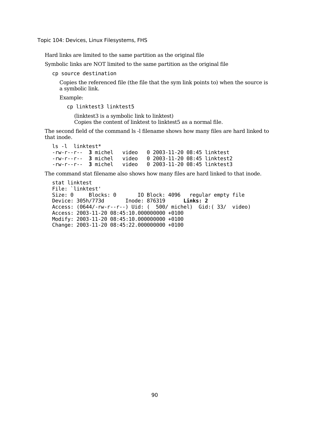Hard links are limited to the same partition as the original file

Symbolic links are NOT limited to the same partition as the original file

cp source destination

Copies the referenced file (the file that the sym link points to) when the source is a symbolic link.

Example:

cp linktest3 linktest5

(linktest3 is a symbolic link to linktest) Copies the content of linktest to linktest5 as a normal file.

The second field of the command ls -l filename shows how many files are hard linked to that inode.

```
ls -l linktest*
-rw-r--r-- 3 michel video 0 2003-11-20 08:45 linktest
-rw-r--r-- 3 michel video 0 2003-11-20 08:45 linktest2
-rw-r--r-- 3 michel video 0 2003-11-20 08:45 linktest3
```
The command stat filename also shows how many files are hard linked to that inode.

stat linktest File: `linktest'<br>Size: 0 Bloc Blocks: 0 IO Block: 4096 regular empty file Device: 305h/773d Inode: 876319 **Links: 2** Access: (0644/-rw-r--r--) Uid: ( 500/ michel) Gid:( 33/ video) Access: 2003-11-20 08:45:10.000000000 +0100 Modify: 2003-11-20 08:45:10.000000000 +0100 Change: 2003-11-20 08:45:22.000000000 +0100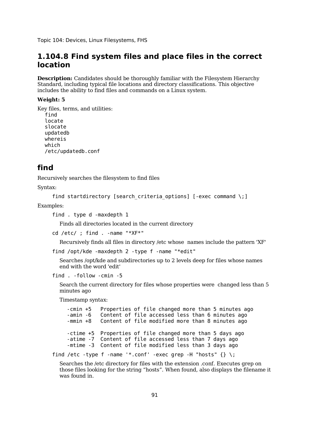### **1.104.8 Find system files and place files in the correct location**

**Description:** Candidates should be thoroughly familiar with the Filesystem Hierarchy Standard, including typical file locations and directory classifications. This objective includes the ability to find files and commands on a Linux system.

#### **Weight: 5**

Key files, terms, and utilities: find locate slocate updatedb whereis which /etc/updatedb.conf

### **find**

Recursively searches the filesystem to find files

Syntax:

```
find startdirectory [search criteria options] [-exec command \;]
```
Examples:

find . type d -maxdepth 1

Finds all directories located in the current directory

cd /etc/ ; find . -name "\*XF\*"

Recursively finds all files in directory /etc whose names include the pattern 'XF'

```
find /opt/kde -maxdepth 2 -type f -name "*edit"
```
Searches /opt/kde and subdirectories up to 2 levels deep for files whose names end with the word 'edit'

```
find . -follow -cmin -5
```
Search the current directory for files whose properties were changed less than 5 minutes ago

Timestamp syntax:

-cmin +5 Properties of file changed more than 5 minutes ago -amin -6 Content of file accessed less than 6 minutes ago<br>-mmin +8 Content of file modified more than 8 minutes ago Content of file modified more than 8 minutes ago -ctime +5 Properties of file changed more than 5 days ago -atime -7 Content of file accessed less than 7 days ago -mtime -3 Content of file modified less than 3 days ago

find /etc -type f -name '\*.conf' -exec grep -H "hosts"  $\{\} \setminus;$ 

Searches the /etc directory for files with the extension .conf. Executes grep on those files looking for the string "hosts". When found, also displays the filename it was found in.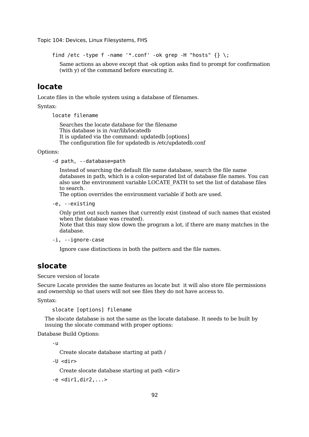```
find /etc -type f -name '*.conf' -ok grep -H "hosts" \{\} \
```
Same actions as above except that -ok option asks find to prompt for confirmation (with y) of the command before executing it.

### **locate**

Locate files in the whole system using a database of filenames.

Syntax:

locate filename

Searches the locate database for the filename This database is in /var/lib/locatedb It is updated via the command: updatedb [options] The configuration file for updatedb is /etc/updatedb.conf

Options:

-d path, --database=path

Instead of searching the default file name database, search the file name databases in path, which is a colon-separated list of database file names. You can also use the environment variable LOCATE\_PATH to set the list of database files to search.

The option overrides the environment variable if both are used.

-e, --existing

Only print out such names that currently exist (instead of such names that existed when the database was created).

Note that this may slow down the program a lot, if there are many matches in the database.

```
-i, --ignore-case
```
Ignore case distinctions in both the pattern and the file names.

### **slocate**

Secure version of locate

Secure Locate provides the same features as locate but it will also store file permissions and ownership so that users will not see files they do not have access to.

Syntax:

slocate [options] filename

The slocate database is not the same as the locate database. It needs to be built by issuing the slocate command with proper options:

Database Build Options:

-u

Create slocate database starting at path /

-U <dir>

Create slocate database starting at path <dir>

 $-e$   $<$ dir $1.d$ ir $2...$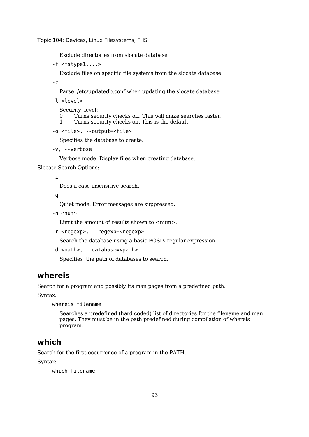Exclude directories from slocate database

 $-f$  <fstypel,... $>$ 

Exclude files on specific file systems from the slocate database.

-c

Parse /etc/updatedb.conf when updating the slocate database.

-l <level>

Security level:

- 0 Turns security checks off. This will make searches faster.<br>1 Turns security checks on This is the default
- Turns security checks on. This is the default.

```
-o <file>, --output=<file>
```
Specifies the database to create.

```
-v, --verbose
```
Verbose mode. Display files when creating database.

Slocate Search Options:

-i

Does a case insensitive search.

-q

Quiet mode. Error messages are suppressed.

-n <num>

Limit the amount of results shown to  $\langle$ num $\rangle$ .

-r <regexp>, --regexp=<regexp>

Search the database using a basic POSIX regular expression.

```
-d <path>, --database=<path>
```
Specifies the path of databases to search.

## **whereis**

Search for a program and possibly its man pages from a predefined path.

Syntax:

whereis filename

Searches a predefined (hard coded) list of directories for the filename and man pages. They must be in the path predefined during compilation of whereis program.

### **which**

Search for the first occurrence of a program in the PATH.

Syntax:

which filename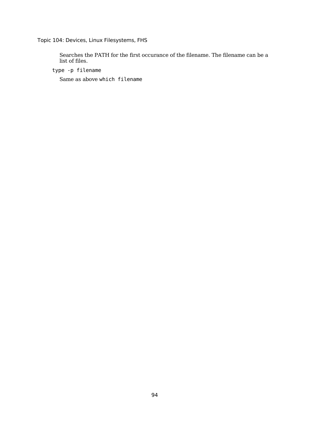Searches the PATH for the first occurance of the filename. The filename can be a list of files.

type -p filename

Same as above which filename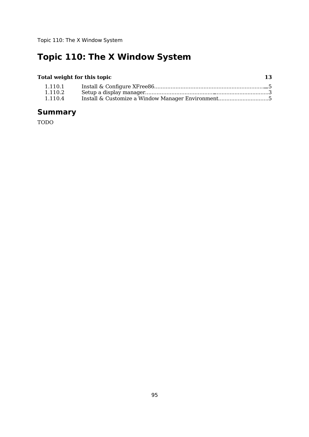# **Topic 110: The X Window System**

### **Total weight for this topic 13**

| 1.110.1 |  |
|---------|--|
| 1.110.2 |  |
| 1.110.4 |  |

# **Summary**

TODO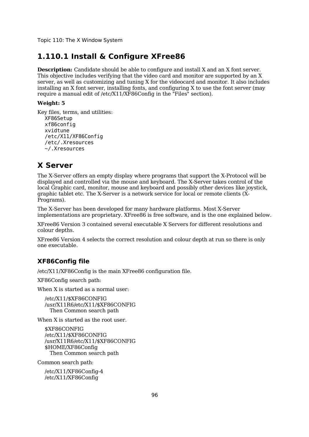Topic 110: The X Window System

### **1.110.1 Install & Configure XFree86**

**Description:** Candidate should be able to configure and install X and an X font server. This objective includes verifying that the video card and monitor are supported by an X server, as well as customizing and tuning X for the videocard and monitor. It also includes installing an X font server, installing fonts, and configuring X to use the font server (may require a manual edit of /etc/X11/XF86Config in the "Files" section).

#### **Weight: 5**

Key files, terms, and utilities: XF86Setup xf86config xvidtune /etc/X11/XF86Config /etc/.Xresources ~/.Xresources

## **X Server**

The X-Server offers an empty display where programs that support the X-Protocol will be displayed and controlled via the mouse and keyboard. The X-Server takes control of the local Graphic card, monitor, mouse and keyboard and possibly other devices like joystick, graphic tablet etc. The X-Server is a network service for local or remote clients (X-Programs).

The X-Server has been developed for many hardware platforms. Most X-Server implementations are proprietary. XFree86 is free software, and is the one explained below.

XFree86 Version 3 contained several executable X Servers for different resolutions and colour depths.

XFree86 Version 4 selects the correct resolution and colour depth at run so there is only one executable.

### **XF86Config file**

/etc/X11/XF86Config is the main XFree86 configuration file.

XF86Config search path:

When X is started as a normal user:

/etc/X11/\$XF86CONFIG /usr/X11R6/etc/X11/\$XF86CONFIG Then Common search path

When X is started as the root user.

\$XF86CONFIG /etc/X11/\$XF86CONFIG /usr/X11R6/etc/X11/\$XF86CONFIG \$HOME/XF86Config Then Common search path

Common search path:

/etc/X11/XF86Config-4 /etc/X11/XF86Config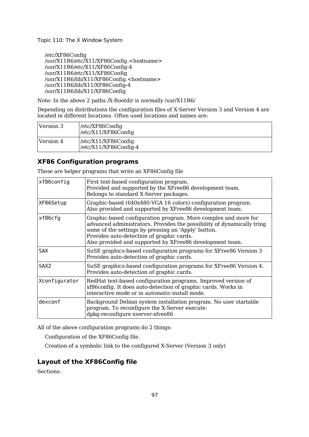/etc/XF86Config /usr/X11R6/etc/X11/XF86Config.<hostname> /usr/X11R6/etc/X11/XF86Config-4 /usr/X11R6/etc/X11/XF86Config /usr/X11R6/lib/X11/XF86Config.<hostname> /usr/X11R6/lib/X11/XF86Config-4 /usr/X11R6/lib/X11/XF86Config

Note: In the above 2 paths /X-Rootdir is normally /usr/X11R6/

Depending on distributions the configuration files of X-Server Version 3 and Version 4 are located in different locations. Often used locations and names are:

| Version 3 | /etc/XF86Config<br>/etc/X11/XF86Config               |
|-----------|------------------------------------------------------|
| Version 4 | /etc/X11/XF86Config<br>$\vert$ /etc/X11/XF86Config-4 |

### **XF86 Configuration programs**

These are helper programs that write an XF86Config file

| xf86config       | First text-based configuration program.<br>Provided and supported by the XFree86 development team.<br>Belongs to standard X-Server packages.                                                                                                                                                             |  |
|------------------|----------------------------------------------------------------------------------------------------------------------------------------------------------------------------------------------------------------------------------------------------------------------------------------------------------|--|
| XF86Setup        | Graphic-based (640x480-VGA 16 colors) configuration program.<br>Also provided and supported by XFree86 development team.                                                                                                                                                                                 |  |
| xf86cfg          | Graphic-based configuration program. More complex and more for<br>advanced administrators. Provides the possibility of dynamically tring<br>some of the settings by pressing an 'Apply' button.<br>Provides auto-detection of graphic cards.<br>Also provided and supported by XFree86 development team. |  |
| <b>SAX</b>       | SuSE graphics-based configuration programs for XFree86 Version 3<br>Provides auto-detection of graphic cards.                                                                                                                                                                                            |  |
| SAX <sub>2</sub> | SuSE graphics-based configuration programs for XFree86 Version 4.<br>Provides auto-detection of graphic cards.                                                                                                                                                                                           |  |
| Xconfigurator    | RedHat text-based configuration programs. Improved version of<br>xf86config. It does auto-detection of graphic cards. Works in<br>interactive mode or in automatic-install mode.                                                                                                                         |  |
| dexconf          | Background Debian system installation program. No user startable<br>program. To reconfigure the X-Server execute:<br>dpkg-reconfigure xserver-xfree86                                                                                                                                                    |  |

All of the above configuration programs do 2 things:

Configuration of the XF86Config file.

Creation of a symbolic link to the configured X-Server (Version 3 only)

## **Layout of the XF86Config file**

Sections: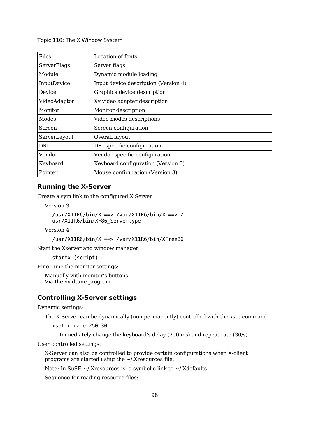| Files        | Location of fonts                    |  |
|--------------|--------------------------------------|--|
| ServerFlags  | Server flags                         |  |
| Module       | Dynamic module loading               |  |
| InputDevice  | Input device description (Version 4) |  |
| Device       | Graphics device description          |  |
| VideoAdaptor | Xv video adapter description         |  |
| Monitor      | Monitor description                  |  |
| Modes        | Video modes descriptions             |  |
| Screen       | Screen configuration                 |  |
| ServerLayout | Overall layout                       |  |
| DRI          | DRI-specific configuration           |  |
| Vendor       | Vendor-specific configuration        |  |
| Keyboard     | Keyboard configuration (Version 3)   |  |
| Pointer      | Mouse configuration (Version 3)      |  |

#### **Running the X-Server**

Create a sym link to the configured X Server

Version 3

```
/usr/X11R6/bin/X ==> /var/X11R6/bin/X ==> /
usr/X11R6/bin/XF86_Servertype
```
Version 4

/usr/X11R6/bin/X ==> /var/X11R6/bin/XFree86

Start the Xserver and window manager:

startx (script)

Fine Tune the monitor settings:

Manually with monitor's buttons Via the xvidtune program

#### **Controlling X-Server settings**

Dynamic settings:

The X-Server can be dynamically (non permanently) controlled with the xset command

xset r rate 250 30

Immediately change the keyboard's delay (250 ms) and repeat rate (30/s)

User controlled settings:

X-Server can also be controlled to provide certain configurations when X-client programs are started using the ~/.Xresources file.

Note: In SuSE  $\sim$ /.Xresources is a symbolic link to  $\sim$ /.Xdefaults

Sequence for reading resource files: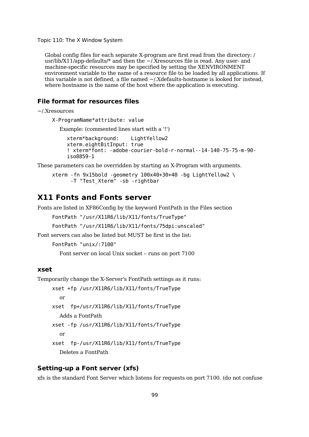Global config files for each separate X-program are first read from the directory: / usr/lib/X11/app-defaults/ $*$  and then the  $\sim$ /.Xresources file is read. Any user- and machine-specific resources may be specified by setting the XENVIRONMENT environment variable to the name of a resource file to be loaded by all applications. If this variable is not defined, a file named ~/.Xdefaults-hostname is looked for instead, where hostname is the name of the host where the application is executing.

#### **File format for resources files**

~/.Xresources

X-ProgramName\*attribute: value

Example: (commented lines start with a '!')

xterm\*background: LightYellow2 xterm.eightBitInput: true ! xterm\*font: -adobe-courier-bold-r-normal--14-140-75-75-m-90 iso8859-1

These parameters can be overridden by starting an X-Program with arguments.

```
xterm -fn 9x15bold -geometry 100x40+30+40 -bg LightYellow2 \
      -T "Test Xterm" -sb -rightbar
```
### **X11 Fonts and Fonts server**

Fonts are listed in XF86Config by the keyword FontPath in the Files section

```
FontPath "/usr/X11R6/lib/X11/fonts/TrueType"
```
FontPath "/usr/X11R6/lib/X11/fonts/75dpi:unscaled"

Font servers can also be listed but MUST be first in the list:

```
FontPath "unix/:7100"
```
Font server on local Unix socket – runs on port 7100

#### **xset**

Temporarily change the X-Server's FontPath settings as it runs:

xset +fp /usr/X11R6/lib/X11/fonts/TrueType

or

- xset fp+/usr/X11R6/lib/X11/fonts/TrueType Adds a FontPath
- xset -fp /usr/X11R6/lib/X11/fonts/TrueType or
- xset fp-/usr/X11R6/lib/X11/fonts/TrueType Deletes a FontPath

#### **Setting-up a Font server (xfs)**

xfs is the standard Font Server which listens for requests on port 7100. (do not confuse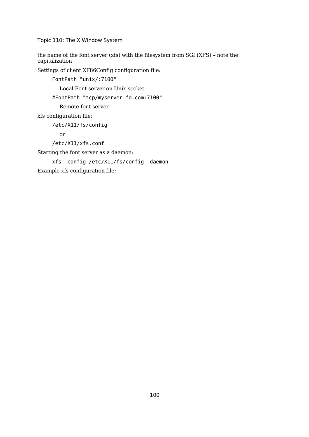the name of the font server (xfs) with the filesystem from SGI (XFS) – note the capitalization

Settings of client XF86Config configuration file:

FontPath "unix/:7100"

Local Font server on Unix socket

#FontPath "tcp/myserver.fd.com:7100"

Remote font server

xfs configuration file:

/etc/X11/fs/config

or

```
/etc/X11/xfs.conf
```
Starting the font server as a daemon:

xfs -config /etc/X11/fs/config -daemon

Example xfs configuration file: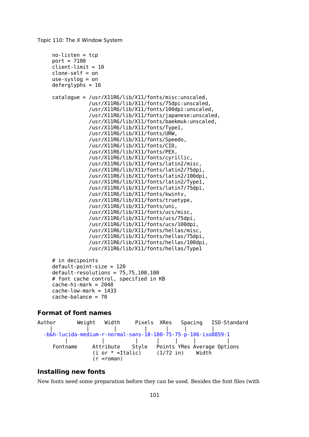```
no-listen = tcp
port = 7100client-limit = 10
clone-self = on
use-syslog = on
deferglyphs = 16catalogue = /usr/X11R6/lib/X11/fonts/misc:unscaled,
            /usr/X11R6/lib/X11/fonts/75dpi:unscaled,
            /usr/X11R6/lib/X11/fonts/100dpi:unscaled,
            /usr/X11R6/lib/X11/fonts/japanese:unscaled,
            /usr/X11R6/lib/X11/fonts/baekmuk:unscaled,
            /usr/X11R6/lib/X11/fonts/Type1,
            /usr/X11R6/lib/X11/fonts/URW,
            /usr/X11R6/lib/X11/fonts/Speedo,
            /usr/X11R6/lib/X11/fonts/CID,
            /usr/X11R6/lib/X11/fonts/PEX,
            /usr/X11R6/lib/X11/fonts/cyrillic,
            /usr/X11R6/lib/X11/fonts/latin2/misc,
            /usr/X11R6/lib/X11/fonts/latin2/75dpi,
            /usr/X11R6/lib/X11/fonts/latin2/100dpi,
            /usr/X11R6/lib/X11/fonts/latin2/Type1,
            /usr/X11R6/lib/X11/fonts/latin7/75dpi,
            /usr/X11R6/lib/X11/fonts/kwintv,
            /usr/X11R6/lib/X11/fonts/truetype,
            /usr/X11R6/lib/X11/fonts/uni,
            /usr/X11R6/lib/X11/fonts/ucs/misc,
            /usr/X11R6/lib/X11/fonts/ucs/75dpi,
            /usr/X11R6/lib/X11/fonts/ucs/100dpi,
            /usr/X11R6/lib/X11/fonts/hellas/misc,
            /usr/X11R6/lib/X11/fonts/hellas/75dpi,
            /usr/X11R6/lib/X11/fonts/hellas/100dpi,
            /usr/X11R6/lib/X11/fonts/hellas/Type1
# in decipoints
```

```
default-point-size = 120default-resolutions = 75,75,100,100# font cache control, specified in KB
cache-hi-mark = 2048cache-low-mark = 1433
cache-balance = 70
```
#### **Format of font names**

```
Author Weight Width Pixels XRes Spacing ISO-Standard
   | | | | | | |
 -b&h-lucida-medium-r-normal-sans-18-180-75-75-p-106-iso8859-1
       | | | | | | |
   Fontname Attribute Style Points YRes Average Options
             (i \text{ or } * = \text{Italic}) (1/72 \text{ in}) Width
             (r =roman)
```
#### **Installing new fonts**

New fonts need some preparation before they can be used. Besides the font files (with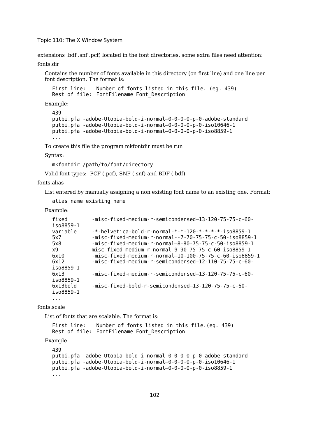extensions .bdf .snf .pcf) located in the font directories, some extra files need attention:

fonts.dir

Contains the number of fonts available in this directory (on first line) and one line per font description. The format is:

```
First line: Number of fonts listed in this file. (eg. 439)
Rest of file: FontFilename Font Description
```
Example:

```
439
putbi.pfa -adobe-Utopia-bold-i-normal—0-0-0-0-p-0-adobe-standard
putbi.pfa -adobe-Utopia-bold-i-normal—0-0-0-0-p-0-iso10646-1
putbi.pfa -adobe-Utopia-bold-i-normal—0-0-0-0-p-0-iso8859-1
...
```
To create this file the program mkfontdir must be run

Syntax:

```
mkfontdir /path/to/font/directory
```
Valid font types: PCF (.pcf), SNF (.snf) and BDF (.bdf)

fonts.alias

List entered by manually assigning a non existing font name to an existing one. Format:

```
alias_name existing_name
```
Example:

| fixed<br>iso8859-1           | -misc-fixed-medium-r-semicondensed-13-120-75-75-c-60-                                                                                                                                                                                                     |
|------------------------------|-----------------------------------------------------------------------------------------------------------------------------------------------------------------------------------------------------------------------------------------------------------|
| variable<br>5x7<br>5x8<br>x9 | $-*-helvetica-body - r-normal - * - * - 120 - * - * - * - * - iso8859 - 1$<br>-misc-fixed-medium-r-normal--7-70-75-75-c-50-iso8859-1<br>$-misc$ -fixed-medium-r-normal-8-80-75-75-c-50-iso8859-1<br>-misc-fixed-medium-r-normal-9-90-75-75-c-60-iso8859-1 |
| 6x10<br>6x12<br>iso8859-1    | $-misc$ -fixed-medium-r-normal-10-100-75-75-c-60-iso8859-1<br>-misc-fixed-medium-r-semicondensed-12-110-75-75-c-60-                                                                                                                                       |
| 6x13<br>iso8859-1            | -misc-fixed-medium-r-semicondensed-13-120-75-75-c-60-                                                                                                                                                                                                     |
| 6x13bold<br>iso8859-1        | -misc-fixed-bold-r-semicondensed-13-120-75-75-c-60-                                                                                                                                                                                                       |
| .                            |                                                                                                                                                                                                                                                           |

fonts.scale

List of fonts that are scalable. The format is:

```
First line: Number of fonts listed in this file.(eg. 439)
Rest of file: FontFilename Font Description
```
Example

```
439
putbi.pfa -adobe-Utopia-bold-i-normal—0-0-0-0-p-0-adobe-standard
putbi.pfa -adobe-Utopia-bold-i-normal—0-0-0-0-p-0-iso10646-1
putbi.pfa -adobe-Utopia-bold-i-normal—0-0-0-0-p-0-iso8859-1
...
```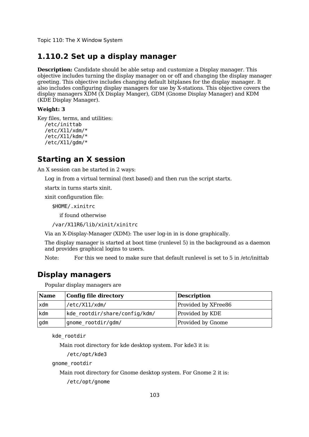## **1.110.2 Set up a display manager**

**Description:** Candidate should be able setup and customize a Display manager. This objective includes turning the display manager on or off and changing the display manager greeting. This objective includes changing default bitplanes for the display manager. It also includes configuring display managers for use by X-stations. This objective covers the display managers XDM (X Display Manger), GDM (Gnome Display Manager) and KDM (KDE Display Manager).

#### **Weight: 3**

Key files, terms, and utilities: /etc/inittab /etc/X11/xdm/\* /etc/X11/kdm/\* /etc/X11/gdm/\*

## **Starting an X session**

An X session can be started in 2 ways:

Log in from a virtual terminal (text based) and then run the script startx.

startx in turns starts xinit.

xinit configuration file:

\$HOME/.xinitrc

if found otherwise

/var/X11R6/lib/xinit/xinitrc

Via an X-Display-Manager (XDM): The user log-in in is done graphically.

The display manager is started at boot time (runlevel 5) in the background as a daemon and provides graphical logins to users.

Note: For this we need to make sure that default runlevel is set to 5 in /etc/inittab

## **Display managers**

Popular display managers are

| <b>Name</b> | Config file directory         | <b>Description</b>  |
|-------------|-------------------------------|---------------------|
| xdm         | /etc/X11/xdm/                 | Provided by XFree86 |
| kdm         | kde rootdir/share/config/kdm/ | Provided by KDE     |
| gdm         | gnome rootdir/gdm/            | Provided by Gnome   |

kde\_rootdir

Main root directory for kde desktop system. For kde3 it is:

```
/etc/opt/kde3
```
gnome\_rootdir

Main root directory for Gnome desktop system. For Gnome 2 it is:

/etc/opt/gnome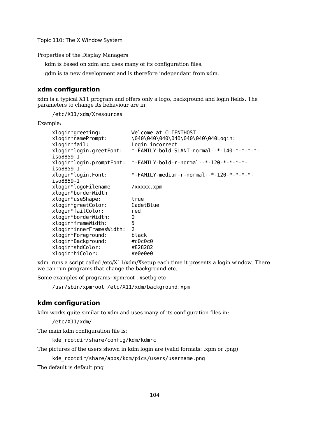Properties of the Display Managers

kdm is based on xdm and uses many of its configuration files.

gdm is ta new development and is therefore independant from xdm.

#### **xdm configuration**

xdm is a typical X11 program and offers only a logo, background and login fields. The parameters to change its behaviour are in:

/etc/X11/xdm/Xresources

Example:

| Welcome at CLIENTHOST                                       |
|-------------------------------------------------------------|
| \040\040\040\040\040\040\040Login:                          |
| Login incorrect                                             |
| *-FAMILY-bold-SLANT-normal--*-140-*-*-*-*-                  |
| $*$ -FAMILY-bold-r-normal-- $*$ -120- $*$ - $*$ - $*$ - $*$ |
| *-FAMILY-medium-r-normal--*-120-*-*-*-*-                    |
| /xxxxx.xpm                                                  |
| true                                                        |
| CadetBlue                                                   |
| red                                                         |
| 0                                                           |
| 5                                                           |
| $\mathcal{P}$                                               |
| black                                                       |
| #c0c0c0                                                     |
| #828282                                                     |
| #e0e0e0                                                     |
|                                                             |

xdm runs a script called /etc/X11/xdm/Xsetup each time it presents a login window. There we can run programs that change the background etc.

Some examples of programs: xpmroot , xsetbg etc

/usr/sbin/xpmroot /etc/X11/xdm/background.xpm

#### **kdm configuration**

kdm works quite similar to xdm and uses many of its configuration files in:

/etc/X11/xdm/

The main kdm configuration file is:

kde\_rootdir/share/config/kdm/kdmrc

The pictures of the users shown in kdm login are (valid formats: .xpm or .png)

```
kde_rootdir/share/apps/kdm/pics/users/username.png
```
The default is default.png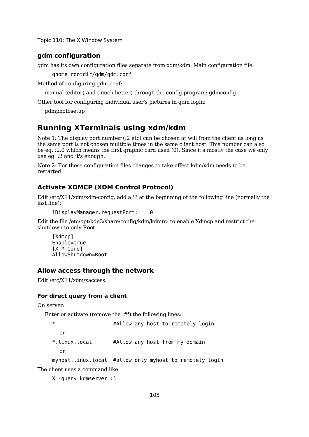#### **gdm configuration**

gdm has its own configuration files separate from xdm/kdm. Main configuration file:

gnome\_rootdir/gdm/gdm.conf

Method of configuring gdm.conf:

manual (editor) and (much better) through the config program: gdmconfig

Other tool for configuring individual user's pictures in gdm login:

gdmphotosetup

## **Running XTerminals using xdm/kdm**

Note 1: The display port number (:2 etc) can be chosen at will from the client as long as the same port is not chosen multiple times in the same client host. This number can also be eg. :2.0 which means the first graphic card used (0). Since it's mostly the case we only use eg. :2 and it's enough.

Note 2: For these configuration files changes to take effect kdm/xdm needs to be restarted.

#### **Activate XDMCP (XDM Control Protocol)**

Edit /etc/X11/xdm/xdm-config, add a '!' at the beginning of the following line (normally the last line):

```
!DisplayManager.requestPort: 0
```
Edit the file /etc/opt/kde3/share/config/kdm/kdmrc: to enable Xdmcp and restrict the shutdown to only Root

[Xdmcp] Enable=true [X-\*-Core] AllowShutdown=Root

#### **Allow access through the network**

Edit /etc/X11/xdm/xaccess:

#### **For direct query from a client**

On server:

Enter or activate (remove the '#') the following lines:

```
* #Allow any host to remotely login
 or
*.linux.local #Allow any host from my domain
```
or

myhost.linux.local #allow only myhost to remotely login

The client uses a command like

X -query kdmserver :1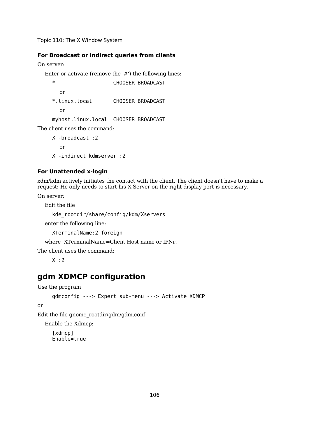#### **For Broadcast or indirect queries from clients**

On server:

Enter or activate (remove the '#') the following lines:

```
* CHOOSER BROADCAST
 or
*.linux.local CHOOSER BROADCAST
 or
myhost.linux.local CHOOSER BROADCAST
```
The client uses the command:

X -broadcast :2 or X -indirect kdmserver :2

#### **For Unattended x-login**

xdm/kdm actively initiates the contact with the client. The client doesn't have to make a request: He only needs to start his X-Server on the right display port is necessary.

On server:

Edit the file

kde\_rootdir/share/config/kdm/Xservers

enter the following line:

XTerminalName:2 foreign

where XTerminalName=Client Host name or IPNr.

The client uses the command:

 $X : 2$ 

# **gdm XDMCP configuration**

```
Use the program
```

```
gdmconfig ---> Expert sub-menu ---> Activate XDMCP
```
or

Edit the file gnome\_rootdir/gdm/gdm.conf

Enable the Xdmcp:

[xdmcp] Enable=true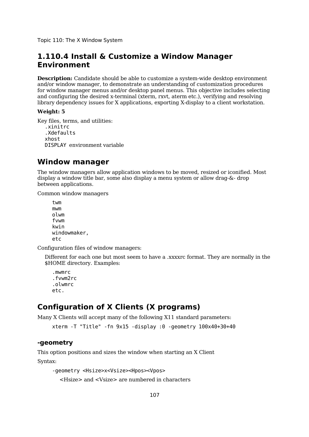## **1.110.4 Install & Customize a Window Manager Environment**

**Description:** Candidate should be able to customize a system-wide desktop environment and/or window manager, to demonstrate an understanding of customization procedures for window manager menus and/or desktop panel menus. This objective includes selecting and configuring the desired x-terminal (xterm, rxvt, aterm etc.), verifying and resolving library dependency issues for X applications, exporting X-display to a client workstation.

#### **Weight: 5**

```
Key files, terms, and utilities:
   .xinitrc
   .Xdefaults
  xhost
  DISPLAY environment variable
```
## **Window manager**

The window managers allow application windows to be moved, resized or iconified. Most display a window title bar, some also display a menu system or allow drag-&- drop between applications.

Common window managers

```
twm
mwm
olwm
fvwm
kwin
windowmaker,
etc
```
Configuration files of window managers:

Different for each one but most seem to have a .xxxxrc format. They are normally in the \$HOME directory. Examples:

.mwmrc .fvwm2rc .olwmrc etc.

# **Configuration of X Clients (X programs)**

Many X Clients will accept many of the following X11 standard parameters:

xterm -T "Title" -fn 9x15 -display :0 -geometry 100x40+30+40

#### **-geometry**

This option positions and sizes the window when starting an X Client Syntax:

```
-geometry <Hsize>x<Vsize><Hpos><Vpos>
```
<Hsize> and <Vsize> are numbered in characters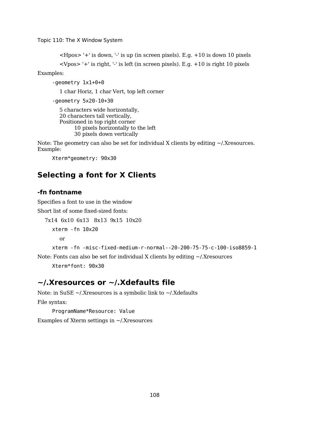```
\langleHpos>'+' is down, '-' is up (in screen pixels). E.g. +10 is down 10 pixels
<Vpos> '+' is right, '-' is left (in screen pixels). E.g. +10 is right 10 pixels
```
Examples:

```
-geometry 1x1+0+0
```
1 char Horiz, 1 char Vert, top left corner

-geometry 5x20-10+30

```
5 characters wide horizontally,
20 characters tall vertically,
Positioned in top right corner
      10 pixels horizontally to the left
      30 pixels down vertically
```
Note: The geometry can also be set for individual X clients by editing ~/.Xresources. Example:

Xterm\*geometry: 90x30

## **Selecting a font for X Clients**

#### **-fn fontname**

Specifies a font to use in the window

Short list of some fixed-sized fonts:

```
7x14 6x10 6x13 8x13 9x15 10x20
  xterm -fn 10x20
    or
  xterm -fn -misc-fixed-medium-r-normal--20-200-75-75-c-100-iso8859-1
```
Note: Fonts can also be set for individual X clients by editing  $\sim$ /.Xresources Xterm\*font: 90x30

## **~/.Xresources or ~/.Xdefaults file**

Note: in SuSE ~/.Xresources is a symbolic link to ~/.Xdefaults File syntax:

ProgramName\*Resource: Value Examples of Xterm settings in ~/.Xresources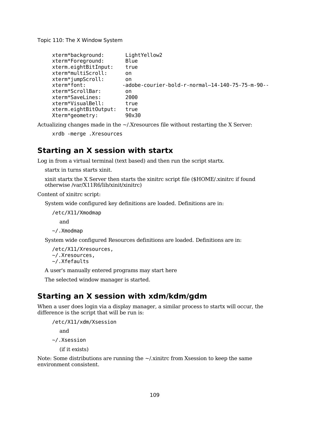```
xterm*background: LightYellow2
xterm*Foreground: Blue
xterm.eightBitInput: true
xterm*multiScroll: on
xterm*jumpScroll: on
xterm*font: -adobe-courier-bold-r-normal-14-140-75-75-m-90--
xterm*ScrollBar: on
xterm*SaveLines: 2000
xterm*VisualBell: true
xterm.eightBitOutput: true
Xterm*geometry: 90x30
```
Actualizing changes made in the ~/.Xresources file without restarting the X Server:

xrdb -merge .Xresources

### **Starting an X session with startx**

Log in from a virtual terminal (text based) and then run the script startx.

startx in turns starts xinit.

xinit startx the X Server then starts the xinitrc script file (\$HOME/.xinitrc if found otherwise /var/X11R6/lib/xinit/xinitrc)

Content of xinitrc script:

System wide configured key definitions are loaded. Definitions are in:

/etc/X11/Xmodmap

and

~/.Xmodmap

System wide configured Resources definitions are loaded. Definitions are in:

```
/etc/X11/Xresources,
~/.Xresources,
~/.Xfefaults
```
A user's manually entered programs may start here

The selected window manager is started.

#### **Starting an X session with xdm/kdm/gdm**

When a user does login via a display manager, a similar process to startx will occur, the difference is the script that will be run is:

/etc/X11/xdm/Xsession and

~/.Xsession

(if it exists)

Note: Some distributions are running the  $\sim$ /xinitrc from Xsession to keep the same environment consistent.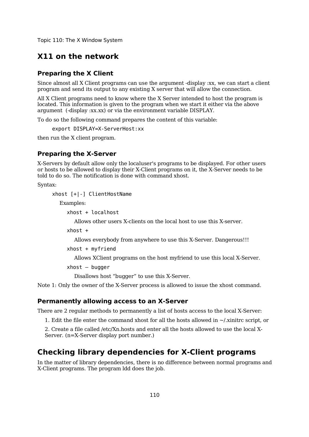## **X11 on the network**

#### **Preparing the X Client**

Since almost all X Client programs can use the argument -display :xx, we can start a client program and send its output to any existing X server that will allow the connection.

All X Client programs need to know where the X Server intended to host the program is located. This information is given to the program when we start it either via the above argument (-display :xx.xx) or via the environment variable DISPLAY.

To do so the following command prepares the content of this variable:

export DISPLAY=X-ServerHost:xx

then run the X client program.

#### **Preparing the X-Server**

X-Servers by default allow only the localuser's programs to be displayed. For other users or hosts to be allowed to display their X-Client programs on it, the X-Server needs to be told to do so. The notification is done with command xhost.

Syntax:

xhost [+|-] ClientHostName

Examples:

xhost + localhost

Allows other users X-clients on the local host to use this X-server.

xhost +

Allows everybody from anywhere to use this X-Server. Dangerous!!!

 $x$ host + myfriend

Allows XClient programs on the host myfriend to use this local X-Server.

```
xhost – bugger
```
Disallows host "bugger" to use this X-Server.

Note 1: Only the owner of the X-Server process is allowed to issue the xhost command.

#### **Permanently allowing access to an X-Server**

There are 2 regular methods to permanently a list of hosts access to the local X-Server:

1. Edit the file enter the command xhost for all the hosts allowed in ~/.xinitrc script, or

2. Create a file called /etc/Xn.hosts and enter all the hosts allowed to use the local X-Server. (n=X-Server display port number.)

## **Checking library dependencies for X-Client programs**

In the matter of library dependencies, there is no difference between normal programs and X-Client programs. The program ldd does the job.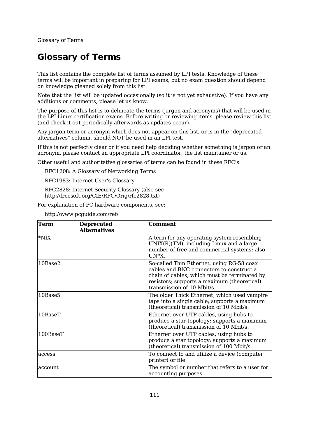# **Glossary of Terms**

This list contains the complete list of terms assumed by LPI tests. Knowledge of these terms will be important in preparing for LPI exams, but no exam question should depend on knowledge gleaned solely from this list.

Note that the list will be updated occasionally (so it is not yet exhaustive). If you have any additions or comments, please let us know.

The purpose of this list is to delineate the terms (jargon and acronyms) that will be used in the LPI Linux certification exams. Before writing or reviewing items, please review this list (and check it out periodically afterwards as updates occur).

Any jargon term or acronym which does not appear on this list, or is in the "deprecated alternatives" column, should NOT be used in an LPI test.

If this is not perfectly clear or if you need help deciding whether something is jargon or an acronym, please contact an appropriate LPI coordinator, the list maintainer or us.

Other useful and authoritative glossaries of terms can be found in these RFC's:

RFC1208: A Glossary of Networking Terms

RFC1983: Internet User's Glossary

RFC2828: Internet Security Glossary (also see http://freesoft.org/CIE/RFC/Orig/rfc2828.txt)

For explanation of PC hardware components, see:

| Term          | <b>Deprecated</b><br><b>Alternatives</b> | <b>Comment</b>                                                                                                                                                                                                     |
|---------------|------------------------------------------|--------------------------------------------------------------------------------------------------------------------------------------------------------------------------------------------------------------------|
| $*NIX$        |                                          | A term for any operating system resembling<br>$UNIX(R)(TM)$ , including Linux and a large<br>number of free and commercial systems; also<br>UN*X.                                                                  |
| 10Base2       |                                          | So-called Thin Ethernet, using RG-58 coax<br>cables and BNC connectors to construct a<br>chain of cables, which must be terminated by<br>resistors; supports a maximum (theoretical)<br>transmission of 10 Mbit/s. |
| 10Base5       |                                          | The older Thick Ethernet, which used vampire<br>taps into a single cable; supports a maximum<br>(theoretical) transmission of 10 Mbit/s.                                                                           |
| $10$ Base $T$ |                                          | Ethernet over UTP cables, using hubs to<br>produce a star topology; supports a maximum<br>(theoretical) transmission of 10 Mbit/s.                                                                                 |
| 100BaseT      |                                          | Ethernet over UTP cables, using hubs to<br>produce a star topology; supports a maximum<br>(theoretical) transmission of 100 Mbit/s.                                                                                |
| access        |                                          | To connect to and utilize a device (computer,<br>printer) or file.                                                                                                                                                 |
| account       |                                          | The symbol or number that refers to a user for<br>accounting purposes.                                                                                                                                             |

http://www.pcguide.com/ref/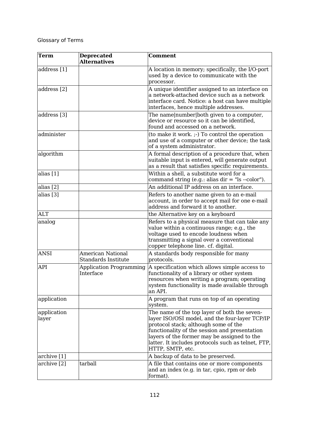| Term                 | <b>Deprecated</b><br><b>Alternatives</b>               | <b>Comment</b>                                                                                                                                                                                                                                                                                                   |
|----------------------|--------------------------------------------------------|------------------------------------------------------------------------------------------------------------------------------------------------------------------------------------------------------------------------------------------------------------------------------------------------------------------|
| address [1]          |                                                        | A location in memory; specifically, the I/O-port<br>used by a device to communicate with the<br>processor.                                                                                                                                                                                                       |
| address [2]          |                                                        | A unique identifier assigned to an interface on<br>a network-attached device such as a network<br>interface card. Notice: a host can have multiple<br>interfaces, hence multiple addresses.                                                                                                                      |
| address [3]          |                                                        | The name number both given to a computer,<br>device or resource so it can be identified,<br>found and accessed on a network.                                                                                                                                                                                     |
| administer           |                                                        | (to make it work. ;-) To control the operation<br>and use of a computer or other device; the task<br>of a system administrator.                                                                                                                                                                                  |
| algorithm            |                                                        | A formal description of a procedure that, when<br>suitable input is entered, will generate output<br>as a result that satisfies specific requirements.                                                                                                                                                           |
| alias [1]            |                                                        | Within a shell, a substitute word for a<br>command string (e.g.: alias $dir = "ls -color".$                                                                                                                                                                                                                      |
| alias [2]            |                                                        | An additional IP address on an interface.                                                                                                                                                                                                                                                                        |
| alias [3]            |                                                        | Refers to another name given to an e-mail<br>account, in order to accept mail for one e-mail<br>address and forward it to another.                                                                                                                                                                               |
| <b>ALT</b>           |                                                        | the Alternative key on a keyboard                                                                                                                                                                                                                                                                                |
| analog               |                                                        | Refers to a physical measure that can take any<br>value within a continuous range; e.g., the<br>voltage used to encode loudness when<br>transmitting a signal over a conventional<br>copper telephone line. cf. digital.                                                                                         |
| <b>ANSI</b>          | <b>American National</b><br><b>Standards Institute</b> | A standards body responsible for many<br>protocols.                                                                                                                                                                                                                                                              |
| API                  | <b>Application Programming</b><br>Interface            | A specification which allows simple access to<br>functionality of a library or other system<br>resources when writing a program; operating<br>system functionality is made available through<br>an API.                                                                                                          |
| application          |                                                        | A program that runs on top of an operating<br>system.                                                                                                                                                                                                                                                            |
| application<br>layer |                                                        | The name of the top layer of both the seven-<br>layer ISO/OSI model, and the four-layer TCP/IP<br>protocol stack; although some of the<br>functionality of the session and presentation<br>layers of the former may be assigned to the<br>latter. It includes protocols such as telnet, FTP,<br>HTTP, SMTP, etc. |
| archive [1]          |                                                        | A backup of data to be preserved.                                                                                                                                                                                                                                                                                |
| archive [2]          | tarball                                                | A file that contains one or more components<br>and an index (e.g. in tar, cpio, rpm or deb<br>format).                                                                                                                                                                                                           |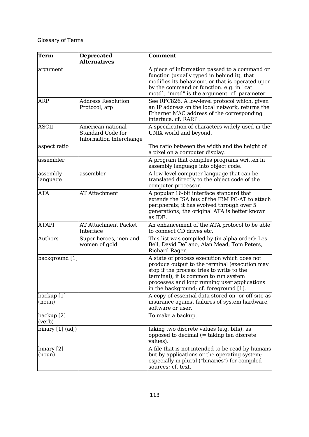| <b>Term</b>          | <b>Deprecated</b><br><b>Alternatives</b>                                 | <b>Comment</b>                                                                                                                                                                                                                                                               |
|----------------------|--------------------------------------------------------------------------|------------------------------------------------------------------------------------------------------------------------------------------------------------------------------------------------------------------------------------------------------------------------------|
| argument             |                                                                          | A piece of information passed to a command or<br>function (usually typed in behind it), that<br>modifies its behaviour, or that is operated upon<br>by the command or function. e.g. in `cat<br>motd', "motd" is the argument. cf. parameter.                                |
| ARP                  | <b>Address Resolution</b><br>Protocol, arp                               | See RFC826. A low-level protocol which, given<br>an IP address on the local network, returns the<br>Ethernet MAC address of the corresponding<br>interface. cf. RARP.                                                                                                        |
| <b>ASCII</b>         | American national<br><b>Standard Code for</b><br>Information Interchange | A specification of characters widely used in the<br>UNIX world and beyond.                                                                                                                                                                                                   |
| aspect ratio         |                                                                          | The ratio between the width and the height of<br>a pixel on a computer display.                                                                                                                                                                                              |
| assembler            |                                                                          | A program that compiles programs written in<br>assembly language into object code.                                                                                                                                                                                           |
| assembly<br>language | assembler                                                                | A low-level computer language that can be<br>translated directly to the object code of the<br>computer processor.                                                                                                                                                            |
| <b>ATA</b>           | <b>AT Attachment</b>                                                     | A popular 16-bit interface standard that<br>extends the ISA bus of the IBM PC-AT to attach<br>peripherals; it has evolved through over 5<br>generations; the original ATA is better known<br>as IDE.                                                                         |
| <b>ATAPI</b>         | <b>AT Attachment Packet</b><br>Interface                                 | An enhancement of the ATA protocol to be able<br>to connect CD drives etc.                                                                                                                                                                                                   |
| Authors              | Super heroes, men and<br>women of gold                                   | This list was compiled by (in alpha order): Les<br>Bell, David DeLano, Alan Mead, Tom Peters,<br>Richard Rager.                                                                                                                                                              |
| background [1]       |                                                                          | A state of process execution which does not<br>produce output to the terminal (execution may<br>stop if the process tries to write to the<br>terminal); it is common to run system<br>processes and long running user applications<br>in the background; cf. foreground [1]. |
| backup [1]<br>(noun) |                                                                          | A copy of essential data stored on- or off-site as<br>insurance against failures of system hardware,<br>software or user.                                                                                                                                                    |
| backup [2]<br>(verb) |                                                                          | To make a backup.                                                                                                                                                                                                                                                            |
| binary [1] (adj)     |                                                                          | taking two discrete values (e.g. bits), as<br>opposed to decimal (= taking ten discrete<br>values).                                                                                                                                                                          |
| binary [2]<br>(noun) |                                                                          | A file that is not intended to be read by humans<br>but by applications or the operating system;<br>especially in plural ("binaries") for compiled<br>sources; cf. text.                                                                                                     |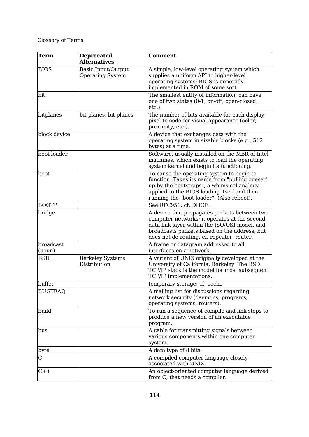| <b>Term</b>         | <b>Deprecated</b><br><b>Alternatives</b>      | <b>Comment</b>                                                                                                                                                                                                                               |
|---------------------|-----------------------------------------------|----------------------------------------------------------------------------------------------------------------------------------------------------------------------------------------------------------------------------------------------|
| <b>BIOS</b>         | Basic Input/Output<br><b>Operating System</b> | A simple, low-level operating system which<br>supplies a uniform API to higher-level<br>operating systems; BIOS is generally<br>implemented in ROM of some sort.                                                                             |
| bit                 |                                               | The smallest entity of information: can have<br>one of two states (0-1, on-off, open-closed,<br>etc.).                                                                                                                                       |
| bitplanes           | bit planes, bit-planes                        | The number of bits available for each display<br>pixel to code for visual appearance (color,<br>proximity, etc.).                                                                                                                            |
| block device        |                                               | A device that exchanges data with the<br>operating system in sizable blocks (e.g., 512)<br>bytes) at a time.                                                                                                                                 |
| boot loader         |                                               | Software, usually installed on the MBR of Intel<br>machines, which exists to load the operating<br>system kernel and begin its functioning.                                                                                                  |
| boot                |                                               | To cause the operating system to begin to<br>function. Takes its name from "pulling oneself<br>up by the bootstraps", a whimsical analogy<br>applied to the BIOS loading itself and then<br>running the "boot loader". (Also reboot).        |
| <b>BOOTP</b>        |                                               | See RFC951; cf. DHCP.                                                                                                                                                                                                                        |
| bridge              |                                               | A device that propagates packets between two<br>computer networks; it operates at the second,<br>data link layer within the ISO/OSI model, and<br>broadcasts packets based on the address, but<br>does not do routing. cf. repeater, router. |
| broadcast<br>(noun) |                                               | A frame or datagram addressed to all<br>interfaces on a network.                                                                                                                                                                             |
| <b>BSD</b>          | <b>Berkeley Systems</b><br>Distribution       | A variant of UNIX originally developed at the<br>University of California, Berkeley. The BSD<br>TCP/IP stack is the model for most subsequent<br>TCP/IP implementations.                                                                     |
| buffer              |                                               | temporary storage; cf. cache                                                                                                                                                                                                                 |
| <b>BUGTRAQ</b>      |                                               | A mailing list for discussions regarding<br>network security (daemons, programs,<br>operating systems, routers).                                                                                                                             |
| build               |                                               | To run a sequence of compile and link steps to<br>produce a new version of an executable<br>program.                                                                                                                                         |
| bus                 |                                               | A cable for transmitting signals between<br>various components within one computer<br>system.                                                                                                                                                |
| byte                |                                               | A data type of 8 bits.                                                                                                                                                                                                                       |
| C                   |                                               | A compiled computer language closely<br>associated with UNIX.                                                                                                                                                                                |
| $C++$               |                                               | An object-oriented computer language derived<br>from C, that needs a compiler.                                                                                                                                                               |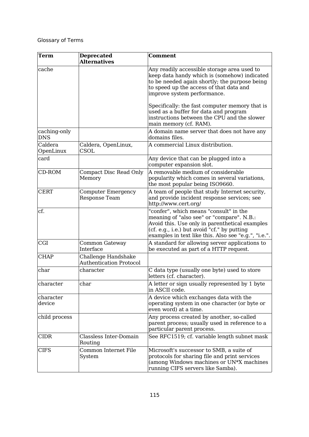| <b>Term</b>                | <b>Deprecated</b><br><b>Alternatives</b>              | <b>Comment</b>                                                                                                                                                                                                                               |
|----------------------------|-------------------------------------------------------|----------------------------------------------------------------------------------------------------------------------------------------------------------------------------------------------------------------------------------------------|
| cache                      |                                                       | Any readily accessible storage area used to<br>keep data handy which is (somehow) indicated<br>to be needed again shortly; the purpose being<br>to speed up the access of that data and<br>improve system performance.                       |
|                            |                                                       | Specifically: the fast computer memory that is<br>used as a buffer for data and program<br>instructions between the CPU and the slower<br>main memory (cf. RAM).                                                                             |
| caching-only<br><b>DNS</b> |                                                       | A domain name server that does not have any<br>domains files.                                                                                                                                                                                |
| Caldera<br>OpenLinux       | Caldera, OpenLinux,<br>CSOL                           | A commercial Linux distribution.                                                                                                                                                                                                             |
| card                       |                                                       | Any device that can be plugged into a<br>computer expansion slot.                                                                                                                                                                            |
| CD-ROM                     | <b>Compact Disc Read Only</b><br>Memory               | A removable medium of considerable<br>popularity which comes in several variations,<br>the most popular being ISO9660.                                                                                                                       |
| <b>CERT</b>                | <b>Computer Emergency</b><br>Response Team            | A team of people that study Internet security,<br>and provide incident response services; see<br>http://www.cert.org/                                                                                                                        |
| cf.                        |                                                       | "confer", which means "consult" in the<br>meaning of "also see" or "compare". N.B.:<br>Avoid this. Use only in parenthetical examples<br>(cf. e.g., i.e.) but avoid "cf." by putting<br>examples in text like this. Also see "e.g.", "i.e.". |
| CGI                        | Common Gateway<br>Interface                           | A standard for allowing server applications to<br>be executed as part of a HTTP request.                                                                                                                                                     |
| <b>CHAP</b>                | Challenge Handshake<br><b>Authentication Protocol</b> |                                                                                                                                                                                                                                              |
| char                       | character                                             | C data type (usually one byte) used to store<br>letters (cf. character).                                                                                                                                                                     |
| character                  | char                                                  | A letter or sign usually represented by 1 byte<br>in ASCII code.                                                                                                                                                                             |
| character<br>device        |                                                       | A device which exchanges data with the<br>operating system in one character (or byte or<br>even word) at a time.                                                                                                                             |
| child process              |                                                       | Any process created by another, so-called<br>parent process; usually used in reference to a<br>particular parent process.                                                                                                                    |
| <b>CIDR</b>                | Classless Inter-Domain<br>Routing                     | See RFC1519; cf. variable length subnet mask                                                                                                                                                                                                 |
| <b>CIFS</b>                | Common Internet File<br>System                        | Microsoft's successor to SMB, a suite of<br>protocols for sharing file and print services<br>(among Windows machines or UN*X machines<br>running CIFS servers like Samba).                                                                   |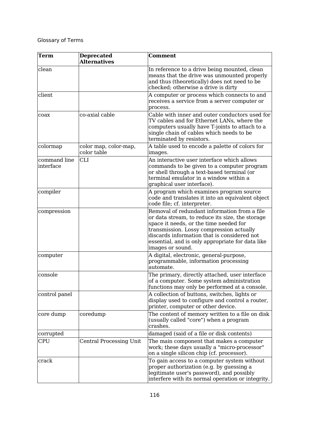| Term                      | <b>Deprecated</b><br><b>Alternatives</b> | <b>Comment</b>                                                                                                                                                                                                                                                                                               |
|---------------------------|------------------------------------------|--------------------------------------------------------------------------------------------------------------------------------------------------------------------------------------------------------------------------------------------------------------------------------------------------------------|
| clean                     |                                          | In reference to a drive being mounted, clean<br>means that the drive was unmounted properly<br>and thus (theoretically) does not need to be<br>checked; otherwise a drive is dirty                                                                                                                           |
| client                    |                                          | A computer or process which connects to and<br>receives a service from a server computer or<br>process.                                                                                                                                                                                                      |
| coax                      | co-axial cable                           | Cable with inner and outer conductors used for<br>TV cables and for Ethernet LANs, where the<br>computers usually have T-joints to attach to a<br>single chain of cables which needs to be<br>terminated by resistors.                                                                                       |
| colormap                  | color map, color-map,<br>color table     | A table used to encode a palette of colors for<br>images.                                                                                                                                                                                                                                                    |
| command line<br>interface | <b>CLI</b>                               | An interactive user interface which allows<br>commands to be given to a computer program<br>or shell through a text-based terminal (or<br>terminal emulator in a window within a<br>graphical user interface).                                                                                               |
| compiler                  |                                          | A program which examines program source<br>code and translates it into an equivalent object<br>code file; cf. interpreter.                                                                                                                                                                                   |
| compression               |                                          | Removal of redundant information from a file<br>or data stream, to reduce its size, the storage<br>space it needs, or the time needed for<br>transmission. Lossy compression actually<br>discards information that is considered not<br>essential, and is only appropriate for data like<br>images or sound. |
| computer                  |                                          | A digital, electronic, general-purpose,<br>programmable, information processing<br>automate.                                                                                                                                                                                                                 |
| console                   |                                          | The primary, directly attached, user interface<br>of a computer. Some system administration<br>functions may only be performed at a console.                                                                                                                                                                 |
| control panel             |                                          | A collection of buttons, switches, lights or<br>display used to configure and control a router,<br>printer, computer or other device.                                                                                                                                                                        |
| core dump                 | coredump                                 | The content of memory written to a file on disk<br>(usually called "core") when a program<br>crashes.                                                                                                                                                                                                        |
| corrupted                 |                                          | damaged (said of a file or disk contents)                                                                                                                                                                                                                                                                    |
| <b>CPU</b>                | <b>Central Processing Unit</b>           | The main component that makes a computer<br>work; these days usually a "micro-processor"<br>on a single silicon chip (cf. processor).                                                                                                                                                                        |
| crack                     |                                          | To gain access to a computer system without<br>proper authorization (e.g. by guessing a<br>legitimate user's password), and possibly<br>interfere with its normal operation or integrity.                                                                                                                    |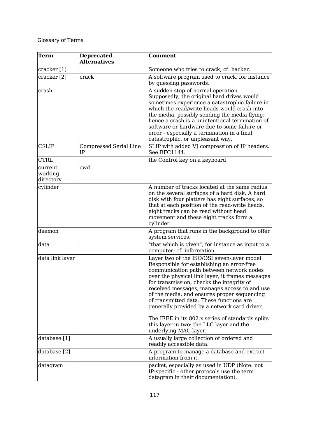| <b>Term</b>                     | <b>Deprecated</b><br><b>Alternatives</b> | <b>Comment</b>                                                                                                                                                                                                                                                                                                                                                                                                                    |
|---------------------------------|------------------------------------------|-----------------------------------------------------------------------------------------------------------------------------------------------------------------------------------------------------------------------------------------------------------------------------------------------------------------------------------------------------------------------------------------------------------------------------------|
| cracker [1]                     |                                          | Someone who tries to crack; cf. hacker.                                                                                                                                                                                                                                                                                                                                                                                           |
| cracker [2]                     | crack                                    | A software program used to crack, for instance<br>by guessing passwords.                                                                                                                                                                                                                                                                                                                                                          |
| crash                           |                                          | A sudden stop of normal operation.<br>Supposedly, the original hard drives would<br>sometimes experience a catastrophic failure in<br>which the read/write heads would crash into<br>the media, possibly sending the media flying;<br>hence a crash is a unintentional termination of<br>software or hardware due to some failure or<br>error - especially a termination in a final,<br>catastrophic, or unpleasant way.          |
| <b>CSLIP</b>                    | <b>Compressed Serial Line</b><br>IΡ      | SLIP with added VJ compression of IP headers.<br>See RFC1144.                                                                                                                                                                                                                                                                                                                                                                     |
| <b>CTRL</b>                     |                                          | the Control key on a keyboard                                                                                                                                                                                                                                                                                                                                                                                                     |
| current<br>working<br>directory | cwd                                      |                                                                                                                                                                                                                                                                                                                                                                                                                                   |
| cylinder                        |                                          | A number of tracks located at the same radius<br>on the several surfaces of a hard disk. A hard<br>disk with four platters has eight surfaces, so<br>that at each position of the read-write heads,<br>eight tracks can be read without head<br>movement and these eight tracks form a<br>cylinder.                                                                                                                               |
| daemon                          |                                          | A program that runs in the background to offer<br>system services.                                                                                                                                                                                                                                                                                                                                                                |
| data                            |                                          | "that which is given", for instance as input to a<br>computer; cf. information.                                                                                                                                                                                                                                                                                                                                                   |
| data link layer                 |                                          | Layer two of the ISO/OSI seven-layer model.<br>Responsible for establishing an error-free<br>communication path between network nodes<br>over the physical link layer, it frames messages<br>for transmission, checks the integrity of<br>received messages, manages access to and use<br>of the media, and ensures proper sequencing<br>of transmitted data. These functions are<br>generally provided by a network card driver. |
|                                 |                                          | The IEEE in its 802.x series of standards splits<br>this layer in two: the LLC layer and the<br>underlying MAC layer.                                                                                                                                                                                                                                                                                                             |
| database [1]                    |                                          | A usually large collection of ordered and<br>readily accessible data.                                                                                                                                                                                                                                                                                                                                                             |
| database [2]                    |                                          | A program to manage a database and extract<br>information from it.                                                                                                                                                                                                                                                                                                                                                                |
| datagram                        |                                          | packet, especially as used in UDP (Note: not<br>IP-specific - other protocols use the term<br>datagram in their documentation).                                                                                                                                                                                                                                                                                                   |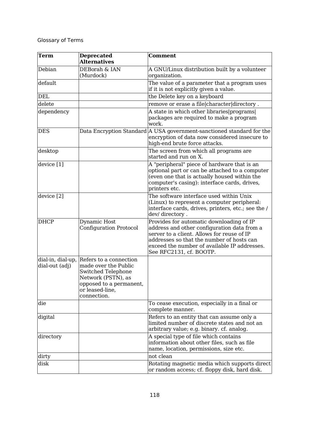| <b>Term</b>                         | <b>Deprecated</b><br><b>Alternatives</b>                                                                                                                       | <b>Comment</b>                                                                                                                                                                                                                                                |
|-------------------------------------|----------------------------------------------------------------------------------------------------------------------------------------------------------------|---------------------------------------------------------------------------------------------------------------------------------------------------------------------------------------------------------------------------------------------------------------|
| Debian                              | DEBorah & IAN<br>(Murdock)                                                                                                                                     | A GNU/Linux distribution built by a volunteer<br>organization.                                                                                                                                                                                                |
| default                             |                                                                                                                                                                | The value of a parameter that a program uses<br>if it is not explicitly given a value.                                                                                                                                                                        |
| <b>DEL</b>                          |                                                                                                                                                                | the Delete key on a keyboard                                                                                                                                                                                                                                  |
| delete                              |                                                                                                                                                                | remove or erase a file character directory.                                                                                                                                                                                                                   |
| dependency                          |                                                                                                                                                                | A state in which other libraries programs<br>packages are required to make a program<br>work.                                                                                                                                                                 |
| <b>DES</b>                          |                                                                                                                                                                | Data Encryption Standard A USA government-sanctioned standard for the<br>encryption of data now considered insecure to<br>high-end brute force attacks.                                                                                                       |
| desktop                             |                                                                                                                                                                | The screen from which all programs are<br>started and run on X.                                                                                                                                                                                               |
| device [1]                          |                                                                                                                                                                | A "peripheral" piece of hardware that is an<br>optional part or can be attached to a computer<br>(even one that is actually housed within the<br>computer's casing): interface cards, drives,<br>printers etc.                                                |
| device [2]                          |                                                                                                                                                                | The software interface used within Unix<br>(Linux) to represent a computer peripheral:<br>interface cards, drives, printers, etc.; see the /<br>dev/directory.                                                                                                |
| <b>DHCP</b>                         | Dynamic Host<br><b>Configuration Protocol</b>                                                                                                                  | Provides for automatic downloading of IP<br>address and other configuration data from a<br>server to a client. Allows for reuse of IP<br>addresses so that the number of hosts can<br>exceed the number of available IP addresses.<br>See RFC2131, cf. BOOTP. |
| dial-in, dial-up,<br>dial-out (adj) | Refers to a connection<br>made over the Public<br><b>Switched Telephone</b><br>Network (PSTN), as<br>opposed to a permanent,<br>or leased-line,<br>connection. |                                                                                                                                                                                                                                                               |
| die                                 |                                                                                                                                                                | To cease execution, especially in a final or<br>complete manner.                                                                                                                                                                                              |
| digital                             |                                                                                                                                                                | Refers to an entity that can assume only a<br>limited number of discrete states and not an<br>arbitrary value; e.g. binary. cf. analog.                                                                                                                       |
| directory                           |                                                                                                                                                                | A special type of file which contains<br>information about other files, such as file<br>name, location, permissions, size etc.<br>not clean                                                                                                                   |
| dirty                               |                                                                                                                                                                |                                                                                                                                                                                                                                                               |
| disk                                |                                                                                                                                                                | Rotating magnetic media which supports direct<br>or random access; cf. floppy disk, hard disk.                                                                                                                                                                |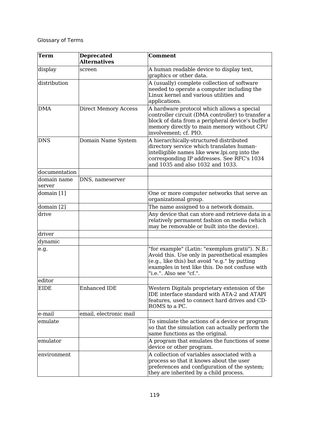| Term                  | <b>Deprecated</b><br><b>Alternatives</b> | <b>Comment</b>                                                                                                                                                                                                                   |
|-----------------------|------------------------------------------|----------------------------------------------------------------------------------------------------------------------------------------------------------------------------------------------------------------------------------|
| display               | screen                                   | A human readable device to display text,<br>graphics or other data.                                                                                                                                                              |
| distribution          |                                          | A (usually) complete collection of software<br>needed to operate a computer including the<br>Linux kernel and various utilities and<br>applications.                                                                             |
| <b>DMA</b>            | <b>Direct Memory Access</b>              | A hardware protocol which allows a special<br>controller circuit (DMA controller) to transfer a<br>block of data from a peripheral device's buffer<br>memory directly to main memory without CPU<br>involvement; cf. PIO.        |
| <b>DNS</b>            | Domain Name System                       | A hierarchically-structured distributed<br>directory service which translates human-<br>intelligible names like www.lpi.org into the<br>corresponding IP addresses. See RFC's 1034<br>and 1035 and also 1032 and 1033.           |
| documentation         |                                          |                                                                                                                                                                                                                                  |
| domain name<br>server | DNS, nameserver                          |                                                                                                                                                                                                                                  |
| domain [1]            |                                          | One or more computer networks that serve an<br>organizational group.                                                                                                                                                             |
| domain [2]            |                                          | The name assigned to a network domain.                                                                                                                                                                                           |
| drive                 |                                          | Any device that can store and retrieve data in a<br>relatively permanent fashion on media (which<br>may be removable or built into the device).                                                                                  |
| driver                |                                          |                                                                                                                                                                                                                                  |
| dynamic               |                                          |                                                                                                                                                                                                                                  |
| e.g.                  |                                          | "for example" (Latin: "exemplum gratii"). N.B.:<br>Avoid this. Use only in parenthetical examples<br>(e.g., like this) but avoid "e.g." by putting<br>examples in text like this. Do not confuse with<br>"i.e.". Also see "cf.". |
| editor                |                                          |                                                                                                                                                                                                                                  |
| EIDE                  | <b>Enhanced IDE</b>                      | Western Digitals proprietary extension of the<br>IDE interface standard with ATA-2 and ATAPI<br>features, used to connect hard drives and CD-<br>ROMS to a PC.                                                                   |
| e-mail                | email, electronic mail                   |                                                                                                                                                                                                                                  |
| emulate               |                                          | To simulate the actions of a device or program<br>so that the simulation can actually perform the<br>same functions as the original.                                                                                             |
| emulator              |                                          | A program that emulates the functions of some<br>device or other program.                                                                                                                                                        |
| environment           |                                          | A collection of variables associated with a<br>process so that it knows about the user<br>preferences and configuration of the system;<br>they are inherited by a child process.                                                 |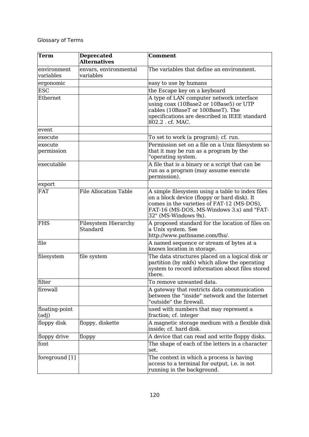| Term                     | <b>Deprecated</b><br><b>Alternatives</b> | <b>Comment</b>                                                                                                                                                                                                     |
|--------------------------|------------------------------------------|--------------------------------------------------------------------------------------------------------------------------------------------------------------------------------------------------------------------|
| environment<br>variables | envars, environmental<br>variables       | The variables that define an environment.                                                                                                                                                                          |
| ergonomic                |                                          | easy to use by humans                                                                                                                                                                                              |
| <b>ESC</b>               |                                          | the Escape key on a keyboard                                                                                                                                                                                       |
| Ethernet                 |                                          | A type of LAN computer network interface<br>using coax (10Base2 or 10Base5) or UTP<br>cables (10BaseT or 100BaseT). The<br>specifications are described in IEEE standard<br>802.2 . cf. MAC.                       |
| event                    |                                          |                                                                                                                                                                                                                    |
| execute                  |                                          | To set to work (a program); cf. run.                                                                                                                                                                               |
| execute<br>permission    |                                          | Permission set on a file on a Unix filesystem so<br>that it may be run as a program by the<br>"operating system.                                                                                                   |
| executable               |                                          | A file that is a binary or a script that can be<br>run as a program (may assume execute<br>permission).                                                                                                            |
| export                   |                                          |                                                                                                                                                                                                                    |
| <b>FAT</b>               | <b>File Allocation Table</b>             | A simple filesystem using a table to index files<br>on a block device (floppy or hard disk). It<br>comes in the varieties of FAT-12 (MS-DOS),<br>FAT-16 (MS-DOS, MS-Windows 3.x) and "FAT-<br>32" (MS-Windows 9x). |
| <b>FHS</b>               | Filesystem Hierarchy<br>Standard         | A proposed standard for the location of files on<br>a Unix system. See<br>http://www.pathname.com/fhs/.                                                                                                            |
| file                     |                                          | A named sequence or stream of bytes at a<br>known location in storage.                                                                                                                                             |
| filesystem               | file system                              | The data structures placed on a logical disk or<br>partition (by mkfs) which allow the operating<br>system to record information about files stored<br>there.                                                      |
| filter                   |                                          | To remove unwanted data.                                                                                                                                                                                           |
| firewall                 |                                          | A gateway that restricts data communication<br>between the "inside" network and the Internet<br>"outside" the firewall.                                                                                            |
| floating-point<br>(adj)  |                                          | used with numbers that may represent a<br>fraction; cf. integer                                                                                                                                                    |
| floppy disk              | floppy, diskette                         | A magnetic storage medium with a flexible disk<br>inside; cf. hard disk.                                                                                                                                           |
| floppy drive             | floppy                                   | A device that can read and write floppy disks.                                                                                                                                                                     |
| font                     |                                          | The shape of each of the letters in a character<br>set.                                                                                                                                                            |
| foreground [1]           |                                          | The context in which a process is having<br>access to a terminal for output, i.e. is not<br>running in the background.                                                                                             |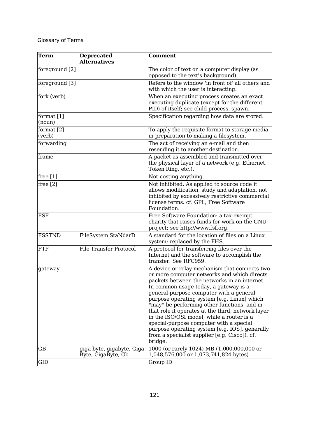| <b>Term</b>            | <b>Deprecated</b><br><b>Alternatives</b>         | <b>Comment</b>                                                                                                                                                                                                                                                                                                                                                                                                                                                                                                                                                                             |
|------------------------|--------------------------------------------------|--------------------------------------------------------------------------------------------------------------------------------------------------------------------------------------------------------------------------------------------------------------------------------------------------------------------------------------------------------------------------------------------------------------------------------------------------------------------------------------------------------------------------------------------------------------------------------------------|
| foreground [2]         |                                                  | The color of text on a computer display (as<br>opposed to the text's background).                                                                                                                                                                                                                                                                                                                                                                                                                                                                                                          |
| foreground [3]         |                                                  | Refers to the window 'in front of' all others and<br>with which the user is interacting.                                                                                                                                                                                                                                                                                                                                                                                                                                                                                                   |
| fork (verb)            |                                                  | When an executing process creates an exact<br>executing duplicate (except for the different<br>PID) of itself; see child process, spawn.                                                                                                                                                                                                                                                                                                                                                                                                                                                   |
| format [1]<br>(noun)   |                                                  | Specification regarding how data are stored.                                                                                                                                                                                                                                                                                                                                                                                                                                                                                                                                               |
| format $[2]$<br>(verb) |                                                  | To apply the requisite format to storage media<br>in preparation to making a filesystem.                                                                                                                                                                                                                                                                                                                                                                                                                                                                                                   |
| forwarding             |                                                  | The act of receiving an e-mail and then<br>resending it to another destination.                                                                                                                                                                                                                                                                                                                                                                                                                                                                                                            |
| frame                  |                                                  | A packet as assembled and transmitted over<br>the physical layer of a network (e.g. Ethernet,<br>Token Ring, etc.).                                                                                                                                                                                                                                                                                                                                                                                                                                                                        |
| free $[1]$             |                                                  | Not costing anything.                                                                                                                                                                                                                                                                                                                                                                                                                                                                                                                                                                      |
| free $[2]$             |                                                  | Not inhibited. As applied to source code it<br>allows modification, study and adaptation, not<br>inhibited by excessively restrictive commercial<br>license terms. cf. GPL, Free Software<br>Foundation.                                                                                                                                                                                                                                                                                                                                                                                   |
| <b>FSF</b>             |                                                  | Free Software Foundation: a tax-exempt<br>charity that raises funds for work on the GNU<br>project; see http://www.fsf.org.                                                                                                                                                                                                                                                                                                                                                                                                                                                                |
| <b>FSSTND</b>          | FileSystem StaNdarD                              | A standard for the location of files on a Linux<br>system; replaced by the FHS.                                                                                                                                                                                                                                                                                                                                                                                                                                                                                                            |
| <b>FTP</b>             | <b>File Transfer Protocol</b>                    | A protocol for transferring files over the<br>Internet and the software to accomplish the<br>transfer. See RFC959.                                                                                                                                                                                                                                                                                                                                                                                                                                                                         |
| gateway                |                                                  | A device or relay mechanism that connects two<br>or more computer networks and which directs<br>packets between the networks in an internet.<br>In common usage today, a gateway is a<br>general-purpose computer with a general-<br>purpose operating system [e.g. Linux] which<br>*may* be performing other functions, and in<br>that role it operates at the third, network layer<br>in the ISO/OSI model; while a router is a<br>special-purpose computer with a special<br>purpose operating system [e.g. IOS], generally<br>from a specialist supplier [e.g. Cisco]). cf.<br>bridge. |
| GB                     | giga-byte, gigabyte, Giga-<br>Byte, GigaByte, Gb | 1000 (or rarely 1024) MB (1,000,000,000 or<br>1,048,576,000 or 1,073,741,824 bytes)                                                                                                                                                                                                                                                                                                                                                                                                                                                                                                        |
| GID                    |                                                  | Group ID                                                                                                                                                                                                                                                                                                                                                                                                                                                                                                                                                                                   |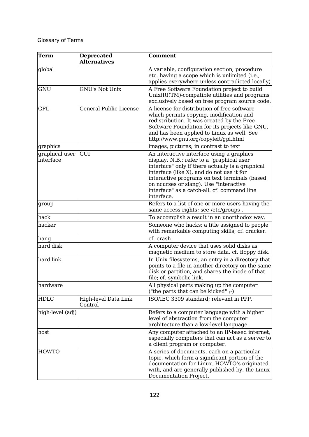| <b>Term</b>                 | <b>Deprecated</b><br><b>Alternatives</b> | <b>Comment</b>                                                                                                                                                                                                                                                                                                                                  |
|-----------------------------|------------------------------------------|-------------------------------------------------------------------------------------------------------------------------------------------------------------------------------------------------------------------------------------------------------------------------------------------------------------------------------------------------|
| global                      |                                          | A variable, configuration section, procedure<br>etc. having a scope which is unlimited (i.e.,<br>applies everywhere unless contradicted locally)                                                                                                                                                                                                |
| <b>GNU</b>                  | <b>GNU's Not Unix</b>                    | A Free Software Foundation project to build<br>$Unix(R)(TM)$ -compatible utilities and programs<br>exclusively based on free program source code.                                                                                                                                                                                               |
| <b>GPL</b>                  | General Public License                   | A license for distribution of free software<br>which permits copying, modification and<br>redistribution. It was created by the Free<br>Software Foundation for its projects like GNU,<br>and has been applied to Linux as well. See<br>http://www.gnu.org/copyleft/gpl.html                                                                    |
| graphics                    |                                          | images, pictures; in contrast to text                                                                                                                                                                                                                                                                                                           |
| graphical user<br>interface | GUI                                      | An interactive interface using a graphics<br>display. N.B.: refer to a "graphical user<br>interface" only if there actually is a graphical<br>interface (like X), and do not use it for<br>interactive programs on text terminals (based<br>on ncurses or slang). Use "interactive<br>interface" as a catch-all. cf. command line<br>interface. |
| group                       |                                          | Refers to a list of one or more users having the<br>same access rights; see /etc/groups.                                                                                                                                                                                                                                                        |
| hack                        |                                          | To accomplish a result in an unorthodox way.                                                                                                                                                                                                                                                                                                    |
| hacker                      |                                          | Someone who hacks: a title assigned to people<br>with remarkable computing skills; cf. cracker.                                                                                                                                                                                                                                                 |
| hang                        |                                          | cf. crash                                                                                                                                                                                                                                                                                                                                       |
| hard disk                   |                                          | A computer device that uses solid disks as<br>magnetic medium to store data. cf. floppy disk.                                                                                                                                                                                                                                                   |
| hard link                   |                                          | In Unix filesystems, an entry in a directory that<br>points to a file in another directory on the same<br>disk or partition, and shares the inode of that<br>file; cf. symbolic link.                                                                                                                                                           |
| hardware                    |                                          | All physical parts making up the computer<br>("the parts that can be kicked" ;-)                                                                                                                                                                                                                                                                |
| <b>HDLC</b>                 | High-level Data Link<br>Control          | ISO/IEC 3309 standard; relevant in PPP.                                                                                                                                                                                                                                                                                                         |
| high-level (adj)            |                                          | Refers to a computer language with a higher<br>level of abstraction from the computer<br>architecture than a low-level language.                                                                                                                                                                                                                |
| host                        |                                          | Any computer attached to an IP-based internet,<br>especially computers that can act as a server to<br>a client program or computer.                                                                                                                                                                                                             |
| <b>HOWTO</b>                |                                          | A series of documents, each on a particular<br>topic, which form a significant portion of the<br>documentation for Linux. HOWTO's originated<br>with, and are generally published by, the Linux<br>Documentation Project.                                                                                                                       |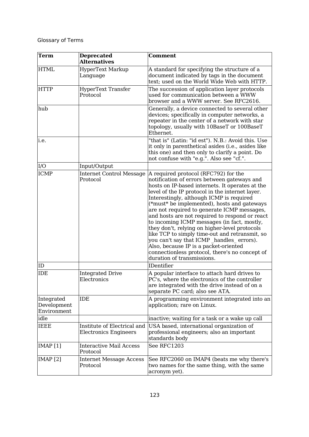| <b>Term</b>                              | <b>Deprecated</b><br><b>Alternatives</b>                    | <b>Comment</b>                                                                                                                                                                                                                                                                                                                                                                                                                                                                                                                                                                                                                                                                                                             |
|------------------------------------------|-------------------------------------------------------------|----------------------------------------------------------------------------------------------------------------------------------------------------------------------------------------------------------------------------------------------------------------------------------------------------------------------------------------------------------------------------------------------------------------------------------------------------------------------------------------------------------------------------------------------------------------------------------------------------------------------------------------------------------------------------------------------------------------------------|
| <b>HTML</b>                              | HyperText Markup<br>Language                                | A standard for specifying the structure of a<br>document indicated by tags in the document<br>text; used on the World Wide Web with HTTP.                                                                                                                                                                                                                                                                                                                                                                                                                                                                                                                                                                                  |
| <b>HTTP</b>                              | <b>HyperText Transfer</b><br>Protocol                       | The succession of application layer protocols<br>used for communication between a WWW<br>browser and a WWW server. See RFC2616.                                                                                                                                                                                                                                                                                                                                                                                                                                                                                                                                                                                            |
| hub                                      |                                                             | Generally, a device connected to several other<br>devices; specifically in computer networks, a<br>repeater in the center of a network with star<br>topology, usually with 10BaseT or 100BaseT<br>Ethernet.                                                                                                                                                                                                                                                                                                                                                                                                                                                                                                                |
| i.e.                                     |                                                             | "that is" (Latin: "id est"). N.B.: Avoid this. Use<br>it only in parenthetical asides (i.e., asides like<br>this one) and then only to clarify a point. Do<br>not confuse with "e.g.". Also see "cf.".                                                                                                                                                                                                                                                                                                                                                                                                                                                                                                                     |
| I/O                                      | Input/Output                                                |                                                                                                                                                                                                                                                                                                                                                                                                                                                                                                                                                                                                                                                                                                                            |
| <b>ICMP</b><br>ID                        | <b>Internet Control Message</b><br>Protocol                 | A required protocol (RFC792) for the<br>notification of errors between gateways and<br>hosts on IP-based internets. It operates at the<br>level of the IP protocol in the internet layer.<br>Interestingly, although ICMP is required<br>(*must* be implemented), hosts and gateways<br>are not required to generate ICMP messages,<br>and hosts are not required to respond or react<br>to incoming ICMP messages (in fact, mostly,<br>they don't, relying on higher-level protocols<br>like TCP to simply time-out and retransmit, so<br>you can't say that ICMP handles errors).<br>Also, because IP is a packet-oriented<br>connectionless protocol, there's no concept of<br>duration of transmissions.<br>IDentifier |
| IDE                                      | <b>Integrated Drive</b><br>Electronics                      | A popular interface to attach hard drives to<br>PC's, where the electronics of the controller<br>are integrated with the drive instead of on a<br>separate PC card; also see ATA.                                                                                                                                                                                                                                                                                                                                                                                                                                                                                                                                          |
| Integrated<br>Development<br>Environment | <b>IDE</b>                                                  | A programming environment integrated into an<br>application; rare on Linux.                                                                                                                                                                                                                                                                                                                                                                                                                                                                                                                                                                                                                                                |
| idle                                     |                                                             | inactive; waiting for a task or a wake up call                                                                                                                                                                                                                                                                                                                                                                                                                                                                                                                                                                                                                                                                             |
| IEEE                                     | Institute of Electrical and<br><b>Electronics Engineers</b> | USA based, international organization of<br>professional engineers; also an important<br>standards body                                                                                                                                                                                                                                                                                                                                                                                                                                                                                                                                                                                                                    |
| IMAP[1]                                  | <b>Interactive Mail Access</b><br>Protocol                  | See RFC1203                                                                                                                                                                                                                                                                                                                                                                                                                                                                                                                                                                                                                                                                                                                |
| IMAP <sub>[2]</sub>                      | <b>Internet Message Access</b><br>Protocol                  | See RFC2060 on IMAP4 (beats me why there's<br>two names for the same thing, with the same<br>acronym yet).                                                                                                                                                                                                                                                                                                                                                                                                                                                                                                                                                                                                                 |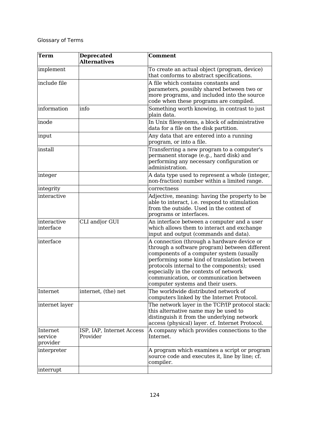| <b>Term</b>                     | <b>Deprecated</b><br><b>Alternatives</b> | <b>Comment</b>                                                                                                                                                                                                                                                                                                                                                 |
|---------------------------------|------------------------------------------|----------------------------------------------------------------------------------------------------------------------------------------------------------------------------------------------------------------------------------------------------------------------------------------------------------------------------------------------------------------|
| implement                       |                                          | To create an actual object (program, device)<br>that conforms to abstract specifications.                                                                                                                                                                                                                                                                      |
| include file                    |                                          | A file which contains constants and<br>parameters, possibly shared between two or<br>more programs, and included into the source<br>code when these programs are compiled.                                                                                                                                                                                     |
| information                     | info                                     | Something worth knowing, in contrast to just<br>plain data.                                                                                                                                                                                                                                                                                                    |
| inode                           |                                          | In Unix filesystems, a block of administrative<br>data for a file on the disk partition.                                                                                                                                                                                                                                                                       |
| input                           |                                          | Any data that are entered into a running<br>program, or into a file.                                                                                                                                                                                                                                                                                           |
| install                         |                                          | Transferring a new program to a computer's<br>permanent storage (e.g., hard disk) and<br>performing any necessary configuration or<br>administration.                                                                                                                                                                                                          |
| integer                         |                                          | A data type used to represent a whole (integer,<br>non-fraction) number within a limited range.                                                                                                                                                                                                                                                                |
| integrity                       |                                          | correctness                                                                                                                                                                                                                                                                                                                                                    |
| interactive                     |                                          | Adjective, meaning: having the property to be<br>able to interact, i.e. respond to stimulation<br>from the outside. Used in the context of<br>programs or interfaces.                                                                                                                                                                                          |
| interactive<br>interface        | CLI and or GUI                           | An interface between a computer and a user<br>which allows them to interact and exchange<br>input and output (commands and data).                                                                                                                                                                                                                              |
| interface                       |                                          | A connection (through a hardware device or<br>through a software program) between different<br>components of a computer system (usually<br>performing some kind of translation between<br>protocols internal to the components); used<br>especially in the contexts of network<br>communication, or communication between<br>computer systems and their users. |
| Internet                        | internet, (the) net                      | The worldwide distributed network of<br>computers linked by the Internet Protocol.                                                                                                                                                                                                                                                                             |
| internet layer                  |                                          | The network layer in the TCP/IP protocol stack:<br>this alternative name may be used to<br>distinguish it from the underlying network<br>access (physical) layer. cf. Internet Protocol.                                                                                                                                                                       |
| Internet<br>service<br>provider | ISP, IAP, Internet Access<br>Provider    | A company which provides connections to the<br>Internet.                                                                                                                                                                                                                                                                                                       |
| interpreter                     |                                          | A program which examines a script or program<br>source code and executes it, line by line; cf.<br>compiler.                                                                                                                                                                                                                                                    |
| interrupt                       |                                          |                                                                                                                                                                                                                                                                                                                                                                |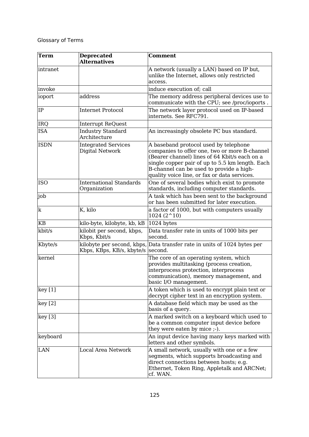| Term        | <b>Deprecated</b><br><b>Alternatives</b>       | <b>Comment</b>                                                                                                                                                                                                                                                                         |
|-------------|------------------------------------------------|----------------------------------------------------------------------------------------------------------------------------------------------------------------------------------------------------------------------------------------------------------------------------------------|
| intranet    |                                                | A network (usually a LAN) based on IP but,<br>unlike the Internet, allows only restricted<br>access.                                                                                                                                                                                   |
| invoke      |                                                | induce execution of; call                                                                                                                                                                                                                                                              |
| ioport      | address                                        | The memory address peripheral devices use to<br>communicate with the CPU; see /proc/ioports.                                                                                                                                                                                           |
| IP          | <b>Internet Protocol</b>                       | The network layer protocol used on IP-based<br>internets. See RFC791.                                                                                                                                                                                                                  |
| IRQ         | Interrupt ReQuest                              |                                                                                                                                                                                                                                                                                        |
| <b>ISA</b>  | <b>Industry Standard</b><br>Architecture       | An increasingly obsolete PC bus standard.                                                                                                                                                                                                                                              |
| <b>ISDN</b> | <b>Integrated Services</b><br>Digital Network  | A baseband protocol used by telephone<br>companies to offer one, two or more B-channel<br>(Bearer channel) lines of 64 Kbit/s each on a<br>single copper pair of up to 5.5 km length. Each<br>B-channel can be used to provide a high-<br>quality voice line, or fax or data services. |
| <b>ISO</b>  | <b>International Standards</b><br>Organization | One of several bodies which exist to promote<br>standards, including computer standards.                                                                                                                                                                                               |
| job         |                                                | A task which has been sent to the background<br>or has been submitted for later execution.                                                                                                                                                                                             |
| k           | K, kilo                                        | a factor of 1000, but with computers usually<br>$1024(2^{\textstyle\wedge}10)$                                                                                                                                                                                                         |
| KB          | kilo-byte, kilobyte, kb, kB                    | 1024 bytes                                                                                                                                                                                                                                                                             |
| kbit/s      | kilobit per second, kbps,<br>Kbps, Kbit/s      | Data transfer rate in units of 1000 bits per<br>second.                                                                                                                                                                                                                                |
| Kbyte/s     | Kbps, KBps, KB/s, kbyte/s                      | kilobyte per second, kbps, Data transfer rate in units of 1024 bytes per<br>second.                                                                                                                                                                                                    |
| kernel      |                                                | The core of an operating system, which<br>provides multitasking (process creation,<br>interprocess protection, interprocess<br>communication), memory management, and<br>basic I/O management.                                                                                         |
| key[1]      |                                                | A token which is used to encrypt plain text or<br>decrypt cipher text in an encryption system.                                                                                                                                                                                         |
| key[2]      |                                                | A database field which may be used as the<br>basis of a query.                                                                                                                                                                                                                         |
| key[3]      |                                                | A marked switch on a keyboard which used to<br>be a common computer input device before<br>they were eaten by mice ;-).                                                                                                                                                                |
| keyboard    |                                                | An input device having many keys marked with<br>letters and other symbols.                                                                                                                                                                                                             |
| LAN         | <b>Local Area Network</b>                      | A small network, usually with one or a few<br>segments, which supports broadcasting and<br>direct connections between hosts; e.g.<br>Ethernet, Token Ring, Appletalk and ARCNet;<br>cf. WAN.                                                                                           |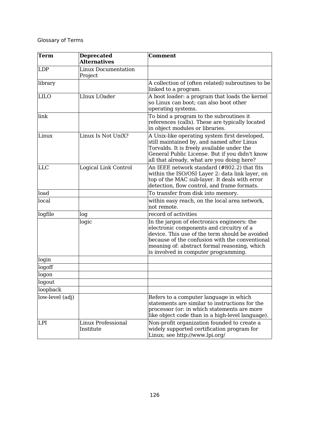| <b>Term</b>     | <b>Deprecated</b><br><b>Alternatives</b> | <b>Comment</b>                                                                                                                                                                                                                                                                      |
|-----------------|------------------------------------------|-------------------------------------------------------------------------------------------------------------------------------------------------------------------------------------------------------------------------------------------------------------------------------------|
| <b>LDP</b>      | <b>Linux Documentation</b><br>Project    |                                                                                                                                                                                                                                                                                     |
| library         |                                          | A collection of (often related) subroutines to be<br>linked to a program.                                                                                                                                                                                                           |
| <b>LILO</b>     | LInux LOader                             | A boot loader: a program that loads the kernel<br>so Linux can boot; can also boot other<br>operating systems.                                                                                                                                                                      |
| link            |                                          | To bind a program to the subroutines it<br>references (calls). These are typically located<br>in object modules or libraries.                                                                                                                                                       |
| Linux           | Linux Is Not UniX?                       | A Unix-like operating system first developed,<br>still maintained by, and named after Linus<br>Torvalds. It is freely available under the<br>General Public License. But if you didn't know<br>all that already, what are you doing here?                                           |
| <b>LLC</b>      | Logical Link Control                     | An IEEE network standard (#802.2) that fits<br>within the ISO/OSI Layer 2: data link layer, on<br>top of the MAC sub-layer. It deals with error<br>detection, flow control, and frame formats.                                                                                      |
| load            |                                          | To transfer from disk into memory.                                                                                                                                                                                                                                                  |
| local           |                                          | within easy reach, on the local area network,<br>not remote.                                                                                                                                                                                                                        |
| logfile         | log                                      | record of activities                                                                                                                                                                                                                                                                |
|                 | logic                                    | In the jargon of electronics engineers: the<br>electronic components and circuitry of a<br>device. This use of the term should be avoided<br>because of the confusion with the conventional<br>meaning of: abstract formal reasoning, which<br>is involved in computer programming. |
| login           |                                          |                                                                                                                                                                                                                                                                                     |
| logoff          |                                          |                                                                                                                                                                                                                                                                                     |
| logon           |                                          |                                                                                                                                                                                                                                                                                     |
| logout          |                                          |                                                                                                                                                                                                                                                                                     |
| loopback        |                                          |                                                                                                                                                                                                                                                                                     |
| low-level (adj) |                                          | Refers to a computer language in which<br>statements are similar to instructions for the<br>processor (or: in which statements are more<br>like object code than in a high-level language).                                                                                         |
| LPI             | Linux Professional<br>Institute          | Non-profit organization founded to create a<br>widely supported certification program for<br>Linux; see http://www.lpi.org/                                                                                                                                                         |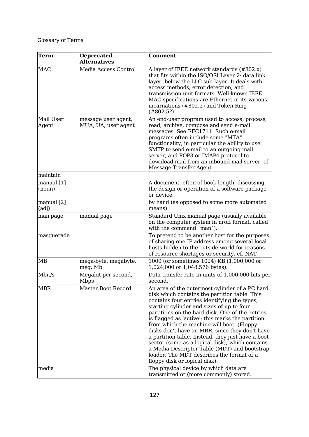| Term                   | <b>Deprecated</b><br><b>Alternatives</b>   | <b>Comment</b>                                                                                                                                                                                                                                                                                                                                                                                                                                                                                                                                                                                                                           |
|------------------------|--------------------------------------------|------------------------------------------------------------------------------------------------------------------------------------------------------------------------------------------------------------------------------------------------------------------------------------------------------------------------------------------------------------------------------------------------------------------------------------------------------------------------------------------------------------------------------------------------------------------------------------------------------------------------------------------|
| <b>MAC</b>             | Media Access Control                       | A layer of IEEE network standards (#802.x)<br>that fits within the ISO/OSI Layer 2: data link<br>layer, below the LLC sub-layer. It deals with<br>access methods, error detection, and<br>transmission unit formats. Well-known IEEE<br>MAC specifications are Ethernet in its various<br>incarnations (#802.2) and Token Ring<br>$(\#802.5?)$ .                                                                                                                                                                                                                                                                                         |
| Mail User<br>Agent     | message user agent,<br>MUA, UA, user agent | An end-user program used to access, process,<br>read, archive, compose and send e-mail<br>messages. See RFC1711. Such e-mail<br>programs often include some "MTA"<br>functionality, in particular the ability to use<br>SMTP to send e-mail to an outgoing mail<br>server, and POP3 or IMAP4 protocol to<br>download mail from an inbound mail server, cf.<br>Message Transfer Agent.                                                                                                                                                                                                                                                    |
| maintain               |                                            |                                                                                                                                                                                                                                                                                                                                                                                                                                                                                                                                                                                                                                          |
| manual $[1]$<br>(noun) |                                            | A document, often of book-length, discussing<br>the design or operation of a software package<br>or device.                                                                                                                                                                                                                                                                                                                                                                                                                                                                                                                              |
| manual [2]<br>(adj)    |                                            | by hand (as opposed to some more automated<br>means)                                                                                                                                                                                                                                                                                                                                                                                                                                                                                                                                                                                     |
| man page               | manual page                                | Standard Unix manual page (usually available<br>on the computer system in nroff format, called<br>with the command `man`).                                                                                                                                                                                                                                                                                                                                                                                                                                                                                                               |
| masquerade             |                                            | To pretend to be another host for the purposes<br>of sharing one IP address among several local<br>hosts hidden to the outside world for reasons<br>of resource shortages or security. cf. NAT                                                                                                                                                                                                                                                                                                                                                                                                                                           |
| MB                     | mega-byte, megabyte,<br>meg, Mb            | 1000 (or sometimes 1024) KB (1,000,000 or<br>1,024,000 or 1,048,576 bytes).                                                                                                                                                                                                                                                                                                                                                                                                                                                                                                                                                              |
| Mbit/s                 | Megabit per second,<br><b>Mbps</b>         | Data transfer rate in units of 1,000,000 bits per<br>second.                                                                                                                                                                                                                                                                                                                                                                                                                                                                                                                                                                             |
| <b>MBR</b>             | Master Boot Record                         | An area of the outermost cylinder of a PC hard<br>disk which contains the partition table. This<br>contains four entries identifying the types,<br>starting cylinder and sizes of up to four<br>partitions on the hard disk. One of the entries<br>is flagged as 'active'; this marks the partition<br>from which the machine will boot. (Floppy<br>disks don't have an MBR, since they don't have<br>a partition table. Instead, they just have a boot<br>sector (same as a logical disk), which contains<br>a Media Descriptor Table (MDT) and bootstrap<br>loader. The MDT describes the format of a<br>floppy disk or logical disk). |
| media                  |                                            | The physical device by which data are<br>transmitted or (more commonly) stored.                                                                                                                                                                                                                                                                                                                                                                                                                                                                                                                                                          |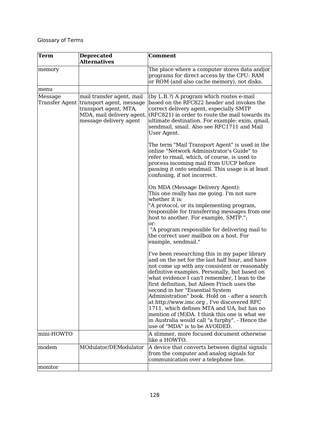| <b>Term</b> | <b>Deprecated</b><br><b>Alternatives</b>                                                                                                             | <b>Comment</b>                                                                                                                                                                                                                                                                                                                                                                                                                                                                                                                                                                                                              |
|-------------|------------------------------------------------------------------------------------------------------------------------------------------------------|-----------------------------------------------------------------------------------------------------------------------------------------------------------------------------------------------------------------------------------------------------------------------------------------------------------------------------------------------------------------------------------------------------------------------------------------------------------------------------------------------------------------------------------------------------------------------------------------------------------------------------|
| memory      |                                                                                                                                                      | The place where a computer stores data and or<br>programs for direct access by the CPU: RAM<br>or ROM (and also cache memory), not disks.                                                                                                                                                                                                                                                                                                                                                                                                                                                                                   |
| menu        |                                                                                                                                                      |                                                                                                                                                                                                                                                                                                                                                                                                                                                                                                                                                                                                                             |
| Message     | mail transfer agent, mail<br>Transfer Agent transport agent, message<br>transport agent, MTA,<br>MDA, mail delivery agent,<br>message delivery agent | (by L.B.?) A program which routes e-mail<br>based on the RFC822 header and invokes the<br>correct delivery agent, especially SMTP<br>$(RFC821)$ in order to route the mail towards its<br>ultimate destination. For example: exim, qmail,<br>sendmail, smail. Also see RFC1711 and Mail<br>User Agent.                                                                                                                                                                                                                                                                                                                      |
|             |                                                                                                                                                      | The term "Mail Transport Agent" is used in the<br>online "Network Administrator's Guide" to<br>refer to rmail, which, of course, is used to<br>process incoming mail from UUCP before<br>passing it onto sendmail. This usage is at least<br>confusing, if not incorrect.                                                                                                                                                                                                                                                                                                                                                   |
|             |                                                                                                                                                      | On MDA (Message Delivery Agent):<br>This one really has me going. I'm not sure<br>whether it is:<br>"A protocol, or its implementing program,<br>responsible for transferring messages from one<br>host to another. For example, SMTP.";<br>or:                                                                                                                                                                                                                                                                                                                                                                             |
|             |                                                                                                                                                      | "A program responsible for delivering mail to<br>the correct user mailbox on a host. For<br>example, sendmail."                                                                                                                                                                                                                                                                                                                                                                                                                                                                                                             |
|             |                                                                                                                                                      | I've been researching this in my paper library<br>and on the net for the last half hour, and have<br>not come up with any consistent or reasonably<br>definitive examples. Personally, but based on<br>what evidence I can't remember, I lean to the<br>first definition, but Aileen Frisch uses the<br>second in her "Essential System<br>Administration" book. Hold on - after a search<br>at http://www.imc.org, I've discovered RFC<br>1711, which defines MTA and UA, but has no<br>mention of (M)DA. I think this one is what we<br>in Australia would call "a furphy". - Hence the<br>use of "MDA" is to be AVOIDED. |
| mini-HOWTO  |                                                                                                                                                      | A slimmer, more focused document otherwise<br>like a HOWTO.                                                                                                                                                                                                                                                                                                                                                                                                                                                                                                                                                                 |
| modem       | MOdulator/DEModulator                                                                                                                                | A device that converts between digital signals<br>from the computer and analog signals for<br>communication over a telephone line.                                                                                                                                                                                                                                                                                                                                                                                                                                                                                          |
| monitor     |                                                                                                                                                      |                                                                                                                                                                                                                                                                                                                                                                                                                                                                                                                                                                                                                             |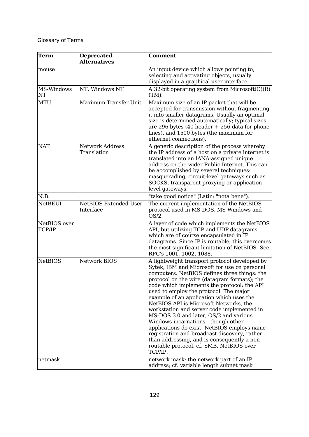| Term                   | <b>Deprecated</b><br><b>Alternatives</b>  | <b>Comment</b>                                                                                                                                                                                                                                                                                                                                                                                                                                                                                                                                                                                                                                                                                                   |
|------------------------|-------------------------------------------|------------------------------------------------------------------------------------------------------------------------------------------------------------------------------------------------------------------------------------------------------------------------------------------------------------------------------------------------------------------------------------------------------------------------------------------------------------------------------------------------------------------------------------------------------------------------------------------------------------------------------------------------------------------------------------------------------------------|
| mouse                  |                                           | An input device which allows pointing to,<br>selecting and activating objects, usually<br>displayed in a graphical user interface.                                                                                                                                                                                                                                                                                                                                                                                                                                                                                                                                                                               |
| MS-Windows<br>NT       | NT, Windows NT                            | A 32-bit operating system from Microsoft(C)(R)<br>(TM).                                                                                                                                                                                                                                                                                                                                                                                                                                                                                                                                                                                                                                                          |
| <b>MTU</b>             | Maximum Transfer Unit                     | Maximum size of an IP packet that will be<br>accepted for transmission without fragmenting<br>it into smaller datagrams. Usually an optimal<br>size is determined automatically; typical sizes<br>are 296 bytes $(40 \text{ header} + 256 \text{ data for phone})$<br>lines), and 1500 bytes (the maximum for<br>ethernet connections).                                                                                                                                                                                                                                                                                                                                                                          |
| <b>NAT</b>             | <b>Network Address</b><br>Translation     | A generic description of the process whereby<br>the IP address of a host on a private internet is<br>translated into an IANA-assigned unique<br>address on the wider Public Internet. This can<br>be accomplished by several techniques:<br>masquerading, circuit-level gateways such as<br>SOCKS, transparent proxying or application-<br>level gateways.                                                                                                                                                                                                                                                                                                                                                       |
| N.B.                   |                                           | "take good notice" (Latin: "nota bene").                                                                                                                                                                                                                                                                                                                                                                                                                                                                                                                                                                                                                                                                         |
| <b>NetBEUI</b>         | <b>NetBIOS Extended User</b><br>Interface | The current implementation of the NetBIOS<br>protocol used in MS-DOS, MS-Windows and<br>$OS/2$ .                                                                                                                                                                                                                                                                                                                                                                                                                                                                                                                                                                                                                 |
| NetBIOS over<br>TCP/IP |                                           | A layer of code which implements the NetBIOS<br>API, but utilizing TCP and UDP datagrams,<br>which are of course encapsulated in IP<br>datagrams. Since IP is routable, this overcomes<br>the most significant limitation of NetBIOS. See<br>RFC's 1001, 1002, 1088.                                                                                                                                                                                                                                                                                                                                                                                                                                             |
| <b>NetBIOS</b>         | <b>Network BIOS</b>                       | A lightweight transport protocol developed by<br>Sytek, IBM and Microsoft for use on personal<br>computers. NetBIOS defines three things: the<br>protocol on the wire (datagram formats); the<br>code which implements the protocol; the API<br>used to employ the protocol. The major<br>example of an application which uses the<br>NetBIOS API is Microsoft Networks, the<br>workstation and server code implemented in<br>MS-DOS 3.0 and later, OS/2 and various<br>Windows incarnations - though other<br>applications do exist. NetBIOS employs name<br>registration and broadcast discovery, rather<br>than addressing, and is consequently a non-<br>routable protocol. cf. SMB, NetBIOS over<br>TCP/IP. |
| netmask                |                                           | network mask: the network part of an IP<br>address; cf. variable length subnet mask                                                                                                                                                                                                                                                                                                                                                                                                                                                                                                                                                                                                                              |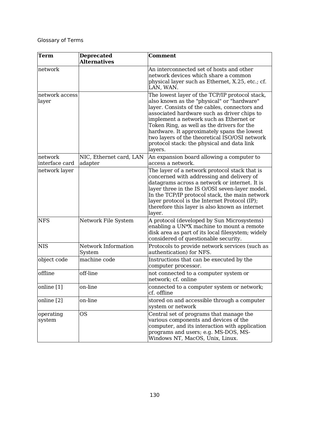| <b>Term</b>               | <b>Deprecated</b><br><b>Alternatives</b> | <b>Comment</b>                                                                                                                                                                                                                                                                                                                                                                                                                                 |
|---------------------------|------------------------------------------|------------------------------------------------------------------------------------------------------------------------------------------------------------------------------------------------------------------------------------------------------------------------------------------------------------------------------------------------------------------------------------------------------------------------------------------------|
| network                   |                                          | An interconnected set of hosts and other<br>network devices which share a common<br>physical layer such as Ethernet, X.25, etc.; cf.<br>LAN, WAN.                                                                                                                                                                                                                                                                                              |
| network access<br>layer   |                                          | The lowest layer of the TCP/IP protocol stack,<br>also known as the "physical" or "hardware"<br>layer. Consists of the cables, connectors and<br>associated hardware such as driver chips to<br>implement a network such as Ethernet or<br>Token Ring, as well as the drivers for the<br>hardware. It approximately spans the lowest<br>two layers of the theoretical ISO/OSI network<br>protocol stack: the physical and data link<br>layers. |
| network<br>interface card | NIC, Ethernet card, LAN<br>adapter       | An expansion board allowing a computer to<br>access a network.                                                                                                                                                                                                                                                                                                                                                                                 |
| network layer             |                                          | The layer of a network protocol stack that is<br>concerned with addressing and delivery of<br>datagrams across a network or internet. It is<br>layer three in the IS O/OSI seven-layer model.<br>In the TCP/IP protocol stack, the main network<br>layer protocol is the Internet Protocol (IP);<br>therefore this layer is also known as internet<br>layer.                                                                                   |
| <b>NFS</b>                | Network File System                      | A protocol (developed by Sun Microsystems)<br>enabling a UN <sup>*</sup> X machine to mount a remote<br>disk area as part of its local filesystem; widely<br>considered of questionable security.                                                                                                                                                                                                                                              |
| <b>NIS</b>                | Network Information<br>System            | Protocols to provide network services (such as<br>authentication) for NFS.                                                                                                                                                                                                                                                                                                                                                                     |
| object code               | machine code                             | Instructions that can be executed by the<br>computer processor.                                                                                                                                                                                                                                                                                                                                                                                |
| offline                   | off-line                                 | not connected to a computer system or<br>network; cf. online                                                                                                                                                                                                                                                                                                                                                                                   |
| online [1]                | on-line                                  | connected to a computer system or network;<br>cf. offline                                                                                                                                                                                                                                                                                                                                                                                      |
| online [2]                | on-line                                  | stored on and accessible through a computer<br>system or network                                                                                                                                                                                                                                                                                                                                                                               |
| operating<br>system       | <b>OS</b>                                | Central set of programs that manage the<br>various components and devices of the<br>computer, and its interaction with application<br>programs and users; e.g. MS-DOS, MS-<br>Windows NT, MacOS, Unix, Linux.                                                                                                                                                                                                                                  |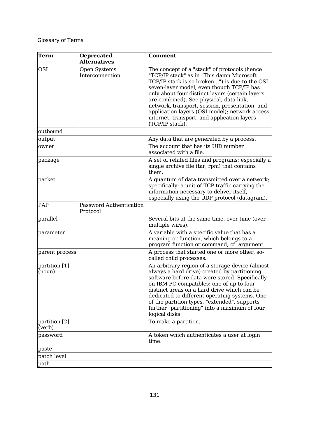| <b>Term</b>             | <b>Deprecated</b><br><b>Alternatives</b>   | <b>Comment</b>                                                                                                                                                                                                                                                                                                                                                                                                                                               |
|-------------------------|--------------------------------------------|--------------------------------------------------------------------------------------------------------------------------------------------------------------------------------------------------------------------------------------------------------------------------------------------------------------------------------------------------------------------------------------------------------------------------------------------------------------|
| <b>OSI</b>              | Open Systems<br>Interconnection            | The concept of a "stack" of protocols (hence<br>"TCP/IP stack" as in "This damn Microsoft<br>TCP/IP stack is so broken") is due to the OSI<br>seven-layer model, even though TCP/IP has<br>only about four distinct layers (certain layers<br>are combined). See physical, data link,<br>network, transport, session, presentation, and<br>application layers (OSI model); network access,<br>internet, transport, and application layers<br>(TCP/IP stack). |
| outbound                |                                            |                                                                                                                                                                                                                                                                                                                                                                                                                                                              |
| output                  |                                            | Any data that are generated by a process.                                                                                                                                                                                                                                                                                                                                                                                                                    |
| owner                   |                                            | The account that has its UID number<br>associated with a file.                                                                                                                                                                                                                                                                                                                                                                                               |
| package                 |                                            | A set of related files and programs; especially a<br>single archive file (tar, rpm) that contains<br>them.                                                                                                                                                                                                                                                                                                                                                   |
| packet                  |                                            | A quantum of data transmitted over a network;<br>specifically: a unit of TCP traffic carrying the<br>information necessary to deliver itself,<br>especially using the UDP protocol (datagram).                                                                                                                                                                                                                                                               |
| PAP                     | <b>Password Authentication</b><br>Protocol |                                                                                                                                                                                                                                                                                                                                                                                                                                                              |
| parallel                |                                            | Several bits at the same time, over time (over<br>multiple wires).                                                                                                                                                                                                                                                                                                                                                                                           |
| parameter               |                                            | A variable with a specific value that has a<br>meaning or function, which belongs to a<br>program function or command; cf. argument.                                                                                                                                                                                                                                                                                                                         |
| parent process          |                                            | A process that started one or more other, so-<br>called child processes.                                                                                                                                                                                                                                                                                                                                                                                     |
| partition [1]<br>(noun) |                                            | An arbitrary region of a storage device (almost<br>always a hard drive) created by partitioning<br>software before data were stored. Specifically<br>on IBM PC-compatibles: one of up to four<br>distinct areas on a hard drive which can be<br>dedicated to different operating systems. One<br>of the partition types, "extended", supports<br>further "partitioning" into a maximum of four<br>logical disks.                                             |
| partition [2]<br>(verb) |                                            | To make a partition.                                                                                                                                                                                                                                                                                                                                                                                                                                         |
| password                |                                            | A token which authenticates a user at login<br>time.                                                                                                                                                                                                                                                                                                                                                                                                         |
| paste                   |                                            |                                                                                                                                                                                                                                                                                                                                                                                                                                                              |
| patch level             |                                            |                                                                                                                                                                                                                                                                                                                                                                                                                                                              |
| path                    |                                            |                                                                                                                                                                                                                                                                                                                                                                                                                                                              |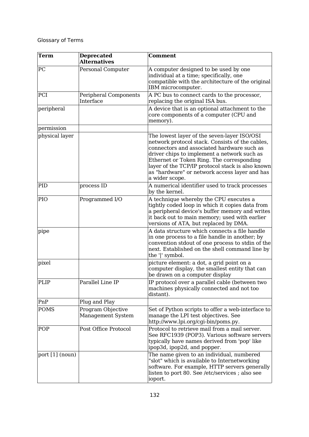| <b>Term</b>     | <b>Deprecated</b><br><b>Alternatives</b> | <b>Comment</b>                                                                                                                                                                                                                                                                                                                                                  |
|-----------------|------------------------------------------|-----------------------------------------------------------------------------------------------------------------------------------------------------------------------------------------------------------------------------------------------------------------------------------------------------------------------------------------------------------------|
| PC              | Personal Computer                        | A computer designed to be used by one<br>individual at a time; specifically, one<br>compatible with the architecture of the original<br>IBM microcomputer.                                                                                                                                                                                                      |
| PCI             | Peripheral Components<br>Interface       | A PC bus to connect cards to the processor,<br>replacing the original ISA bus.                                                                                                                                                                                                                                                                                  |
| peripheral      |                                          | A device that is an optional attachment to the<br>core components of a computer (CPU and<br>memory).                                                                                                                                                                                                                                                            |
| permission      |                                          |                                                                                                                                                                                                                                                                                                                                                                 |
| physical layer  |                                          | The lowest layer of the seven-layer ISO/OSI<br>network protocol stack. Consists of the cables,<br>connectors and associated hardware such as<br>driver chips to implement a network such as<br>Ethernet or Token Ring. The corresponding<br>layer of the TCP/IP protocol stack is also known<br>as "hardware" or network access layer and has<br>a wider scope. |
| PID             | process ID                               | A numerical identifier used to track processes<br>by the kernel.                                                                                                                                                                                                                                                                                                |
| PIO             | Programmed I/O                           | A technique whereby the CPU executes a<br>tightly coded loop in which it copies data from<br>a peripheral device's buffer memory and writes<br>it back out to main memory; used with earlier<br>versions of ATA, but replaced by DMA.                                                                                                                           |
| pipe            |                                          | A data structure which connects a file handle<br>in one process to a file handle in another; by<br>convention stdout of one process to stdin of the<br>next. Established on the shell command line by<br>the ' ' symbol.                                                                                                                                        |
| pixel           |                                          | picture element: a dot, a grid point on a<br>computer display, the smallest entity that can<br>be drawn on a computer display                                                                                                                                                                                                                                   |
| PLIP            | Parallel Line IP                         | IP protocol over a parallel cable (between two<br>machines physically connected and not too<br>distant).                                                                                                                                                                                                                                                        |
| PnP             | Plug and Play                            |                                                                                                                                                                                                                                                                                                                                                                 |
| <b>POMS</b>     | Program Objective<br>Management System   | Set of Python scripts to offer a web-interface to<br>manage the LPI test objectives. See<br>http://www.lpi.org/cgi-bin/poms.py.                                                                                                                                                                                                                                 |
| POP             | Post Office Protocol                     | Protocol to retrieve mail from a mail server.<br>See RFC1939 (POP3). Various software servers<br>typically have names derived from 'pop' like<br>ipop3d, ipop2d, and popper.                                                                                                                                                                                    |
| port [1] (noun) |                                          | The name given to an individual, numbered<br>"slot" which is available to Internetworking<br>software. For example, HTTP servers generally<br>listen to port 80. See /etc/services ; also see<br>ioport.                                                                                                                                                        |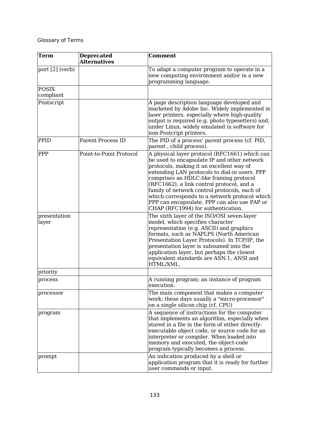| Term                      | <b>Deprecated</b><br><b>Alternatives</b> | <b>Comment</b>                                                                                                                                                                                                                                                                                                                                                                                                                                                           |
|---------------------------|------------------------------------------|--------------------------------------------------------------------------------------------------------------------------------------------------------------------------------------------------------------------------------------------------------------------------------------------------------------------------------------------------------------------------------------------------------------------------------------------------------------------------|
| port [2] (verb)           |                                          | To adapt a computer program to operate in a<br>new computing environment and or in a new<br>programming language.                                                                                                                                                                                                                                                                                                                                                        |
| <b>POSIX</b><br>compliant |                                          |                                                                                                                                                                                                                                                                                                                                                                                                                                                                          |
| Postscript                |                                          | A page description language developed and<br>marketed by Adobe Inc. Widely implemented in<br>laser printers, especially where high-quality<br>output is required (e.g. photo typesetters) and,<br>under Linux, widely emulated in software for<br>non-Postcript printers.                                                                                                                                                                                                |
| PPID                      | <b>Parent Process ID</b>                 | The PID of a process' parent process (cf. PID,<br>parent, child process).                                                                                                                                                                                                                                                                                                                                                                                                |
| <b>PPP</b>                | Point-to-Point Protocol                  | A physical layer protocol (RFC1661) which can<br>be used to encapsulate IP and other network<br>protocols, making it an excellent way of<br>extending LAN protocols to dial-in users. PPP<br>comprises an HDLC-like framing protocol<br>(RFC1662), a link control protocol, and a<br>family of network control protocols, each of<br>which corresponds to a network protocol which<br>PPP can encapsulate. PPP can also use PAP or<br>CHAP (RFC1994) for authentication. |
| presentation<br>layer     |                                          | The sixth layer of the ISO/OSI seven-layer<br>model, which specifies character<br>representation (e.g. ASCII) and graphics<br>formats, such as NAPLPS (North American<br>Presentation Layer Protocols). In TCP/IP, the<br>presentation layer is subsumed into the<br>application layer, but perhaps the closest<br>equivalent standards are ASN.1, ANSI and<br>HTML/XML.                                                                                                 |
| priority                  |                                          |                                                                                                                                                                                                                                                                                                                                                                                                                                                                          |
| process                   |                                          | A running program; an instance of program<br>execution.                                                                                                                                                                                                                                                                                                                                                                                                                  |
| processor                 |                                          | The main component that makes a computer<br>work; these days usually a "micro-processor"<br>on a single silicon chip (cf. CPU)                                                                                                                                                                                                                                                                                                                                           |
| program                   |                                          | A sequence of instructions for the computer<br>that implements an algorithm, especially when<br>stored in a file in the form of either directly-<br>executable object code, or source code for an<br>interpreter or compiler. When loaded into<br>memory and executed, the object-code<br>program typically becomes a process.                                                                                                                                           |
| prompt                    |                                          | An indication produced by a shell or<br>application program that it is ready for further<br>user commands or input.                                                                                                                                                                                                                                                                                                                                                      |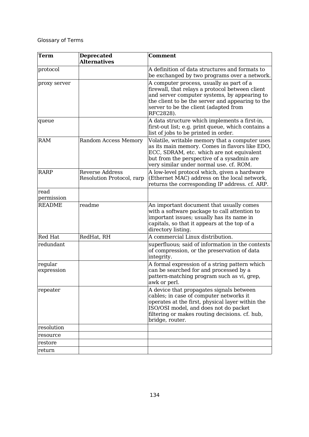| Term                  | <b>Deprecated</b><br><b>Alternatives</b>            | <b>Comment</b>                                                                                                                                                                                                                                        |
|-----------------------|-----------------------------------------------------|-------------------------------------------------------------------------------------------------------------------------------------------------------------------------------------------------------------------------------------------------------|
| protocol              |                                                     | A definition of data structures and formats to<br>be exchanged by two programs over a network.                                                                                                                                                        |
| proxy server          |                                                     | A computer process, usually as part of a<br>firewall, that relays a protocol between client<br>and server computer systems, by appearing to<br>the client to be the server and appearing to the<br>server to be the client (adapted from<br>RFC2828). |
| queue                 |                                                     | A data structure which implements a first-in,<br>first-out list; e.g. print queue, which contains a<br>list of jobs to be printed in order.                                                                                                           |
| <b>RAM</b>            | <b>Random Access Memory</b>                         | Volatile, writable memory that a computer uses<br>as its main memory. Comes in flavors like EDO,<br>ECC, SDRAM, etc. which are not equivalent<br>but from the perspective of a sysadmin are<br>very similar under normal use. cf. ROM.                |
| <b>RARP</b>           | <b>Reverse Address</b><br>Resolution Protocol, rarp | A low-level protocol which, given a hardware<br>(Ethernet MAC) address on the local network,<br>returns the corresponding IP address. cf. ARP.                                                                                                        |
| read<br>permission    |                                                     |                                                                                                                                                                                                                                                       |
| <b>README</b>         | readme                                              | An important document that usually comes<br>with a software package to call attention to<br>important issues; usually has its name in<br>capitals, so that it appears at the top of a<br>directory listing.                                           |
| Red Hat               | RedHat, RH                                          | A commercial Linux distribution.                                                                                                                                                                                                                      |
| redundant             |                                                     | superfluous; said of information in the contexts<br>of compression, or the preservation of data<br>integrity.                                                                                                                                         |
| regular<br>expression |                                                     | A formal expression of a string pattern which<br>can be searched for and processed by a<br>pattern-matching program such as vi, grep,<br>awk or perl.                                                                                                 |
| repeater              |                                                     | A device that propagates signals between<br>cables; in case of computer networks it<br>operates at the first, physical layer within the<br>ISO/OSI model, and does not do packet<br>filtering or makes routing decisions. cf. hub,<br>bridge, router. |
| resolution            |                                                     |                                                                                                                                                                                                                                                       |
| resource              |                                                     |                                                                                                                                                                                                                                                       |
| restore               |                                                     |                                                                                                                                                                                                                                                       |
| return                |                                                     |                                                                                                                                                                                                                                                       |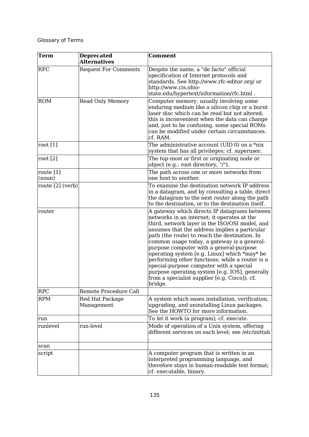| Term                | <b>Deprecated</b><br><b>Alternatives</b> | <b>Comment</b>                                                                                                                                                                                                                                                                                                                                                                                                                                                                                                                                                                                        |
|---------------------|------------------------------------------|-------------------------------------------------------------------------------------------------------------------------------------------------------------------------------------------------------------------------------------------------------------------------------------------------------------------------------------------------------------------------------------------------------------------------------------------------------------------------------------------------------------------------------------------------------------------------------------------------------|
| <b>RFC</b>          | <b>Request For Comments</b>              | Despite the name, a "de facto" official<br>specification of Internet protocols and<br>standards. See http://www.rfc-editor.org/ or<br>http://www.cis.ohio-<br>state.edu/hypertext/information/rfc.html.                                                                                                                                                                                                                                                                                                                                                                                               |
| <b>ROM</b>          | <b>Read Only Memory</b>                  | Computer memory, usually involving some<br>enduring medium like a silicon chip or a burnt<br>laser disc which can be read but not altered;<br>this is inconvenient when the data can change<br>and, just to be confusing, some special ROMs<br>can be modified under certain circumstances.<br>cf. RAM.                                                                                                                                                                                                                                                                                               |
| root $[1]$          |                                          | The administrative account (UID 0) on a $*$ nix<br>system that has all privileges; cf. superuser.                                                                                                                                                                                                                                                                                                                                                                                                                                                                                                     |
| root $[2]$          |                                          | The top-most or first or originating node or<br>object (e.g.: root directory, "/").                                                                                                                                                                                                                                                                                                                                                                                                                                                                                                                   |
| route [1]<br>(noun) |                                          | The path across one or more networks from<br>one host to another.                                                                                                                                                                                                                                                                                                                                                                                                                                                                                                                                     |
| route [2] (verb)    |                                          | To examine the destination network IP address<br>in a datagram, and by consulting a table, direct<br>the datagram to the next router along the path<br>to the destination, or to the destination itself.                                                                                                                                                                                                                                                                                                                                                                                              |
| router              |                                          | A gateway which directs IP datagrams between<br>networks in an internet; it operates at the<br>third, network layer in the ISO/OSI model, and<br>assumes that the address implies a particular<br>path (the route) to reach the destination. In<br>common usage today, a gateway is a general-<br>purpose computer with a general-purpose<br>operating system [e.g. Linux] which *may* be<br>performing other functions; while a router is a<br>special-purpose computer with a special<br>purpose operating system [e.g. IOS], generally<br>from a specialist supplier [e.g. Cisco]). cf.<br>bridge. |
| <b>RPC</b>          | Remote Procedure Call                    |                                                                                                                                                                                                                                                                                                                                                                                                                                                                                                                                                                                                       |
| <b>RPM</b>          | Red Hat Package<br>Management            | A system which eases installation, verification,<br>upgrading, and uninstalling Linux packages.<br>See the HOWTO for more information.                                                                                                                                                                                                                                                                                                                                                                                                                                                                |
| run                 |                                          | To let it work (a program); cf. execute.                                                                                                                                                                                                                                                                                                                                                                                                                                                                                                                                                              |
| runlevel            | run-level                                | Mode of operation of a Unix system, offering<br>different services on each level; see /etc/inittab                                                                                                                                                                                                                                                                                                                                                                                                                                                                                                    |
| scan                |                                          |                                                                                                                                                                                                                                                                                                                                                                                                                                                                                                                                                                                                       |
| script              |                                          | A computer program that is written in an<br>interpreted programming language, and<br>therefore stays in human-readable text format;<br>cf. executable, binary.                                                                                                                                                                                                                                                                                                                                                                                                                                        |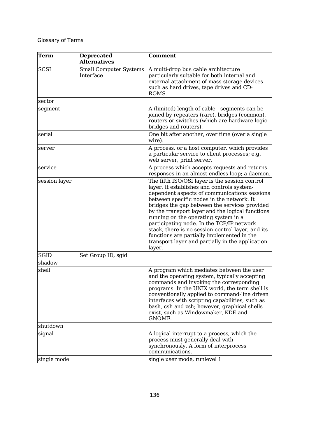| <b>Term</b>   | <b>Deprecated</b><br><b>Alternatives</b>   | <b>Comment</b>                                                                                                                                                                                                                                                                                                                                                                                                                                                                                                                                       |
|---------------|--------------------------------------------|------------------------------------------------------------------------------------------------------------------------------------------------------------------------------------------------------------------------------------------------------------------------------------------------------------------------------------------------------------------------------------------------------------------------------------------------------------------------------------------------------------------------------------------------------|
| <b>SCSI</b>   | <b>Small Computer Systems</b><br>Interface | A multi-drop bus cable architecture<br>particularly suitable for both internal and<br>external attachment of mass storage devices<br>such as hard drives, tape drives and CD-<br>ROMS.                                                                                                                                                                                                                                                                                                                                                               |
| sector        |                                            |                                                                                                                                                                                                                                                                                                                                                                                                                                                                                                                                                      |
| segment       |                                            | A (limited) length of cable - segments can be<br>joined by repeaters (rare), bridges (common),<br>routers or switches (which are hardware logic<br>bridges and routers).                                                                                                                                                                                                                                                                                                                                                                             |
| serial        |                                            | One bit after another, over time (over a single<br>wire).                                                                                                                                                                                                                                                                                                                                                                                                                                                                                            |
| server        |                                            | A process, or a host computer, which provides<br>a particular service to client processes; e.g.<br>web server, print server.                                                                                                                                                                                                                                                                                                                                                                                                                         |
| service       |                                            | A process which accepts requests and returns<br>responses in an almost endless loop; a daemon.                                                                                                                                                                                                                                                                                                                                                                                                                                                       |
| session layer |                                            | The fifth ISO/OSI layer is the session control<br>layer. It establishes and controls system-<br>dependent aspects of communications sessions<br>between specific nodes in the network. It<br>bridges the gap between the services provided<br>by the transport layer and the logical functions<br>running on the operating system in a<br>participating node. In the TCP/IP network<br>stack, there is no session control layer, and its<br>functions are partially implemented in the<br>transport layer and partially in the application<br>layer. |
| <b>SGID</b>   | Set Group ID, sgid                         |                                                                                                                                                                                                                                                                                                                                                                                                                                                                                                                                                      |
| shadow        |                                            |                                                                                                                                                                                                                                                                                                                                                                                                                                                                                                                                                      |
| shell         |                                            | A program which mediates between the user<br>and the operating system, typically accepting<br>commands and invoking the corresponding<br>programs. In the UNIX world, the term shell is<br>conventionally applied to command-line driven<br>interfaces with scripting capabilities, such as<br>bash, csh and zsh; however, graphical shells<br>exist, such as Windowmaker, KDE and<br>GNOME.                                                                                                                                                         |
| shutdown      |                                            |                                                                                                                                                                                                                                                                                                                                                                                                                                                                                                                                                      |
| signal        |                                            | A logical interrupt to a process, which the<br>process must generally deal with<br>synchronously. A form of interprocess<br>communications.                                                                                                                                                                                                                                                                                                                                                                                                          |
| single mode   |                                            | single user mode, runlevel 1                                                                                                                                                                                                                                                                                                                                                                                                                                                                                                                         |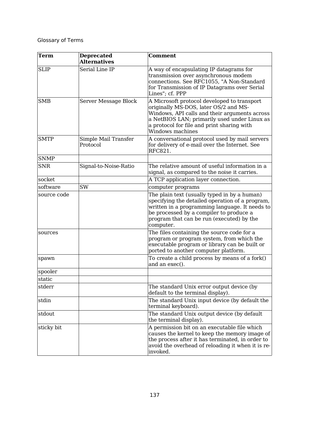| Term        | <b>Deprecated</b>                | <b>Comment</b>                                                                                                                                                                                                                                          |
|-------------|----------------------------------|---------------------------------------------------------------------------------------------------------------------------------------------------------------------------------------------------------------------------------------------------------|
|             | <b>Alternatives</b>              |                                                                                                                                                                                                                                                         |
| <b>SLIP</b> | Serial Line IP                   | A way of encapsulating IP datagrams for<br>transmission over asynchronous modem<br>connections. See RFC1055, "A Non-Standard<br>for Transmission of IP Datagrams over Serial<br>Lines"; cf. PPP                                                         |
| <b>SMB</b>  | Server Message Block             | A Microsoft protocol developed to transport<br>originally MS-DOS, later OS/2 and MS-<br>Windows, API calls and their arguments across<br>a NetBIOS LAN; primarily used under Linux as<br>a protocol for file and print sharing with<br>Windows machines |
| <b>SMTP</b> | Simple Mail Transfer<br>Protocol | A conversational protocol used by mail servers<br>for delivery of e-mail over the Internet. See<br>RFC821.                                                                                                                                              |
| <b>SNMP</b> |                                  |                                                                                                                                                                                                                                                         |
| <b>SNR</b>  | Signal-to-Noise-Ratio            | The relative amount of useful information in a<br>signal, as compared to the noise it carries.                                                                                                                                                          |
| socket      |                                  | A TCP application layer connection.                                                                                                                                                                                                                     |
| software    | SW                               | computer programs                                                                                                                                                                                                                                       |
| source code |                                  | The plain text (usually typed in by a human)<br>specifying the detailed operation of a program,<br>written in a programming language. It needs to<br>be processed by a compiler to produce a<br>program that can be run (executed) by the<br>computer.  |
| sources     |                                  | The files containing the source code for a<br>program or program system, from which the<br>executable program or library can be built or<br>ported to another computer platform.                                                                        |
| spawn       |                                  | To create a child process by means of a fork()<br>and an exec().                                                                                                                                                                                        |
| spooler     |                                  |                                                                                                                                                                                                                                                         |
| static      |                                  |                                                                                                                                                                                                                                                         |
| stderr      |                                  | The standard Unix error output device (by<br>default to the terminal display).                                                                                                                                                                          |
| stdin       |                                  | The standard Unix input device (by default the<br>terminal keyboard).                                                                                                                                                                                   |
| stdout      |                                  | The standard Unix output device (by default<br>the terminal display).                                                                                                                                                                                   |
| sticky bit  |                                  | A permission bit on an executable file which<br>causes the kernel to keep the memory image of<br>the process after it has terminated, in order to<br>avoid the overhead of reloading it when it is re-<br>invoked.                                      |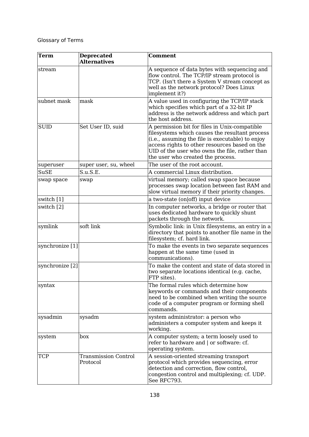| <b>Term</b>     | <b>Deprecated</b><br><b>Alternatives</b> | <b>Comment</b>                                                                                                                                                                                                                                                                              |
|-----------------|------------------------------------------|---------------------------------------------------------------------------------------------------------------------------------------------------------------------------------------------------------------------------------------------------------------------------------------------|
| stream          |                                          | A sequence of data bytes with sequencing and<br>flow control. The TCP/IP stream protocol is<br>TCP. (Isn't there a System V stream concept as<br>well as the network protocol? Does Linux<br>implement it?)                                                                                 |
| subnet mask     | mask                                     | A value used in configuring the TCP/IP stack<br>which specifies which part of a 32-bit IP<br>address is the network address and which part<br>the host address.                                                                                                                             |
| <b>SUID</b>     | Set User ID, suid                        | A permission bit for files in Unix-compatible<br>filesystems which causes the resultant process<br>(i.e., assuming the file is executable) to enjoy<br>access rights to other resources based on the<br>UID of the user who owns the file, rather than<br>the user who created the process. |
| superuser       | super user, su, wheel                    | The user of the root account.                                                                                                                                                                                                                                                               |
| <b>SuSE</b>     | S.u.S.E.                                 | A commercial Linux distribution.                                                                                                                                                                                                                                                            |
| swap space      | swap                                     | virtual memory; called swap space because<br>processes swap location between fast RAM and<br>slow virtual memory if their priority changes.                                                                                                                                                 |
| switch [1]      |                                          | a two-state (on off) input device                                                                                                                                                                                                                                                           |
| switch [2]      |                                          | In computer networks, a bridge or router that<br>uses dedicated hardware to quickly shunt<br>packets through the network.                                                                                                                                                                   |
| symlink         | soft link                                | Symbolic link: in Unix filesystems, an entry in a<br>directory that points to another file name in the<br>filesystem; cf. hard link.                                                                                                                                                        |
| synchronize [1] |                                          | To make the events in two separate sequences<br>happen at the same time (used in<br>communications).                                                                                                                                                                                        |
| synchronize [2] |                                          | To make the content and state of data stored in<br>two separate locations identical (e.g. cache,<br>FTP sites).                                                                                                                                                                             |
| syntax          |                                          | The formal rules which determine how<br>keywords or commands and their components<br>need to be combined when writing the source<br>code of a computer program or forming shell<br>commands.                                                                                                |
| sysadmin        | sysadm                                   | system administrator: a person who<br>administers a computer system and keeps it<br>working.                                                                                                                                                                                                |
| system          | box                                      | A computer system; a term loosely used to<br>refer to hardware and   or software: cf.<br>operating system.                                                                                                                                                                                  |
| <b>TCP</b>      | <b>Transmission Control</b><br>Protocol  | A session-oriented streaming transport<br>protocol which provides sequencing, error<br>detection and correction, flow control,<br>congestion control and multiplexing; cf. UDP.<br>See RFC793.                                                                                              |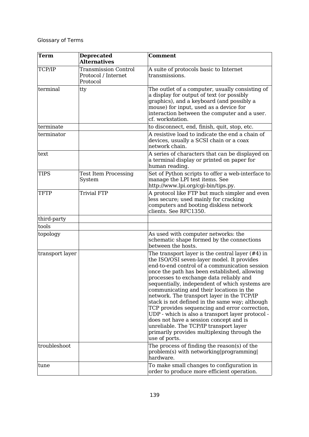| <b>Term</b>     | <b>Deprecated</b><br><b>Alternatives</b>                       | <b>Comment</b>                                                                                                                                                                                                                                                                                                                                                                                                                                                                                                                                                                                                                                                                                       |
|-----------------|----------------------------------------------------------------|------------------------------------------------------------------------------------------------------------------------------------------------------------------------------------------------------------------------------------------------------------------------------------------------------------------------------------------------------------------------------------------------------------------------------------------------------------------------------------------------------------------------------------------------------------------------------------------------------------------------------------------------------------------------------------------------------|
| TCP/IP          | <b>Transmission Control</b><br>Protocol / Internet<br>Protocol | A suite of protocols basic to Internet<br>transmissions.                                                                                                                                                                                                                                                                                                                                                                                                                                                                                                                                                                                                                                             |
| terminal        | tty                                                            | The outlet of a computer, usually consisting of<br>a display for output of text (or possibly<br>graphics), and a keyboard (and possibly a<br>mouse) for input, used as a device for<br>interaction between the computer and a user.<br>cf. workstation.                                                                                                                                                                                                                                                                                                                                                                                                                                              |
| terminate       |                                                                | to disconnect, end, finish, quit, stop, etc.                                                                                                                                                                                                                                                                                                                                                                                                                                                                                                                                                                                                                                                         |
| terminator      |                                                                | A resistive load to indicate the end a chain of<br>devices, usually a SCSI chain or a coax<br>network chain.                                                                                                                                                                                                                                                                                                                                                                                                                                                                                                                                                                                         |
| text            |                                                                | A series of characters that can be displayed on<br>a terminal display or printed on paper for<br>human reading.                                                                                                                                                                                                                                                                                                                                                                                                                                                                                                                                                                                      |
| TIPS            | <b>Test Item Processing</b><br>System                          | Set of Python scripts to offer a web-interface to<br>manage the LPI test items. See<br>http://www.lpi.org/cgi-bin/tips.py.                                                                                                                                                                                                                                                                                                                                                                                                                                                                                                                                                                           |
| TFTP            | <b>Trivial FTP</b>                                             | A protocol like FTP but much simpler and even<br>less secure; used mainly for cracking<br>computers and booting diskless network<br>clients. See RFC1350.                                                                                                                                                                                                                                                                                                                                                                                                                                                                                                                                            |
| third-party     |                                                                |                                                                                                                                                                                                                                                                                                                                                                                                                                                                                                                                                                                                                                                                                                      |
| tools           |                                                                |                                                                                                                                                                                                                                                                                                                                                                                                                                                                                                                                                                                                                                                                                                      |
| topology        |                                                                | As used with computer networks: the<br>schematic shape formed by the connections<br>between the hosts.                                                                                                                                                                                                                                                                                                                                                                                                                                                                                                                                                                                               |
| transport layer |                                                                | The transport layer is the central layer $(\#4)$ in<br>the ISO/OSI seven-layer model. It provides<br>end-to-end control of a communication session<br>once the path has been established, allowing<br>processes to exchange data reliably and<br>sequentially, independent of which systems are<br>communicating and their locations in the<br>network. The transport layer in the TCP/IP<br>stack is not defined in the same way; although<br>TCP provides sequencing and error correction,<br>UDP - which is also a transport layer protocol -<br>does not have a session concept and is<br>unreliable. The TCP/IP transport layer<br>primarily provides multiplexing through the<br>use of ports. |
| troubleshoot    |                                                                | The process of finding the reason(s) of the<br>problem(s) with networking programming<br>hardware.                                                                                                                                                                                                                                                                                                                                                                                                                                                                                                                                                                                                   |
| tune            |                                                                | To make small changes to configuration in<br>order to produce more efficient operation.                                                                                                                                                                                                                                                                                                                                                                                                                                                                                                                                                                                                              |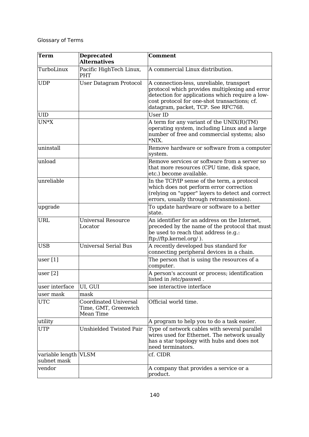| <b>Term</b>                    | <b>Deprecated</b><br><b>Alternatives</b>                          | <b>Comment</b>                                                                                                                                                                                                                      |
|--------------------------------|-------------------------------------------------------------------|-------------------------------------------------------------------------------------------------------------------------------------------------------------------------------------------------------------------------------------|
| TurboLinux                     | Pacific HighTech Linux,<br>PHT                                    | A commercial Linux distribution.                                                                                                                                                                                                    |
| <b>UDP</b>                     | <b>User Datagram Protocol</b>                                     | A connection-less, unreliable, transport<br>protocol which provides multiplexing and error<br>detection for applications which require a low-<br>cost protocol for one-shot transactions; cf.<br>datagram, packet, TCP. See RFC768. |
| UID                            |                                                                   | User ID                                                                                                                                                                                                                             |
| $UN*X$                         |                                                                   | A term for any variant of the UNIX(R)(TM)<br>operating system, including Linux and a large<br>number of free and commercial systems; also<br>*NIX.                                                                                  |
| uninstall                      |                                                                   | Remove hardware or software from a computer<br>system.                                                                                                                                                                              |
| unload                         |                                                                   | Remove services or software from a server so<br>that more resources (CPU time, disk space,<br>etc.) become available.                                                                                                               |
| unreliable                     |                                                                   | In the TCP/IP sense of the term, a protocol<br>which does not perform error correction<br>(relying on "upper" layers to detect and correct<br>errors, usually through retransmission).                                              |
| upgrade                        |                                                                   | To update hardware or software to a better<br>state.                                                                                                                                                                                |
| URL                            | <b>Universal Resource</b><br>Locator                              | An identifier for an address on the Internet,<br>preceded by the name of the protocol that must<br>be used to reach that address (e.g.:<br>ftp://ftp.kernel.org/).                                                                  |
| <b>USB</b>                     | <b>Universal Serial Bus</b>                                       | A recently developed bus standard for<br>connecting peripheral devices in a chain.                                                                                                                                                  |
| user[1]                        |                                                                   | The person that is using the resources of a<br>computer.                                                                                                                                                                            |
| user [2]                       |                                                                   | A person's account or process; identification<br>listed in /etc/passwd.                                                                                                                                                             |
| user interface                 | UI, GUI                                                           | see interactive interface                                                                                                                                                                                                           |
| user mask                      | mask                                                              |                                                                                                                                                                                                                                     |
| <b>UTC</b>                     | <b>Coordinated Universal</b><br>Time, GMT, Greenwich<br>Mean Time | Official world time.                                                                                                                                                                                                                |
| utility                        |                                                                   | A program to help you to do a task easier.                                                                                                                                                                                          |
| UTP                            | <b>Unshielded Twisted Pair</b>                                    | Type of network cables with several parallel<br>wires used for Ethernet. The network usually<br>has a star topology with hubs and does not<br>need terminators.                                                                     |
| variable length<br>subnet mask | <b>VLSM</b>                                                       | cf. CIDR                                                                                                                                                                                                                            |
| vendor                         |                                                                   | A company that provides a service or a<br>product.                                                                                                                                                                                  |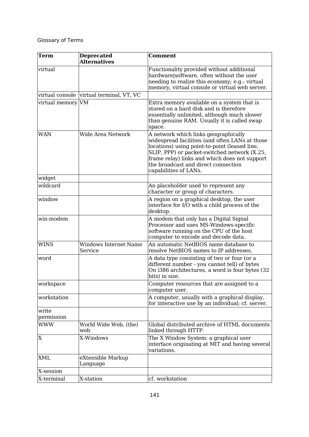| <b>Term</b>       | <b>Deprecated</b><br><b>Alternatives</b> | <b>Comment</b>                                                                                                                                                                                                                                                                                           |
|-------------------|------------------------------------------|----------------------------------------------------------------------------------------------------------------------------------------------------------------------------------------------------------------------------------------------------------------------------------------------------------|
| virtual           |                                          | Functionality provided without additional<br>hardware software, often without the user<br>needing to realize this economy; e.g.: virtual<br>memory, virtual console or virtual web server.                                                                                                               |
|                   | virtual console virtual terminal, VT, VC |                                                                                                                                                                                                                                                                                                          |
| virtual memory VM |                                          | Extra memory available on a system that is<br>stored on a hard disk and is therefore<br>essentially unlimited, although much slower<br>than genuine RAM. Usually it is called swap<br>space.                                                                                                             |
| WAN               | Wide Area Network                        | A network which links geographically<br>widespread facilities (and often LANs at those<br>locations) using point-to-point (leased line,<br>SLIP, PPP) or packet-switched network (X.25,<br>frame relay) links and which does not support<br>the broadcast and direct connection<br>capabilities of LANs. |
| widget            |                                          |                                                                                                                                                                                                                                                                                                          |
| wildcard          |                                          | An placeholder used to represent any<br>character or group of characters.                                                                                                                                                                                                                                |
| window            |                                          | A region on a graphical desktop, the user<br>interface for I/O with a child process of the<br>desktop.                                                                                                                                                                                                   |
| win-modem         |                                          | A modem that only has a Digital Signal<br>Processor and uses MS-Windows-specific<br>software running on the CPU of the host<br>computer to encode and decode data.                                                                                                                                       |
| <b>WINS</b>       | <b>Windows Internet Name</b><br>Service  | An automatic NetBIOS name database to<br>resolve NetBIOS names to IP addresses.                                                                                                                                                                                                                          |
| word              |                                          | A data type consisting of two or four (or a<br>different number - you cannot tell) of bytes<br>On i386 architectures, a word is four bytes (32<br>bits) in size.                                                                                                                                         |
| workspace         |                                          | Computer resources that are assigned to a<br>computer user.                                                                                                                                                                                                                                              |
| workstation       |                                          | A computer, usually with a graphical display,<br>for interactive use by an individual; cf. server.                                                                                                                                                                                                       |
| write             |                                          |                                                                                                                                                                                                                                                                                                          |
| permission        |                                          |                                                                                                                                                                                                                                                                                                          |
| <b>WWW</b>        | World Wide Web, (the)<br>web             | Global distributed archive of HTML documents<br>linked through HTTP.                                                                                                                                                                                                                                     |
| X                 | X-Windows                                | The X Window System: a graphical user<br>interface originating at MIT and having several<br>variations.                                                                                                                                                                                                  |
| <b>XML</b>        | eXtensible Markup<br>Language            |                                                                                                                                                                                                                                                                                                          |
| X-session         |                                          |                                                                                                                                                                                                                                                                                                          |
| X-terminal        | X-station                                | cf. workstation                                                                                                                                                                                                                                                                                          |